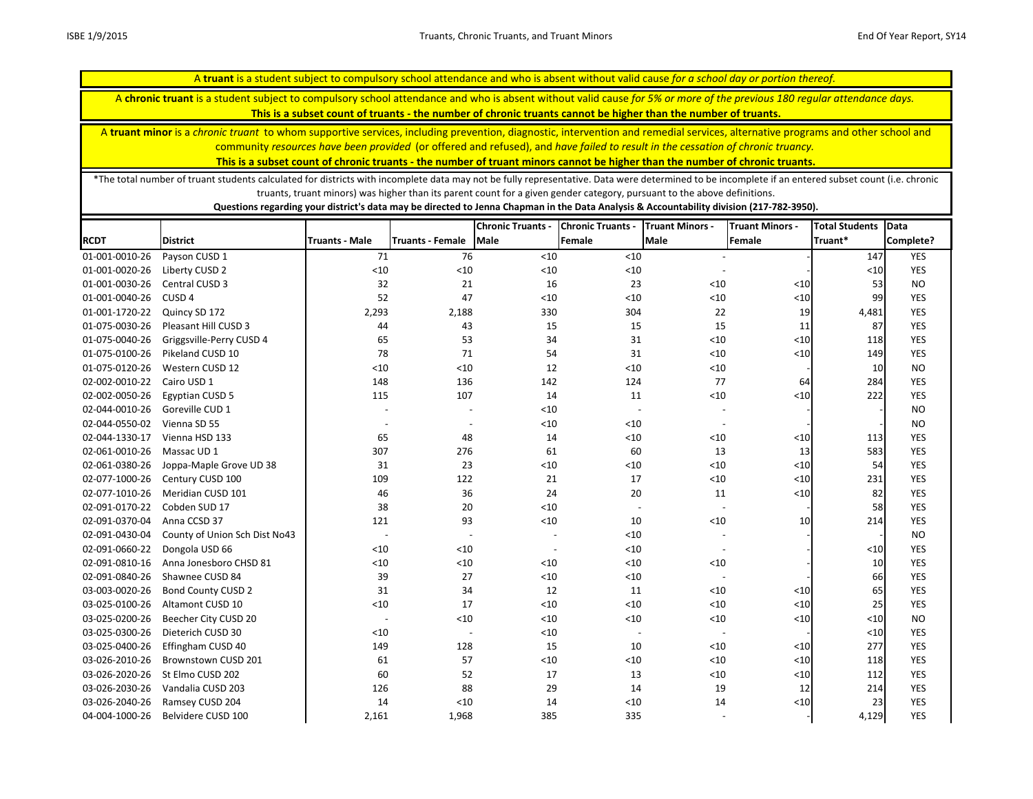A **truant** is a student subject to compulsory school attendance and who is absent without valid cause *for a school day or portion thereof.* A **chronic truant** is a student subject to compulsory school attendance and who is absent without valid cause *for 5% or more of the previous 180 regular attendance days.*  **This is a subset count of truants - the number of chronic truants cannot be higher than the number of truants.**

A **truant minor** is a *chronic truant* to whom supportive services, including prevention, diagnostic, intervention and remedial services, alternative programs and other school and community *resources have been provided* (or offered and refused), and *have failed to result in the cessation of chronic truancy.* 

**This is a subset count of chronic truants - the number of truant minors cannot be higher than the number of chronic truants.**

\*The total number of truant students calculated for districts with incomplete data may not be fully representative. Data were determined to be incomplete if an entered subset count (i.e. chronic truants, truant minors) was higher than its parent count for a given gender category, pursuant to the above definitions.

|                |                               |                          |                          | <b>Chronic Truants -</b> | <b>Chronic Truants -</b> | <b>Truant Minors -</b>   | <b>Truant Minors -</b> | <b>Total Students</b> | Data       |
|----------------|-------------------------------|--------------------------|--------------------------|--------------------------|--------------------------|--------------------------|------------------------|-----------------------|------------|
| <b>RCDT</b>    | <b>District</b>               | <b>Truants - Male</b>    | <b>Truants - Female</b>  | <b>Male</b>              | Female                   | <b>Male</b>              | Female                 | Truant*               | Complete?  |
| 01-001-0010-26 | Payson CUSD 1                 | 71                       | 76                       | $<10$                    | < 10                     |                          |                        | 147                   | <b>YES</b> |
| 01-001-0020-26 | Liberty CUSD 2                | < 10                     | < 10                     | $<10$                    | < 10                     |                          |                        | $<$ 10                | <b>YES</b> |
| 01-001-0030-26 | Central CUSD 3                | 32                       | 21                       | 16                       | 23                       | $<$ 10                   | < 10                   | 53                    | <b>NO</b>  |
| 01-001-0040-26 | CUSD <sub>4</sub>             | 52                       | 47                       | < 10                     | $<10$                    | $<10$                    | $<10$                  | 99                    | <b>YES</b> |
| 01-001-1720-22 | Quincy SD 172                 | 2,293                    | 2,188                    | 330                      | 304                      | 22                       | 19                     | 4,481                 | <b>YES</b> |
| 01-075-0030-26 | Pleasant Hill CUSD 3          | 44                       | 43                       | 15                       | 15                       | 15                       | 11                     | 87                    | <b>YES</b> |
| 01-075-0040-26 | Griggsville-Perry CUSD 4      | 65                       | 53                       | 34                       | 31                       | $<10$                    | $<\!\!10$              | 118                   | <b>YES</b> |
| 01-075-0100-26 | Pikeland CUSD 10              | 78                       | 71                       | 54                       | 31                       | $<10$                    | $<$ 10                 | 149                   | <b>YES</b> |
| 01-075-0120-26 | Western CUSD 12               | $<10$                    | < 10                     | 12                       | $<10$                    | < 10                     |                        | 10                    | <b>NO</b>  |
| 02-002-0010-22 | Cairo USD 1                   | 148                      | 136                      | 142                      | 124                      | 77                       | 64                     | 284                   | <b>YES</b> |
| 02-002-0050-26 | <b>Egyptian CUSD 5</b>        | 115                      | 107                      | 14                       | 11                       | $<10$                    | $<10$                  | 222                   | <b>YES</b> |
| 02-044-0010-26 | Goreville CUD 1               |                          | $\overline{\phantom{0}}$ | < 10                     |                          |                          |                        |                       | <b>NO</b>  |
| 02-044-0550-02 | Vienna SD 55                  | $\overline{a}$           | $\overline{\phantom{0}}$ | $<10$                    | < 10                     |                          |                        |                       | <b>NO</b>  |
| 02-044-1330-17 | Vienna HSD 133                | 65                       | 48                       | 14                       | < 10                     | < 10                     | $<\!\!10$              | 113                   | <b>YES</b> |
| 02-061-0010-26 | Massac UD <sub>1</sub>        | 307                      | 276                      | 61                       | 60                       | 13                       | 13                     | 583                   | <b>YES</b> |
| 02-061-0380-26 | Joppa-Maple Grove UD 38       | 31                       | 23                       | < 10                     | $<10$                    | < 10                     | $<10$                  | 54                    | <b>YES</b> |
| 02-077-1000-26 | Century CUSD 100              | 109                      | 122                      | 21                       | 17                       | < 10                     | $<10$                  | 231                   | <b>YES</b> |
| 02-077-1010-26 | Meridian CUSD 101             | 46                       | 36                       | 24                       | 20                       | 11                       | $<10$                  | 82                    | <b>YES</b> |
| 02-091-0170-22 | Cobden SUD 17                 | 38                       | 20                       | < 10                     | $\overline{\phantom{a}}$ | $\blacksquare$           |                        | 58                    | <b>YES</b> |
| 02-091-0370-04 | Anna CCSD 37                  | 121                      | 93                       | $<10$                    | 10                       | < 10                     | 10                     | 214                   | <b>YES</b> |
| 02-091-0430-04 | County of Union Sch Dist No43 | $\overline{\phantom{a}}$ | $\overline{a}$           |                          | < 10                     |                          |                        |                       | <b>NO</b>  |
| 02-091-0660-22 | Dongola USD 66                | $<10$                    | < 10                     | $\overline{a}$           | < 10                     |                          |                        | $10$                  | <b>YES</b> |
| 02-091-0810-16 | Anna Jonesboro CHSD 81        | < 10                     | < 10                     | $<10$                    | $<10$                    | $<10$                    |                        | 10                    | YES        |
| 02-091-0840-26 | Shawnee CUSD 84               | 39                       | 27                       | $<10$                    | < 10                     |                          |                        | 66                    | <b>YES</b> |
| 03-003-0020-26 | <b>Bond County CUSD 2</b>     | 31                       | 34                       | 12                       | 11                       | < 10                     | $<10$                  | 65                    | YES        |
| 03-025-0100-26 | Altamont CUSD 10              | < 10                     | 17                       | < 10                     | < 10                     | < 10                     | $<10$                  | 25                    | <b>YES</b> |
| 03-025-0200-26 | Beecher City CUSD 20          | $\overline{\phantom{a}}$ | < 10                     | $<10$                    | < 10                     | $<10$                    | $<10$                  | $<$ 10                | <b>NO</b>  |
| 03-025-0300-26 | Dieterich CUSD 30             | < 10                     | $\overline{a}$           | $<10$                    |                          | $\overline{\phantom{a}}$ |                        | < 10                  | <b>YES</b> |
| 03-025-0400-26 | Effingham CUSD 40             | 149                      | 128                      | 15                       | 10                       | < 10                     | $<10$                  | 277                   | <b>YES</b> |
| 03-026-2010-26 | Brownstown CUSD 201           | 61                       | 57                       | < 10                     | < 10                     | < 10                     | $<\!\!10$              | 118                   | <b>YES</b> |
| 03-026-2020-26 | St Elmo CUSD 202              | 60                       | 52                       | 17                       | 13                       | < 10                     | $<10$                  | 112                   | <b>YES</b> |
| 03-026-2030-26 | Vandalia CUSD 203             | 126                      | 88                       | 29                       | 14                       | 19                       | 12                     | 214                   | YES        |
| 03-026-2040-26 | Ramsey CUSD 204               | 14                       | < 10                     | 14                       | < 10                     | 14                       | $<10$                  | 23                    | <b>YES</b> |
| 04-004-1000-26 | Belvidere CUSD 100            | 2,161                    | 1,968                    | 385                      | 335                      |                          |                        | 4,129                 | <b>YES</b> |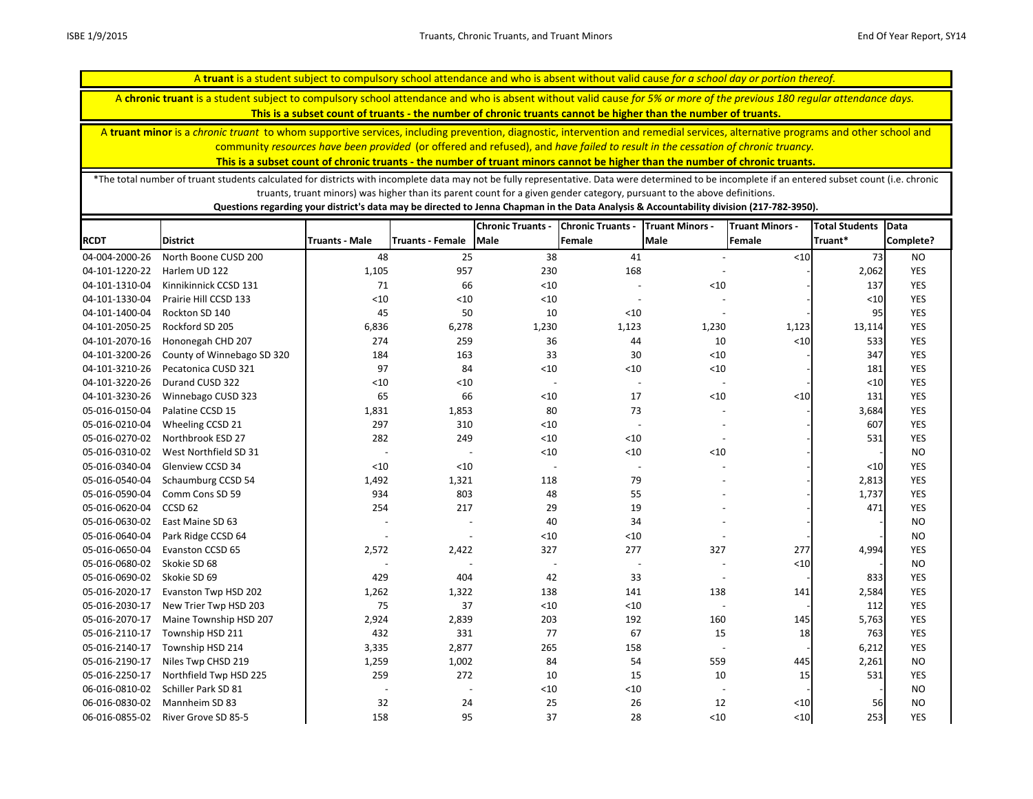A **chronic truant** is a student subject to compulsory school attendance and who is absent without valid cause *for 5% or more of the previous 180 regular attendance days.* 

**This is a subset count of truants - the number of chronic truants cannot be higher than the number of truants.**

A **truant minor** is a *chronic truant* to whom supportive services, including prevention, diagnostic, intervention and remedial services, alternative programs and other school and community *resources have been provided* (or offered and refused), and *have failed to result in the cessation of chronic truancy.* 

**This is a subset count of chronic truants - the number of truant minors cannot be higher than the number of chronic truants.**

\*The total number of truant students calculated for districts with incomplete data may not be fully representative. Data were determined to be incomplete if an entered subset count (i.e. chronic truants, truant minors) was higher than its parent count for a given gender category, pursuant to the above definitions.

|                |                            |                          |                         | <b>Chronic Truants -</b> | <b>Chronic Truants -</b> | <b>Truant Minors -</b>   | <b>Truant Minors -</b> | <b>Total Students</b> | Data       |
|----------------|----------------------------|--------------------------|-------------------------|--------------------------|--------------------------|--------------------------|------------------------|-----------------------|------------|
| <b>RCDT</b>    | <b>District</b>            | <b>Truants - Male</b>    | <b>Truants - Female</b> | <b>Male</b>              | Female                   | <b>Male</b>              | Female                 | Truant*               | Complete?  |
| 04-004-2000-26 | North Boone CUSD 200       | 48                       | 25                      | 38                       | 41                       |                          | $10$                   | 73                    | <b>NO</b>  |
| 04-101-1220-22 | Harlem UD 122              | 1,105                    | 957                     | 230                      | 168                      |                          |                        | 2,062                 | <b>YES</b> |
| 04-101-1310-04 | Kinnikinnick CCSD 131      | 71                       | 66                      | $<10$                    |                          | < 10                     |                        | 137                   | YES        |
| 04-101-1330-04 | Prairie Hill CCSD 133      | < 10                     | < 10                    | $<10$                    |                          |                          |                        | $<$ 10                | YES        |
| 04-101-1400-04 | Rockton SD 140             | 45                       | 50                      | 10                       | < 10                     |                          |                        | 95                    | <b>YES</b> |
| 04-101-2050-25 | Rockford SD 205            | 6,836                    | 6,278                   | 1,230                    | 1,123                    | 1,230                    | 1,123                  | 13,114                | YES        |
| 04-101-2070-16 | Hononegah CHD 207          | 274                      | 259                     | 36                       | 44                       | 10                       | $10$                   | 533                   | <b>YES</b> |
| 04-101-3200-26 | County of Winnebago SD 320 | 184                      | 163                     | 33                       | 30                       | $<10$                    |                        | 347                   | YES        |
| 04-101-3210-26 | Pecatonica CUSD 321        | 97                       | 84                      | $<10$                    | < 10                     | < 10                     |                        | 181                   | <b>YES</b> |
| 04-101-3220-26 | Durand CUSD 322            | $<10$                    | < 10                    | $\overline{\phantom{a}}$ |                          | $\overline{\phantom{a}}$ |                        | < 10                  | <b>YES</b> |
| 04-101-3230-26 | Winnebago CUSD 323         | 65                       | 66                      | $<10$                    | 17                       | < 10                     | $<10$                  | 131                   | <b>YES</b> |
| 05-016-0150-04 | Palatine CCSD 15           | 1,831                    | 1,853                   | 80                       | 73                       |                          |                        | 3,684                 | YES        |
| 05-016-0210-04 | Wheeling CCSD 21           | 297                      | 310                     | < 10                     | $\sim$                   |                          |                        | 607                   | <b>YES</b> |
| 05-016-0270-02 | Northbrook ESD 27          | 282                      | 249                     | $<10$                    | < 10                     |                          |                        | 531                   | <b>YES</b> |
| 05-016-0310-02 | West Northfield SD 31      |                          |                         | $<10$                    | $<10$                    | < 10                     |                        |                       | <b>NO</b>  |
| 05-016-0340-04 | Glenview CCSD 34           | < 10                     | < 10                    | $\overline{\phantom{a}}$ | $\overline{\phantom{a}}$ |                          |                        | $<$ 10                | <b>YES</b> |
| 05-016-0540-04 | Schaumburg CCSD 54         | 1,492                    | 1,321                   | 118                      | 79                       |                          |                        | 2,813                 | <b>YES</b> |
| 05-016-0590-04 | Comm Cons SD 59            | 934                      | 803                     | 48                       | 55                       |                          |                        | 1,737                 | <b>YES</b> |
| 05-016-0620-04 | CCSD <sub>62</sub>         | 254                      | 217                     | 29                       | 19                       |                          |                        | 471                   | YES        |
| 05-016-0630-02 | East Maine SD 63           | $\overline{\phantom{a}}$ | $\overline{a}$          | 40                       | 34                       |                          |                        |                       | <b>NO</b>  |
| 05-016-0640-04 | Park Ridge CCSD 64         |                          |                         | < 10                     | $<10$                    |                          |                        |                       | <b>NO</b>  |
| 05-016-0650-04 | Evanston CCSD 65           | 2,572                    | 2,422                   | 327                      | 277                      | 327                      | 277                    | 4,994                 | <b>YES</b> |
| 05-016-0680-02 | Skokie SD 68               |                          |                         |                          |                          |                          | $<\!\!10$              |                       | <b>NO</b>  |
| 05-016-0690-02 | Skokie SD 69               | 429                      | 404                     | 42                       | 33                       |                          |                        | 833                   | <b>YES</b> |
| 05-016-2020-17 | Evanston Twp HSD 202       | 1,262                    | 1,322                   | 138                      | 141                      | 138                      | 141                    | 2,584                 | <b>YES</b> |
| 05-016-2030-17 | New Trier Twp HSD 203      | 75                       | 37                      | $<10$                    | $<10$                    |                          |                        | 112                   | YES        |
| 05-016-2070-17 | Maine Township HSD 207     | 2,924                    | 2,839                   | 203                      | 192                      | 160                      | 145                    | 5,763                 | <b>YES</b> |
| 05-016-2110-17 | Township HSD 211           | 432                      | 331                     | 77                       | 67                       | 15                       | 18                     | 763                   | YES        |
| 05-016-2140-17 | Township HSD 214           | 3,335                    | 2,877                   | 265                      | 158                      | $\overline{\phantom{a}}$ |                        | 6,212                 | <b>YES</b> |
| 05-016-2190-17 | Niles Twp CHSD 219         | 1,259                    | 1,002                   | 84                       | 54                       | 559                      | 445                    | 2,261                 | <b>NO</b>  |
| 05-016-2250-17 | Northfield Twp HSD 225     | 259                      | 272                     | 10                       | 15                       | 10                       | 15                     | 531                   | YES        |
| 06-016-0810-02 | Schiller Park SD 81        |                          |                         | < 10                     | < 10                     |                          |                        |                       | <b>NO</b>  |
| 06-016-0830-02 | Mannheim SD 83             | 32                       | 24                      | 25                       | 26                       | 12                       | $<10$                  | 56                    | <b>NO</b>  |
| 06-016-0855-02 | River Grove SD 85-5        | 158                      | 95                      | 37                       | 28                       | < 10                     | $<$ 10                 | 253                   | <b>YES</b> |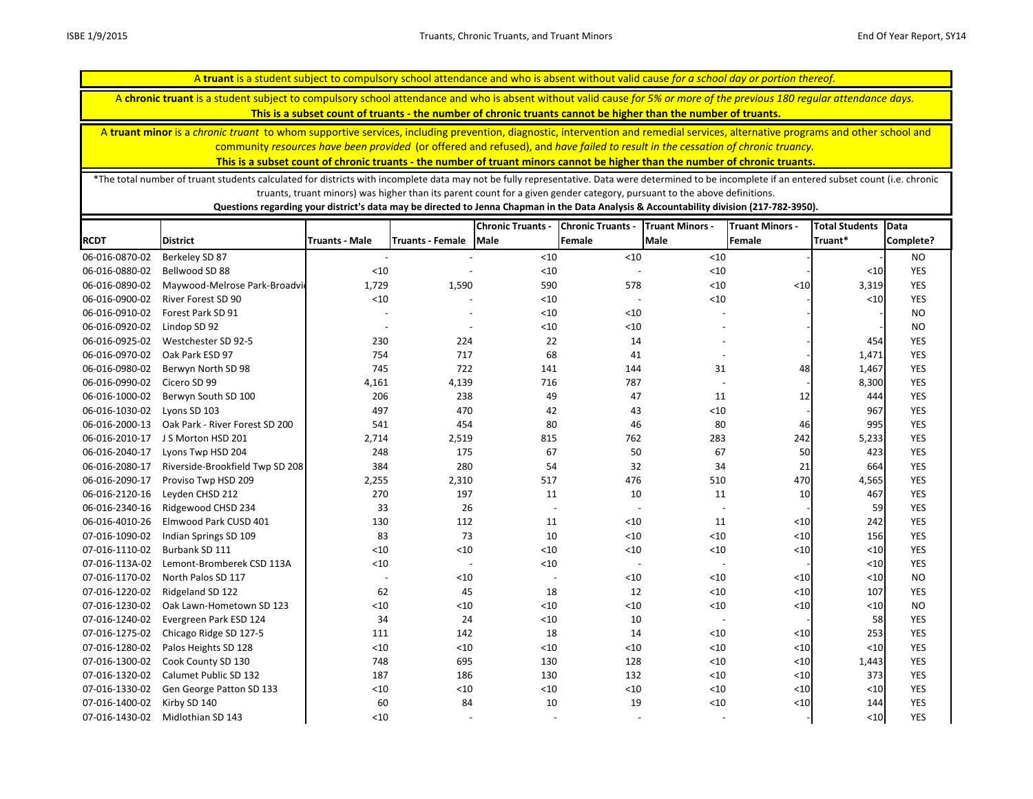A **chronic truant** is a student subject to compulsory school attendance and who is absent without valid cause *for 5% or more of the previous 180 regular attendance days.* 

**This is a subset count of truants - the number of chronic truants cannot be higher than the number of truants.**

A **truant minor** is a *chronic truant* to whom supportive services, including prevention, diagnostic, intervention and remedial services, alternative programs and other school and community *resources have been provided* (or offered and refused), and *have failed to result in the cessation of chronic truancy.* 

**This is a subset count of chronic truants - the number of truant minors cannot be higher than the number of chronic truants.**

\*The total number of truant students calculated for districts with incomplete data may not be fully representative. Data were determined to be incomplete if an entered subset count (i.e. chronic truants, truant minors) was higher than its parent count for a given gender category, pursuant to the above definitions.

|                |                                 |                          |                          | <b>Chronic Truants -</b> | <b>Chronic Truants -</b> | <b>Truant Minors -</b>   | <b>Truant Minors -</b> | <b>Total Students</b> | <b>Data</b> |
|----------------|---------------------------------|--------------------------|--------------------------|--------------------------|--------------------------|--------------------------|------------------------|-----------------------|-------------|
| <b>RCDT</b>    | <b>District</b>                 | <b>Truants - Male</b>    | <b>Truants - Female</b>  | <b>Male</b>              | Female                   | <b>Male</b>              | Female                 | Truant*               | Complete?   |
| 06-016-0870-02 | Berkeley SD 87                  |                          |                          | $<10$                    | < 10                     | < 10                     |                        |                       | <b>NO</b>   |
| 06-016-0880-02 | Bellwood SD 88                  | < 10                     |                          | < 10                     |                          | $<10$                    |                        | $<10$                 | <b>YES</b>  |
| 06-016-0890-02 | Maywood-Melrose Park-Broadvic   | 1,729                    | 1,590                    | 590                      | 578                      | < 10                     | < 10                   | 3,319                 | <b>YES</b>  |
| 06-016-0900-02 | River Forest SD 90              | $<10$                    |                          | $<10$                    |                          | $<10$                    |                        | $<10$                 | <b>YES</b>  |
| 06-016-0910-02 | Forest Park SD 91               |                          | $\overline{\phantom{a}}$ | < 10                     | < 10                     |                          |                        |                       | <b>NO</b>   |
| 06-016-0920-02 | Lindop SD 92                    | $\overline{\phantom{a}}$ | $\overline{a}$           | < 10                     | < 10                     |                          |                        |                       | <b>NO</b>   |
| 06-016-0925-02 | Westchester SD 92-5             | 230                      | 224                      | 22                       | 14                       |                          |                        | 454                   | <b>YES</b>  |
| 06-016-0970-02 | Oak Park ESD 97                 | 754                      | 717                      | 68                       | 41                       |                          |                        | 1,471                 | <b>YES</b>  |
| 06-016-0980-02 | Berwyn North SD 98              | 745                      | 722                      | 141                      | 144                      | 31                       | 48                     | 1,467                 | <b>YES</b>  |
| 06-016-0990-02 | Cicero SD 99                    | 4,161                    | 4,139                    | 716                      | 787                      |                          |                        | 8,300                 | <b>YES</b>  |
| 06-016-1000-02 | Berwyn South SD 100             | 206                      | 238                      | 49                       | 47                       | 11                       | 12                     | 444                   | <b>YES</b>  |
| 06-016-1030-02 | Lyons SD 103                    | 497                      | 470                      | 42                       | 43                       | < 10                     |                        | 967                   | <b>YES</b>  |
| 06-016-2000-13 | Oak Park - River Forest SD 200  | 541                      | 454                      | 80                       | 46                       | 80                       | 46                     | 995                   | <b>YES</b>  |
| 06-016-2010-17 | J S Morton HSD 201              | 2,714                    | 2,519                    | 815                      | 762                      | 283                      | 242                    | 5,233                 | <b>YES</b>  |
| 06-016-2040-17 | Lyons Twp HSD 204               | 248                      | 175                      | 67                       | 50                       | 67                       | 50                     | 423                   | <b>YES</b>  |
| 06-016-2080-17 | Riverside-Brookfield Twp SD 208 | 384                      | 280                      | 54                       | 32                       | 34                       | 21                     | 664                   | <b>YES</b>  |
| 06-016-2090-17 | Proviso Twp HSD 209             | 2,255                    | 2,310                    | 517                      | 476                      | 510                      | 470                    | 4,565                 | <b>YES</b>  |
| 06-016-2120-16 | Leyden CHSD 212                 | 270                      | 197                      | 11                       | 10                       | 11                       | 10                     | 467                   | <b>YES</b>  |
| 06-016-2340-16 | Ridgewood CHSD 234              | 33                       | 26                       | $\overline{\phantom{a}}$ |                          |                          |                        | 59                    | <b>YES</b>  |
| 06-016-4010-26 | Elmwood Park CUSD 401           | 130                      | 112                      | 11                       | < 10                     | 11                       | $<$ 10                 | 242                   | <b>YES</b>  |
| 07-016-1090-02 | Indian Springs SD 109           | 83                       | 73                       | 10                       | < 10                     | $<10$                    | $<10$                  | 156                   | <b>YES</b>  |
| 07-016-1110-02 | Burbank SD 111                  | $<10$                    | $<10$                    | $<10$                    | $<10$                    | $<10$                    | $<$ 10                 | $<10$                 | <b>YES</b>  |
| 07-016-113A-02 | Lemont-Bromberek CSD 113A       | $<10$                    | $\overline{\phantom{a}}$ | $<10$                    |                          |                          |                        | $<10$                 | <b>YES</b>  |
| 07-016-1170-02 | North Palos SD 117              |                          | < 10                     |                          | $<10$                    | < 10                     | $<10$                  | $<10$                 | <b>NO</b>   |
| 07-016-1220-02 | Ridgeland SD 122                | 62                       | 45                       | 18                       | 12                       | < 10                     | $<10$                  | 107                   | <b>YES</b>  |
| 07-016-1230-02 | Oak Lawn-Hometown SD 123        | < 10                     | < 10                     | < 10                     | < 10                     | < 10                     | $<10$                  | < 10                  | <b>NO</b>   |
| 07-016-1240-02 | Evergreen Park ESD 124          | 34                       | 24                       | $<10$                    | 10                       | $\overline{\phantom{a}}$ |                        | 58                    | <b>YES</b>  |
| 07-016-1275-02 | Chicago Ridge SD 127-5          | 111                      | 142                      | 18                       | 14                       | < 10                     | < 10                   | 253                   | <b>YES</b>  |
| 07-016-1280-02 | Palos Heights SD 128            | < 10                     | < 10                     | $<10$                    | < 10                     | $<10$                    | $<10$                  | < 10                  | <b>YES</b>  |
| 07-016-1300-02 | Cook County SD 130              | 748                      | 695                      | 130                      | 128                      | < 10                     | < 10                   | 1,443                 | <b>YES</b>  |
| 07-016-1320-02 | Calumet Public SD 132           | 187                      | 186                      | 130                      | 132                      | < 10                     | $<10$                  | 373                   | <b>YES</b>  |
| 07-016-1330-02 | Gen George Patton SD 133        | < 10                     | < 10                     | < 10                     | < 10                     | < 10                     | $<10$                  | $<10$                 | <b>YES</b>  |
| 07-016-1400-02 | Kirby SD 140                    | 60                       | 84                       | 10                       | 19                       | $<10$                    | $<\!\!10$              | 144                   | <b>YES</b>  |
| 07-016-1430-02 | Midlothian SD 143               | < 10                     |                          |                          |                          |                          |                        | $10$                  | <b>YES</b>  |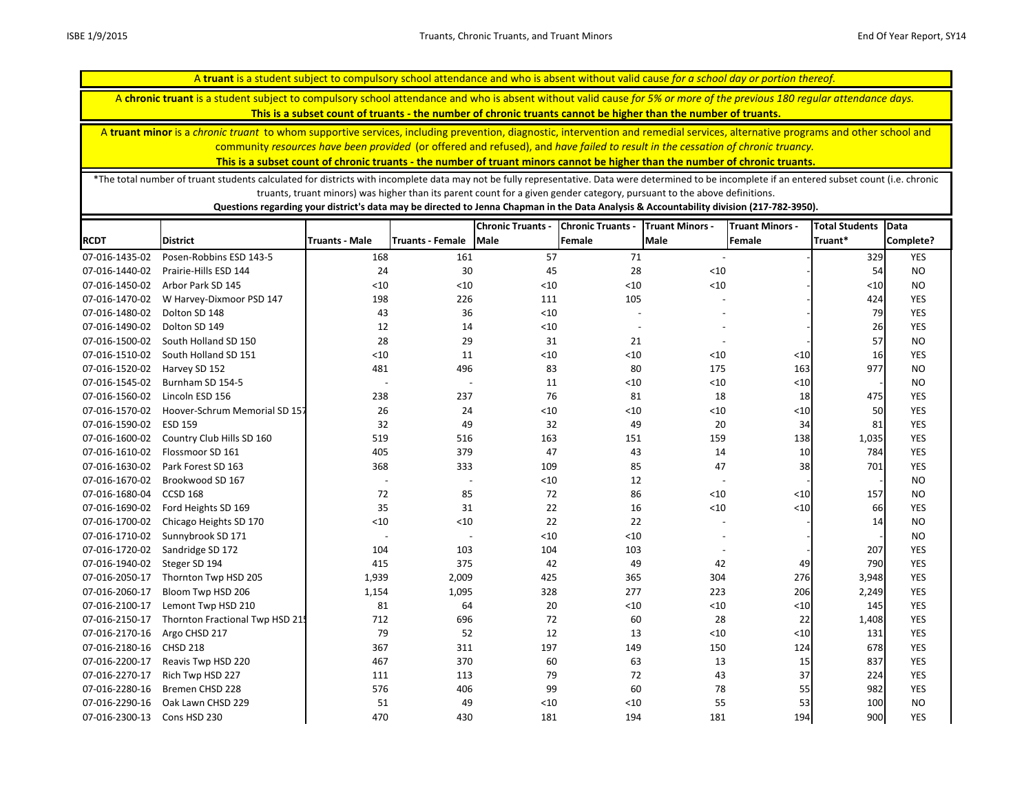A **chronic truant** is a student subject to compulsory school attendance and who is absent without valid cause *for 5% or more of the previous 180 regular attendance days.* 

**This is a subset count of truants - the number of chronic truants cannot be higher than the number of truants.**

A **truant minor** is a *chronic truant* to whom supportive services, including prevention, diagnostic, intervention and remedial services, alternative programs and other school and community *resources have been provided* (or offered and refused), and *have failed to result in the cessation of chronic truancy.* 

**This is a subset count of chronic truants - the number of truant minors cannot be higher than the number of chronic truants.**

\*The total number of truant students calculated for districts with incomplete data may not be fully representative. Data were determined to be incomplete if an entered subset count (i.e. chronic truants, truant minors) was higher than its parent count for a given gender category, pursuant to the above definitions.

|                |                                 |                          |                          | <b>Chronic Truants -</b> | <b>Chronic Truants -</b> | <b>Truant Minors -</b>   | <b>Truant Minors -</b> | <b>Total Students</b> | Data       |
|----------------|---------------------------------|--------------------------|--------------------------|--------------------------|--------------------------|--------------------------|------------------------|-----------------------|------------|
| <b>RCDT</b>    | <b>District</b>                 | <b>Truants - Male</b>    | <b>Truants - Female</b>  | Male                     | Female                   | Male                     | Female                 | Truant*               | Complete?  |
| 07-016-1435-02 | Posen-Robbins ESD 143-5         | 168                      | 161                      | 57                       | 71                       |                          |                        | 329                   | <b>YES</b> |
| 07-016-1440-02 | Prairie-Hills ESD 144           | 24                       | 30                       | 45                       | 28                       | < 10                     |                        | 54                    | <b>NO</b>  |
| 07-016-1450-02 | Arbor Park SD 145               | < 10                     | < 10                     | < 10                     | < 10                     | < 10                     |                        | $<$ 10                | <b>NO</b>  |
| 07-016-1470-02 | W Harvey-Dixmoor PSD 147        | 198                      | 226                      | 111                      | 105                      |                          |                        | 424                   | <b>YES</b> |
| 07-016-1480-02 | Dolton SD 148                   | 43                       | 36                       | $<10$                    |                          |                          |                        | 79                    | <b>YES</b> |
| 07-016-1490-02 | Dolton SD 149                   | 12                       | 14                       | $<10$                    | $\overline{\phantom{a}}$ |                          |                        | 26                    | <b>YES</b> |
| 07-016-1500-02 | South Holland SD 150            | 28                       | 29                       | 31                       | 21                       |                          |                        | 57                    | <b>NO</b>  |
| 07-016-1510-02 | South Holland SD 151            | < 10                     | 11                       | < 10                     | < 10                     | < 10                     | $<10$                  | 16                    | <b>YES</b> |
| 07-016-1520-02 | Harvey SD 152                   | 481                      | 496                      | 83                       | 80                       | 175                      | 163                    | 977                   | <b>NO</b>  |
| 07-016-1545-02 | Burnham SD 154-5                | $\overline{\phantom{a}}$ | $\overline{\phantom{a}}$ | 11                       | < 10                     | < 10                     | $<\!\!10$              |                       | <b>NO</b>  |
| 07-016-1560-02 | Lincoln ESD 156                 | 238                      | 237                      | 76                       | 81                       | 18                       | 18                     | 475                   | <b>YES</b> |
| 07-016-1570-02 | Hoover-Schrum Memorial SD 157   | 26                       | 24                       | $<10$                    | < 10                     | < 10                     | $<10$                  | 50                    | <b>YES</b> |
| 07-016-1590-02 | <b>ESD 159</b>                  | 32                       | 49                       | 32                       | 49                       | 20                       | 34                     | 81                    | <b>YES</b> |
| 07-016-1600-02 | Country Club Hills SD 160       | 519                      | 516                      | 163                      | 151                      | 159                      | 138                    | 1,035                 | <b>YES</b> |
| 07-016-1610-02 | Flossmoor SD 161                | 405                      | 379                      | 47                       | 43                       | 14                       | 10                     | 784                   | <b>YES</b> |
| 07-016-1630-02 | Park Forest SD 163              | 368                      | 333                      | 109                      | 85                       | 47                       | 38                     | 701                   | <b>YES</b> |
| 07-016-1670-02 | Brookwood SD 167                | $\overline{\phantom{a}}$ | $\overline{\phantom{a}}$ | $<10$                    | 12                       | $\overline{\phantom{a}}$ |                        |                       | <b>NO</b>  |
| 07-016-1680-04 | <b>CCSD 168</b>                 | 72                       | 85                       | 72                       | 86                       | < 10                     | $<10$                  | 157                   | <b>NO</b>  |
| 07-016-1690-02 | Ford Heights SD 169             | 35                       | 31                       | 22                       | 16                       | < 10                     | $<10$                  | 66                    | <b>YES</b> |
| 07-016-1700-02 | Chicago Heights SD 170          | < 10                     | < 10                     | 22                       | 22                       |                          |                        | 14                    | <b>NO</b>  |
| 07-016-1710-02 | Sunnybrook SD 171               | $\overline{\phantom{a}}$ | $\overline{a}$           | < 10                     | < 10                     |                          |                        |                       | <b>NO</b>  |
| 07-016-1720-02 | Sandridge SD 172                | 104                      | 103                      | 104                      | 103                      |                          |                        | 207                   | <b>YES</b> |
| 07-016-1940-02 | Steger SD 194                   | 415                      | 375                      | 42                       | 49                       | 42                       | 49                     | 790                   | YES        |
| 07-016-2050-17 | Thornton Twp HSD 205            | 1,939                    | 2,009                    | 425                      | 365                      | 304                      | 276                    | 3,948                 | <b>YES</b> |
| 07-016-2060-17 | Bloom Twp HSD 206               | 1,154                    | 1,095                    | 328                      | 277                      | 223                      | 206                    | 2,249                 | <b>YES</b> |
| 07-016-2100-17 | Lemont Twp HSD 210              | 81                       | 64                       | 20                       | $<10$                    | < 10                     | $<10$                  | 145                   | <b>YES</b> |
| 07-016-2150-17 | Thornton Fractional Twp HSD 215 | 712                      | 696                      | 72                       | 60                       | 28                       | 22                     | 1,408                 | YES        |
| 07-016-2170-16 | Argo CHSD 217                   | 79                       | 52                       | 12                       | 13                       | < 10                     | $<\!\!10$              | 131                   | YES        |
| 07-016-2180-16 | <b>CHSD 218</b>                 | 367                      | 311                      | 197                      | 149                      | 150                      | 124                    | 678                   | <b>YES</b> |
| 07-016-2200-17 | Reavis Twp HSD 220              | 467                      | 370                      | 60                       | 63                       | 13                       | 15                     | 837                   | <b>YES</b> |
| 07-016-2270-17 | Rich Twp HSD 227                | 111                      | 113                      | 79                       | 72                       | 43                       | 37                     | 224                   | <b>YES</b> |
| 07-016-2280-16 | Bremen CHSD 228                 | 576                      | 406                      | 99                       | 60                       | 78                       | 55                     | 982                   | YES        |
| 07-016-2290-16 | Oak Lawn CHSD 229               | 51                       | 49                       | < 10                     | < 10                     | 55                       | 53                     | 100                   | <b>NO</b>  |
| 07-016-2300-13 | Cons HSD 230                    | 470                      | 430                      | 181                      | 194                      | 181                      | 194                    | 900                   | <b>YES</b> |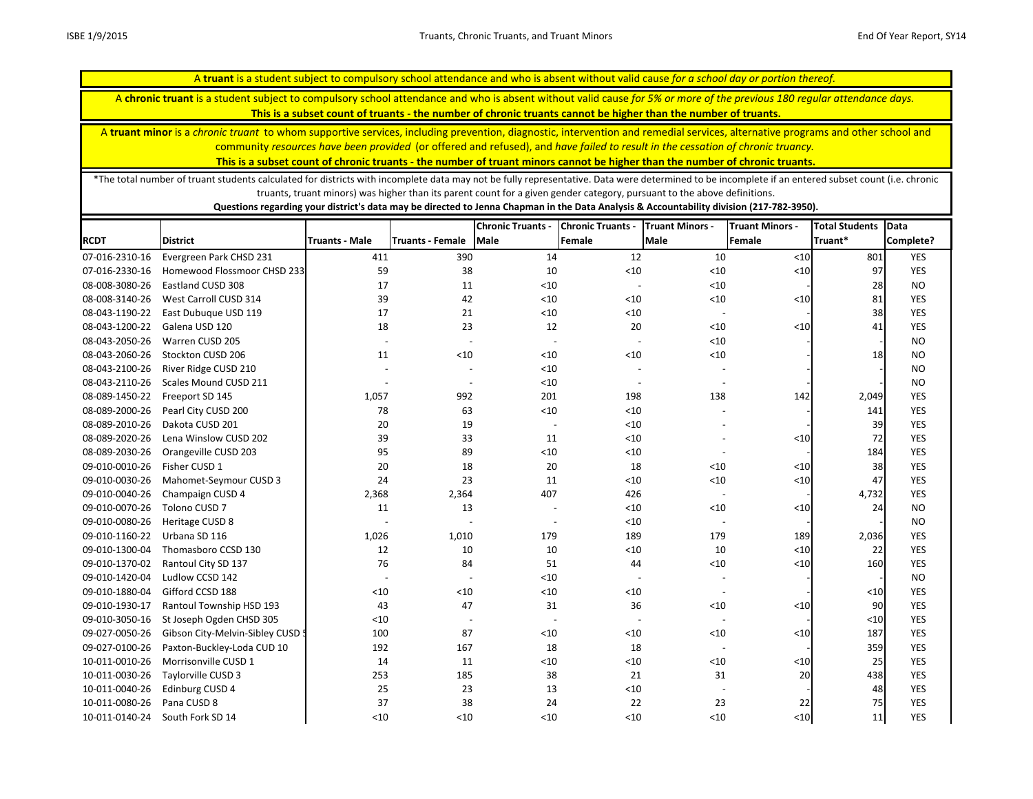A **chronic truant** is a student subject to compulsory school attendance and who is absent without valid cause *for 5% or more of the previous 180 regular attendance days.* 

**This is a subset count of truants - the number of chronic truants cannot be higher than the number of truants.**

A **truant minor** is a *chronic truant* to whom supportive services, including prevention, diagnostic, intervention and remedial services, alternative programs and other school and community *resources have been provided* (or offered and refused), and *have failed to result in the cessation of chronic truancy.* 

**This is a subset count of chronic truants - the number of truant minors cannot be higher than the number of chronic truants.**

\*The total number of truant students calculated for districts with incomplete data may not be fully representative. Data were determined to be incomplete if an entered subset count (i.e. chronic truants, truant minors) was higher than its parent count for a given gender category, pursuant to the above definitions.

|                |                                  |                          |                          | <b>Chronic Truants -</b> | <b>Chronic Truants -</b> | <b>Truant Minors -</b>   | <b>Truant Minors -</b> | <b>Total Students</b> | <b>Data</b> |
|----------------|----------------------------------|--------------------------|--------------------------|--------------------------|--------------------------|--------------------------|------------------------|-----------------------|-------------|
| <b>RCDT</b>    | <b>District</b>                  | <b>Truants - Male</b>    | Truants - Female         | Male                     | Female                   | <b>Male</b>              | Female                 | Truant*               | Complete?   |
| 07-016-2310-16 | Evergreen Park CHSD 231          | 411                      | 390                      | 14                       | 12                       | 10                       | $<10$                  | 801                   | <b>YES</b>  |
| 07-016-2330-16 | Homewood Flossmoor CHSD 233      | 59                       | 38                       | 10                       | < 10                     | $<10$                    | ${<}10$                | 97                    | <b>YES</b>  |
| 08-008-3080-26 | Eastland CUSD 308                | 17                       | 11                       | < 10                     | $\overline{\phantom{a}}$ | < 10                     |                        | 28                    | <b>NO</b>   |
| 08-008-3140-26 | West Carroll CUSD 314            | 39                       | 42                       | < 10                     | < 10                     | $<10$                    | $<10$                  | 81                    | <b>YES</b>  |
| 08-043-1190-22 | East Dubuque USD 119             | 17                       | 21                       | $<10$                    | $<10$                    | $\sim$                   |                        | 38                    | <b>YES</b>  |
| 08-043-1200-22 | Galena USD 120                   | 18                       | 23                       | 12                       | 20                       | $<10$                    | $<10$                  | 41                    | <b>YES</b>  |
| 08-043-2050-26 | Warren CUSD 205                  | $\overline{\phantom{a}}$ | $\overline{\phantom{a}}$ | $\overline{\phantom{a}}$ | $\overline{\phantom{a}}$ | $<10$                    |                        |                       | <b>NO</b>   |
| 08-043-2060-26 | Stockton CUSD 206                | 11                       | < 10                     | < 10                     | $<10$                    | $<10$                    |                        | 18                    | <b>NO</b>   |
| 08-043-2100-26 | River Ridge CUSD 210             |                          |                          | < 10                     |                          |                          |                        |                       | <b>NO</b>   |
| 08-043-2110-26 | Scales Mound CUSD 211            |                          |                          | < 10                     | $\overline{\phantom{0}}$ | $\sim$                   |                        |                       | <b>NO</b>   |
| 08-089-1450-22 | Freeport SD 145                  | 1,057                    | 992                      | 201                      | 198                      | 138                      | 142                    | 2,049                 | <b>YES</b>  |
| 08-089-2000-26 | Pearl City CUSD 200              | 78                       | 63                       | < 10                     | < 10                     |                          |                        | 141                   | <b>YES</b>  |
| 08-089-2010-26 | Dakota CUSD 201                  | 20                       | 19                       | $\sim$                   | < 10                     |                          |                        | 39                    | <b>YES</b>  |
| 08-089-2020-26 | Lena Winslow CUSD 202            | 39                       | 33                       | 11                       | < 10                     |                          | $<10$                  | 72                    | <b>YES</b>  |
| 08-089-2030-26 | Orangeville CUSD 203             | 95                       | 89                       | $<10$                    | < 10                     | $\overline{\phantom{a}}$ |                        | 184                   | <b>YES</b>  |
| 09-010-0010-26 | Fisher CUSD 1                    | 20                       | 18                       | 20                       | 18                       | < 10                     | $<10$                  | 38                    | <b>YES</b>  |
| 09-010-0030-26 | Mahomet-Seymour CUSD 3           | 24                       | 23                       | 11                       | < 10                     | < 10                     | ${<}10$                | 47                    | <b>YES</b>  |
| 09-010-0040-26 | Champaign CUSD 4                 | 2,368                    | 2,364                    | 407                      | 426                      | $\overline{\phantom{a}}$ |                        | 4,732                 | <b>YES</b>  |
| 09-010-0070-26 | Tolono CUSD 7                    | 11                       | 13                       |                          | $<10$                    | < 10                     | < 10                   | 24                    | <b>NO</b>   |
| 09-010-0080-26 | Heritage CUSD 8                  |                          |                          |                          | < 10                     | $\overline{a}$           |                        |                       | <b>NO</b>   |
| 09-010-1160-22 | Urbana SD 116                    | 1,026                    | 1,010                    | 179                      | 189                      | 179                      | 189                    | 2,036                 | <b>YES</b>  |
| 09-010-1300-04 | Thomasboro CCSD 130              | 12                       | 10                       | 10                       | $<10$                    | $10\,$                   | $<$ 10                 | 22                    | <b>YES</b>  |
| 09-010-1370-02 | Rantoul City SD 137              | 76                       | 84                       | 51                       | 44                       | < 10                     | $<10$                  | 160                   | <b>YES</b>  |
| 09-010-1420-04 | Ludlow CCSD 142                  |                          |                          | < 10                     |                          |                          |                        |                       | <b>NO</b>   |
| 09-010-1880-04 | Gifford CCSD 188                 | $<10$                    | < 10                     | $<10$                    | $<10$                    |                          |                        | $<10$                 | <b>YES</b>  |
| 09-010-1930-17 | Rantoul Township HSD 193         | 43                       | 47                       | 31                       | 36                       | < 10                     | $<10$                  | 90                    | <b>YES</b>  |
| 09-010-3050-16 | St Joseph Ogden CHSD 305         | $<10$                    | $\overline{\phantom{a}}$ |                          | $\overline{\phantom{a}}$ |                          |                        | $<10$                 | <b>YES</b>  |
| 09-027-0050-26 | Gibson City-Melvin-Sibley CUSD 5 | 100                      | 87                       | < 10                     | $<10$                    | < 10                     | $<10$                  | 187                   | <b>YES</b>  |
| 09-027-0100-26 | Paxton-Buckley-Loda CUD 10       | 192                      | 167                      | 18                       | 18                       | $\sim$                   |                        | 359                   | <b>YES</b>  |
| 10-011-0010-26 | Morrisonville CUSD 1             | 14                       | 11                       | $<10$                    | < 10                     | $<10$                    | < 10                   | 25                    | <b>YES</b>  |
| 10-011-0030-26 | Taylorville CUSD 3               | 253                      | 185                      | 38                       | 21                       | 31                       | 20                     | 438                   | <b>YES</b>  |
| 10-011-0040-26 | Edinburg CUSD 4                  | 25                       | 23                       | 13                       | < 10                     |                          |                        | 48                    | <b>YES</b>  |
| 10-011-0080-26 | Pana CUSD 8                      | 37                       | 38                       | 24                       | 22                       | 23                       | 22                     | 75                    | <b>YES</b>  |
| 10-011-0140-24 | South Fork SD 14                 | < 10                     | < 10                     | < 10                     | < 10                     | < 10                     | < 10                   | 11                    | <b>YES</b>  |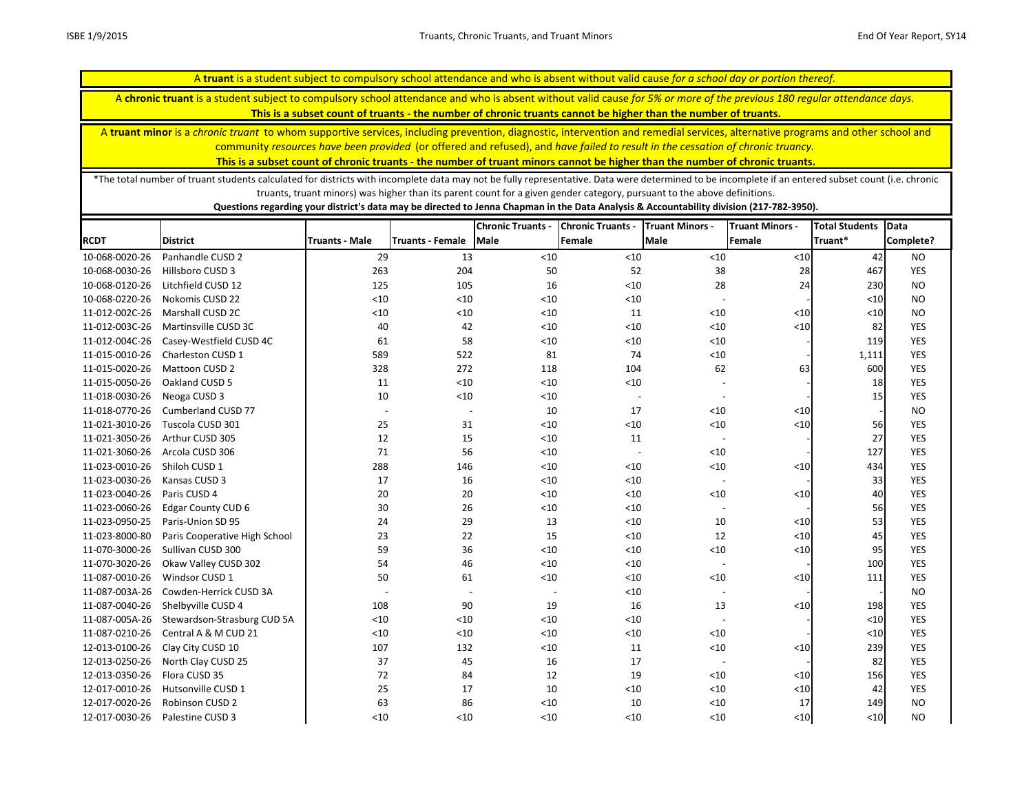A **chronic truant** is a student subject to compulsory school attendance and who is absent without valid cause *for 5% or more of the previous 180 regular attendance days.* 

**This is a subset count of truants - the number of chronic truants cannot be higher than the number of truants.**

A **truant minor** is a *chronic truant* to whom supportive services, including prevention, diagnostic, intervention and remedial services, alternative programs and other school and community *resources have been provided* (or offered and refused), and *have failed to result in the cessation of chronic truancy.* 

**This is a subset count of chronic truants - the number of truant minors cannot be higher than the number of chronic truants.**

\*The total number of truant students calculated for districts with incomplete data may not be fully representative. Data were determined to be incomplete if an entered subset count (i.e. chronic truants, truant minors) was higher than its parent count for a given gender category, pursuant to the above definitions.

|                |                               |                          |                          | <b>Chronic Truants -</b> | <b>Chronic Truants -</b> | <b>Truant Minors -</b>   | <b>Truant Minors -</b> | <b>Total Students</b> | Data       |
|----------------|-------------------------------|--------------------------|--------------------------|--------------------------|--------------------------|--------------------------|------------------------|-----------------------|------------|
| <b>RCDT</b>    | <b>District</b>               | <b>Truants - Male</b>    | <b>Truants - Female</b>  | <b>Male</b>              | Female                   | <b>Male</b>              | Female                 | Truant*               | Complete?  |
| 10-068-0020-26 | Panhandle CUSD 2              | 29                       | 13                       | $<10$                    | $<10$                    | < 10                     | $<10$                  | 42                    | <b>NO</b>  |
| 10-068-0030-26 | Hillsboro CUSD 3              | 263                      | 204                      | 50                       | 52                       | 38                       | 28                     | 467                   | <b>YES</b> |
| 10-068-0120-26 | Litchfield CUSD 12            | 125                      | 105                      | 16                       | $<10$                    | 28                       | 24                     | 230                   | <b>NO</b>  |
| 10-068-0220-26 | Nokomis CUSD 22               | < 10                     | < 10                     | < 10                     | $<10$                    |                          |                        | $<$ 10                | <b>NO</b>  |
| 11-012-002C-26 | Marshall CUSD 2C              | <10                      | $<10$                    | $<10$                    | 11                       | < 10                     | < 10                   | $<$ 10                | <b>NO</b>  |
| 11-012-003C-26 | Martinsville CUSD 3C          | 40                       | 42                       | $<10$                    | $<10$                    | < 10                     | $\leq 10$              | 82                    | <b>YES</b> |
| 11-012-004C-26 | Casey-Westfield CUSD 4C       | 61                       | 58                       | $<10$                    | $<10$                    | $<10$                    |                        | 119                   | YES        |
| 11-015-0010-26 | Charleston CUSD 1             | 589                      | 522                      | 81                       | 74                       | $<10$                    |                        | 1,111                 | YES        |
| 11-015-0020-26 | Mattoon CUSD 2                | 328                      | 272                      | 118                      | 104                      | 62                       | 63                     | 600                   | <b>YES</b> |
| 11-015-0050-26 | Oakland CUSD 5                | 11                       | $<10$                    | < 10                     | $<10$                    |                          |                        | 18                    | <b>YES</b> |
| 11-018-0030-26 | Neoga CUSD 3                  | 10                       | < 10                     | $<10$                    | $\overline{\phantom{a}}$ | $\overline{\phantom{a}}$ |                        | 15                    | YES        |
| 11-018-0770-26 | <b>Cumberland CUSD 77</b>     | $\overline{\phantom{a}}$ | $\overline{\phantom{a}}$ | 10                       | 17                       | < 10                     | < 10                   |                       | <b>NO</b>  |
| 11-021-3010-26 | Tuscola CUSD 301              | 25                       | 31                       | $<10$                    | $<10$                    | < 10                     | < 10                   | 56                    | <b>YES</b> |
| 11-021-3050-26 | Arthur CUSD 305               | 12                       | 15                       | < 10                     | 11                       | $\overline{\phantom{a}}$ |                        | 27                    | <b>YES</b> |
| 11-021-3060-26 | Arcola CUSD 306               | 71                       | 56                       | < 10                     | $\overline{\phantom{a}}$ | < 10                     |                        | 127                   | YES        |
| 11-023-0010-26 | Shiloh CUSD 1                 | 288                      | 146                      | < 10                     | $<10$                    | < 10                     | < 10                   | 434                   | <b>YES</b> |
| 11-023-0030-26 | Kansas CUSD 3                 | 17                       | 16                       | < 10                     | $<10$                    |                          |                        | 33                    | <b>YES</b> |
| 11-023-0040-26 | Paris CUSD 4                  | 20                       | 20                       | < 10                     | $<10$                    | < 10                     | < 10                   | 40                    | <b>YES</b> |
| 11-023-0060-26 | <b>Edgar County CUD 6</b>     | 30                       | 26                       | $<\!\!10$                | $<10$                    |                          |                        | 56                    | YES        |
| 11-023-0950-25 | Paris-Union SD 95             | 24                       | 29                       | 13                       | $<10$                    | 10                       | $<10$                  | 53                    | YES        |
| 11-023-8000-80 | Paris Cooperative High School | 23                       | 22                       | 15                       | $<10$                    | 12                       | $\leq 10$              | 45                    | <b>YES</b> |
| 11-070-3000-26 | Sullivan CUSD 300             | 59                       | 36                       | $<10$                    | $<10$                    | $<10$                    | $<10$                  | 95                    | YES        |
| 11-070-3020-26 | Okaw Valley CUSD 302          | 54                       | 46                       | $<10$                    | $<10$                    |                          |                        | 100                   | <b>YES</b> |
| 11-087-0010-26 | Windsor CUSD 1                | 50                       | 61                       | $<10$                    | $<10$                    | < 10                     | < 10                   | 111                   | YES        |
| 11-087-003A-26 | Cowden-Herrick CUSD 3A        |                          |                          |                          | $<10$                    |                          |                        |                       | <b>NO</b>  |
| 11-087-0040-26 | Shelbyville CUSD 4            | 108                      | 90                       | 19                       | 16                       | 13                       | < 10                   | 198                   | YES        |
| 11-087-005A-26 | Stewardson-Strasburg CUD 5A   | < 10                     | < 10                     | $<10$                    | $<10$                    |                          |                        | $<10$                 | YES        |
| 11-087-0210-26 | Central A & M CUD 21          | < 10                     | < 10                     | $<10$                    | $<10$                    | < 10                     |                        | $<10$                 | <b>YES</b> |
| 12-013-0100-26 | Clay City CUSD 10             | 107                      | 132                      | $<10$                    | 11                       | < 10                     | < 10                   | 239                   | <b>YES</b> |
| 12-013-0250-26 | North Clay CUSD 25            | 37                       | 45                       | 16                       | 17                       | $\overline{\phantom{a}}$ |                        | 82                    | YES        |
| 12-013-0350-26 | Flora CUSD 35                 | 72                       | 84                       | 12                       | 19                       | < 10                     | < 10                   | 156                   | <b>YES</b> |
| 12-017-0010-26 | Hutsonville CUSD 1            | 25                       | 17                       | 10                       | $<10$                    | < 10                     | $<10$                  | 42                    | YES        |
| 12-017-0020-26 | Robinson CUSD 2               | 63                       | 86                       | < 10                     | 10                       | < 10                     | 17                     | 149                   | <b>NO</b>  |
| 12-017-0030-26 | Palestine CUSD 3              | < 10                     | < 10                     | < 10                     | < 10                     | < 10                     | $10$                   | $<$ 10                | <b>NO</b>  |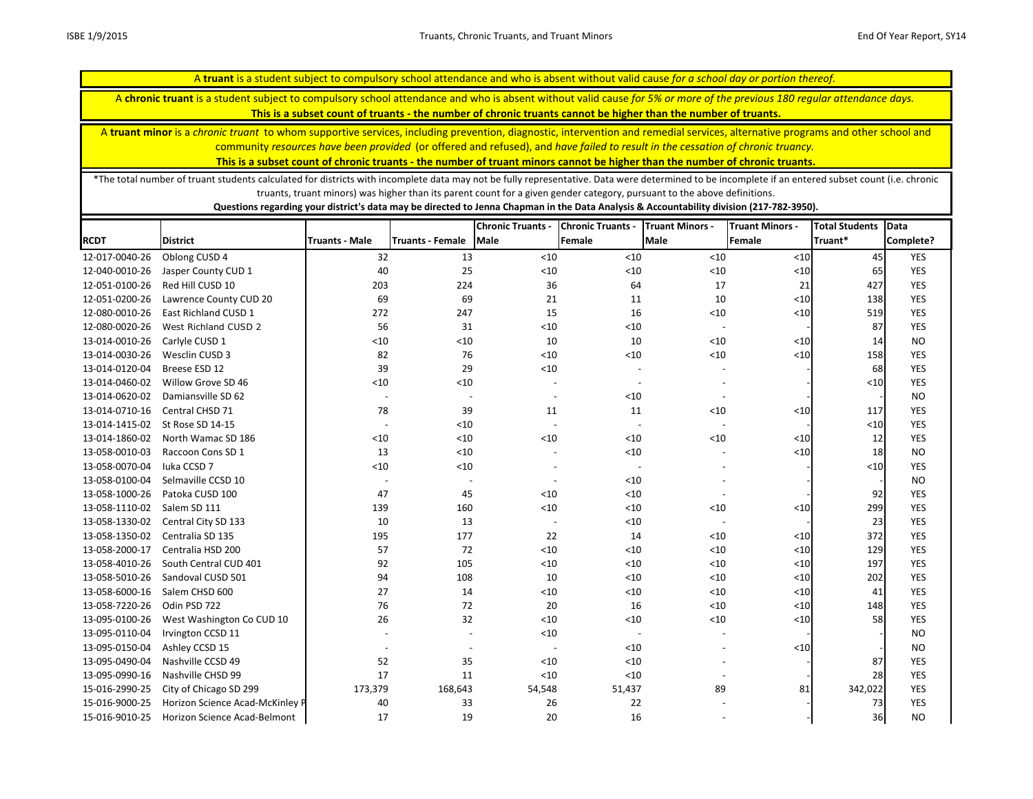A **chronic truant** is a student subject to compulsory school attendance and who is absent without valid cause *for 5% or more of the previous 180 regular attendance days.* 

**This is a subset count of truants - the number of chronic truants cannot be higher than the number of truants.**

A **truant minor** is a *chronic truant* to whom supportive services, including prevention, diagnostic, intervention and remedial services, alternative programs and other school and community *resources have been provided* (or offered and refused), and *have failed to result in the cessation of chronic truancy.* 

**This is a subset count of chronic truants - the number of truant minors cannot be higher than the number of chronic truants.**

\*The total number of truant students calculated for districts with incomplete data may not be fully representative. Data were determined to be incomplete if an entered subset count (i.e. chronic truants, truant minors) was higher than its parent count for a given gender category, pursuant to the above definitions.

|                |                                 |                          |                          | <b>Chronic Truants -</b> | <b>Chronic Truants -</b> | <b>Truant Minors -</b>   | <b>Truant Minors -</b> | <b>Total Students</b> | <b>Data</b> |
|----------------|---------------------------------|--------------------------|--------------------------|--------------------------|--------------------------|--------------------------|------------------------|-----------------------|-------------|
| <b>RCDT</b>    | <b>District</b>                 | <b>Truants - Male</b>    | <b>Truants - Female</b>  | <b>Male</b>              | Female                   | <b>Male</b>              | Female                 | Truant*               | Complete?   |
| 12-017-0040-26 | Oblong CUSD 4                   | 32                       | 13                       | $<10$                    | < 10                     | < 10                     | $<10$                  | 45                    | <b>YES</b>  |
| 12-040-0010-26 | Jasper County CUD 1             | 40                       | 25                       | < 10                     | $<10$                    | $<10$                    | $<10$                  | 65                    | <b>YES</b>  |
| 12-051-0100-26 | Red Hill CUSD 10                | 203                      | 224                      | 36                       | 64                       | 17                       | 21                     | 427                   | <b>YES</b>  |
| 12-051-0200-26 | Lawrence County CUD 20          | 69                       | 69                       | 21                       | 11                       | 10                       | ${<}10$                | 138                   | <b>YES</b>  |
| 12-080-0010-26 | <b>East Richland CUSD 1</b>     | 272                      | 247                      | 15                       | 16                       | $<10$                    | $<10$                  | 519                   | <b>YES</b>  |
| 12-080-0020-26 | West Richland CUSD 2            | 56                       | 31                       | < 10                     | < 10                     | $\overline{\phantom{a}}$ |                        | 87                    | <b>YES</b>  |
| 13-014-0010-26 | Carlyle CUSD 1                  | $<10$                    | < 10                     | 10                       | 10                       | < 10                     | $<10$                  | 14                    | <b>NO</b>   |
| 13-014-0030-26 | Wesclin CUSD 3                  | 82                       | 76                       | $<10$                    | $<10$                    | < 10                     | $<$ 10                 | 158                   | <b>YES</b>  |
| 13-014-0120-04 | Breese ESD 12                   | 39                       | 29                       | $<10$                    |                          |                          |                        | 68                    | <b>YES</b>  |
| 13-014-0460-02 | Willow Grove SD 46              | < 10                     | < 10                     |                          |                          |                          |                        | < 10                  | <b>YES</b>  |
| 13-014-0620-02 | Damiansville SD 62              | $\overline{\phantom{a}}$ | $\overline{a}$           | $\overline{\phantom{a}}$ | $<10$                    |                          |                        |                       | <b>NO</b>   |
| 13-014-0710-16 | Central CHSD 71                 | 78                       | 39                       | 11                       | 11                       | < 10                     | < 10                   | 117                   | <b>YES</b>  |
| 13-014-1415-02 | St Rose SD 14-15                | $\overline{\phantom{a}}$ | $<10$                    | $\overline{\phantom{a}}$ | $\overline{\phantom{a}}$ |                          |                        | $<10$                 | <b>YES</b>  |
| 13-014-1860-02 | North Wamac SD 186              | < 10                     | < 10                     | $<10$                    | < 10                     | < 10                     | < 10                   | 12                    | <b>YES</b>  |
| 13-058-0010-03 | Raccoon Cons SD 1               | 13                       | < 10                     |                          | $<10$                    |                          | $<10$                  | 18                    | <b>NO</b>   |
| 13-058-0070-04 | Iuka CCSD 7                     | < 10                     | < 10                     |                          | $\overline{\phantom{a}}$ |                          |                        | $<10$                 | <b>YES</b>  |
| 13-058-0100-04 | Selmaville CCSD 10              | $\overline{\phantom{a}}$ | $\overline{a}$           |                          | < 10                     |                          |                        |                       | <b>NO</b>   |
| 13-058-1000-26 | Patoka CUSD 100                 | 47                       | 45                       | < 10                     | < 10                     |                          |                        | 92                    | <b>YES</b>  |
| 13-058-1110-02 | Salem SD 111                    | 139                      | 160                      | $<10$                    | < 10                     | < 10                     | ${<}10$                | 299                   | <b>YES</b>  |
| 13-058-1330-02 | Central City SD 133             | 10                       | 13                       |                          | $<10$                    |                          |                        | 23                    | <b>YES</b>  |
| 13-058-1350-02 | Centralia SD 135                | 195                      | 177                      | 22                       | 14                       | < 10                     | $<10$                  | 372                   | <b>YES</b>  |
| 13-058-2000-17 | Centralia HSD 200               | 57                       | 72                       | $<10$                    | $<10$                    | $<10$                    | $<\!\!10$              | 129                   | <b>YES</b>  |
| 13-058-4010-26 | South Central CUD 401           | 92                       | 105                      | $<10$                    | < 10                     | < 10                     | $<10$                  | 197                   | <b>YES</b>  |
| 13-058-5010-26 | Sandoval CUSD 501               | 94                       | 108                      | 10                       | $<10$                    | $<10$                    | $<10$                  | 202                   | <b>YES</b>  |
| 13-058-6000-16 | Salem CHSD 600                  | 27                       | 14                       | $<10$                    | < 10                     | < 10                     | $<10$                  | 41                    | <b>YES</b>  |
| 13-058-7220-26 | Odin PSD 722                    | 76                       | 72                       | 20                       | 16                       | < 10                     | $<10$                  | 148                   | <b>YES</b>  |
| 13-095-0100-26 | West Washington Co CUD 10       | 26                       | 32                       | $<10$                    | < 10                     | < 10                     | < 10                   | 58                    | <b>YES</b>  |
| 13-095-0110-04 | Irvington CCSD 11               |                          | $\overline{\phantom{a}}$ | $<10$                    | $\overline{\phantom{a}}$ |                          |                        |                       | <b>NO</b>   |
| 13-095-0150-04 | Ashley CCSD 15                  | $\overline{a}$           | $\overline{\phantom{a}}$ |                          | < 10                     |                          | < 10                   |                       | <b>NO</b>   |
| 13-095-0490-04 | Nashville CCSD 49               | 52                       | 35                       | < 10                     | < 10                     |                          |                        | 87                    | <b>YES</b>  |
| 13-095-0990-16 | Nashville CHSD 99               | 17                       | 11                       | < 10                     | < 10                     |                          |                        | 28                    | <b>YES</b>  |
| 15-016-2990-25 | City of Chicago SD 299          | 173,379                  | 168,643                  | 54,548                   | 51,437                   | 89                       | 81                     | 342,022               | <b>YES</b>  |
| 15-016-9000-25 | Horizon Science Acad-McKinley P | 40                       | 33                       | 26                       | 22                       |                          |                        | 73                    | <b>YES</b>  |
| 15-016-9010-25 | Horizon Science Acad-Belmont    | 17                       | 19                       | 20                       | 16                       |                          |                        | 36                    | <b>NO</b>   |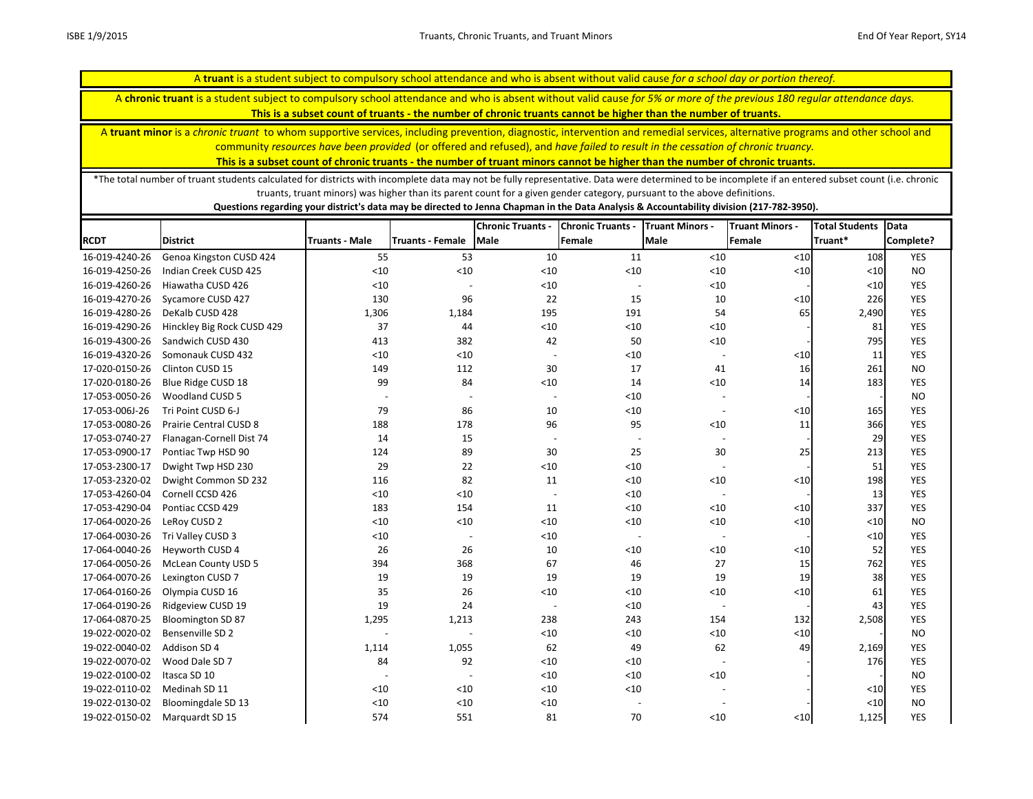A **chronic truant** is a student subject to compulsory school attendance and who is absent without valid cause *for 5% or more of the previous 180 regular attendance days.* 

**This is a subset count of truants - the number of chronic truants cannot be higher than the number of truants.**

A **truant minor** is a *chronic truant* to whom supportive services, including prevention, diagnostic, intervention and remedial services, alternative programs and other school and community *resources have been provided* (or offered and refused), and *have failed to result in the cessation of chronic truancy.* 

**This is a subset count of chronic truants - the number of truant minors cannot be higher than the number of chronic truants.**

\*The total number of truant students calculated for districts with incomplete data may not be fully representative. Data were determined to be incomplete if an entered subset count (i.e. chronic truants, truant minors) was higher than its parent count for a given gender category, pursuant to the above definitions.

|                |                               |                          |                         | <b>Chronic Truants</b> | <b>Chronic Truants -</b> | <b>Truant Minors -</b>   | <b>Truant Minors -</b> | <b>Total Students</b> | Data       |
|----------------|-------------------------------|--------------------------|-------------------------|------------------------|--------------------------|--------------------------|------------------------|-----------------------|------------|
| <b>RCDT</b>    | <b>District</b>               | <b>Truants - Male</b>    | <b>Truants - Female</b> | <b>Male</b>            | Female                   | <b>Male</b>              | Female                 | Truant*               | Complete?  |
| 16-019-4240-26 | Genoa Kingston CUSD 424       | 55                       | 53                      | 10                     | 11                       | < 10                     | < 10                   | 108                   | <b>YES</b> |
| 16-019-4250-26 | Indian Creek CUSD 425         | $<10$                    | < 10                    | < 10                   | < 10                     | < 10                     | < 10                   | < 10                  | <b>NO</b>  |
| 16-019-4260-26 | Hiawatha CUSD 426             | $<10$                    |                         | < 10                   |                          | < 10                     |                        | $<10$                 | <b>YES</b> |
| 16-019-4270-26 | Sycamore CUSD 427             | 130                      | 96                      | 22                     | 15                       | 10                       | < 10                   | 226                   | <b>YES</b> |
| 16-019-4280-26 | DeKalb CUSD 428               | 1,306                    | 1,184                   | 195                    | 191                      | 54                       | 65                     | 2,490                 | <b>YES</b> |
| 16-019-4290-26 | Hinckley Big Rock CUSD 429    | 37                       | 44                      | $<10$                  | < 10                     | < 10                     |                        | 81                    | <b>YES</b> |
| 16-019-4300-26 | Sandwich CUSD 430             | 413                      | 382                     | 42                     | 50                       | $<10$                    |                        | 795                   | <b>YES</b> |
| 16-019-4320-26 | Somonauk CUSD 432             | $<10$                    | $<$ 10                  |                        | < 10                     |                          | < 10                   | 11                    | <b>YES</b> |
| 17-020-0150-26 | Clinton CUSD 15               | 149                      | 112                     | 30                     | 17                       | 41                       | 16                     | 261                   | <b>NO</b>  |
| 17-020-0180-26 | Blue Ridge CUSD 18            | 99                       | 84                      | $<10$                  | 14                       | $<10$                    | 14                     | 183                   | <b>YES</b> |
| 17-053-0050-26 | Woodland CUSD 5               | $\overline{\phantom{a}}$ |                         |                        | < 10                     |                          |                        |                       | <b>NO</b>  |
| 17-053-006J-26 | Tri Point CUSD 6-J            | 79                       | 86                      | 10                     | $<10$                    |                          | < 10                   | 165                   | <b>YES</b> |
| 17-053-0080-26 | <b>Prairie Central CUSD 8</b> | 188                      | 178                     | 96                     | 95                       | $<10$                    | 11                     | 366                   | <b>YES</b> |
| 17-053-0740-27 | Flanagan-Cornell Dist 74      | 14                       | 15                      |                        | $\overline{\phantom{a}}$ |                          |                        | 29                    | <b>YES</b> |
| 17-053-0900-17 | Pontiac Twp HSD 90            | 124                      | 89                      | 30                     | 25                       | 30                       | 25                     | 213                   | <b>YES</b> |
| 17-053-2300-17 | Dwight Twp HSD 230            | 29                       | 22                      | < 10                   | < 10                     |                          |                        | 51                    | <b>YES</b> |
| 17-053-2320-02 | Dwight Common SD 232          | 116                      | 82                      | 11                     | $<10$                    | $<10$                    | < 10                   | 198                   | <b>YES</b> |
| 17-053-4260-04 | Cornell CCSD 426              | $<10$                    | < 10                    |                        | < 10                     |                          |                        | 13                    | <b>YES</b> |
| 17-053-4290-04 | Pontiac CCSD 429              | 183                      | 154                     | 11                     | $<10$                    | < 10                     | < 10                   | 337                   | <b>YES</b> |
| 17-064-0020-26 | LeRoy CUSD 2                  | < 10                     | < 10                    | $<10$                  | $<10$                    | $<10$                    | $<10$                  | $<10$                 | <b>NO</b>  |
| 17-064-0030-26 | Tri Valley CUSD 3             | < 10                     |                         | < 10                   | $\overline{\phantom{a}}$ |                          |                        | $<10$                 | <b>YES</b> |
| 17-064-0040-26 | Heyworth CUSD 4               | 26                       | 26                      | 10                     | $<10$                    | < 10                     | < 10                   | 52                    | <b>YES</b> |
| 17-064-0050-26 | <b>McLean County USD 5</b>    | 394                      | 368                     | 67                     | 46                       | 27                       | 15                     | 762                   | <b>YES</b> |
| 17-064-0070-26 | Lexington CUSD 7              | 19                       | 19                      | 19                     | 19                       | 19                       | 19                     | 38                    | <b>YES</b> |
| 17-064-0160-26 | Olympia CUSD 16               | 35                       | 26                      | < 10                   | $<10$                    | $<10$                    | < 10                   | 61                    | <b>YES</b> |
| 17-064-0190-26 | Ridgeview CUSD 19             | 19                       | 24                      |                        | < 10                     | $\overline{\phantom{a}}$ |                        | 43                    | <b>YES</b> |
| 17-064-0870-25 | <b>Bloomington SD 87</b>      | 1,295                    | 1,213                   | 238                    | 243                      | 154                      | 132                    | 2,508                 | <b>YES</b> |
| 19-022-0020-02 | Bensenville SD 2              |                          |                         | < 10                   | < 10                     | < 10                     | < 10                   |                       | <b>NO</b>  |
| 19-022-0040-02 | Addison SD 4                  | 1,114                    | 1,055                   | 62                     | 49                       | 62                       | 49                     | 2,169                 | <b>YES</b> |
| 19-022-0070-02 | Wood Dale SD 7                | 84                       | 92                      | $<10$                  | $<10$                    |                          |                        | 176                   | <b>YES</b> |
| 19-022-0100-02 | Itasca SD 10                  | $\overline{\phantom{a}}$ |                         | $<10$                  | $<10$                    | < 10                     |                        |                       | <b>NO</b>  |
| 19-022-0110-02 | Medinah SD 11                 | < 10                     | < 10                    | $<10$                  | $<10$                    |                          |                        | $<10$                 | <b>YES</b> |
| 19-022-0130-02 | Bloomingdale SD 13            | $<10$                    | < 10                    | $<10$                  | $\overline{\phantom{a}}$ | $\overline{\phantom{a}}$ |                        | $<10$                 | <b>NO</b>  |
| 19-022-0150-02 | Marquardt SD 15               | 574                      | 551                     | 81                     | 70                       | ${<}10$                  | $\leq 10$              | 1,125                 | <b>YES</b> |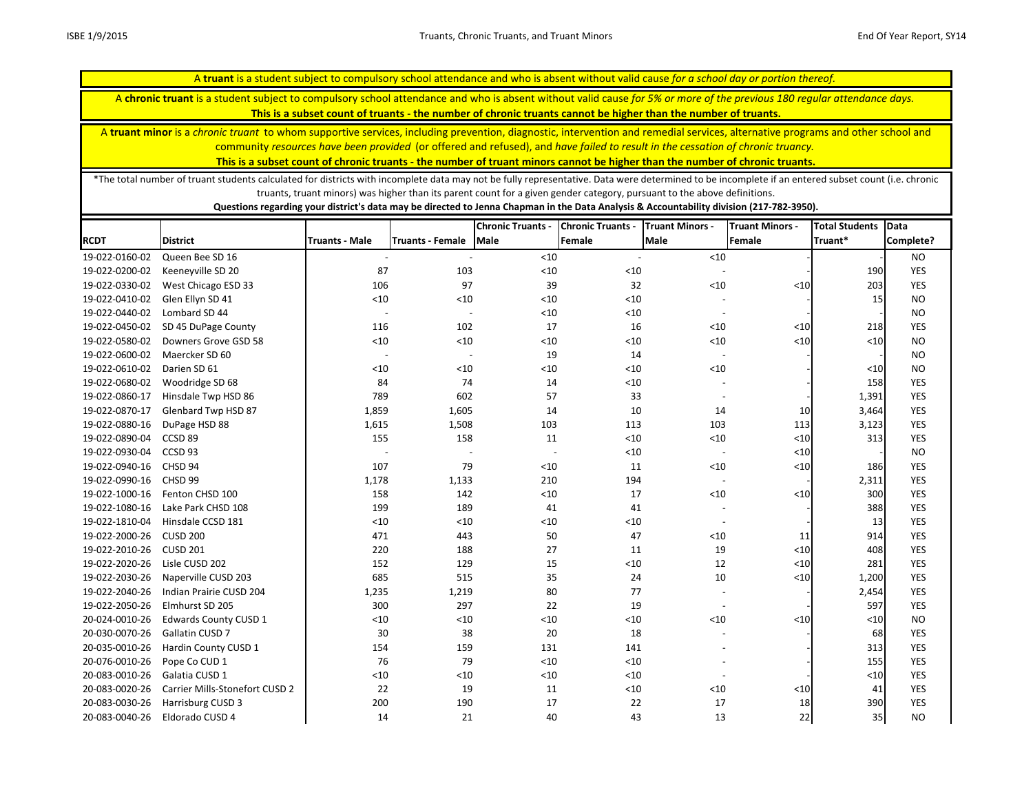A **chronic truant** is a student subject to compulsory school attendance and who is absent without valid cause *for 5% or more of the previous 180 regular attendance days.* 

**This is a subset count of truants - the number of chronic truants cannot be higher than the number of truants.**

A **truant minor** is a *chronic truant* to whom supportive services, including prevention, diagnostic, intervention and remedial services, alternative programs and other school and community *resources have been provided* (or offered and refused), and *have failed to result in the cessation of chronic truancy.* 

**This is a subset count of chronic truants - the number of truant minors cannot be higher than the number of chronic truants.**

\*The total number of truant students calculated for districts with incomplete data may not be fully representative. Data were determined to be incomplete if an entered subset count (i.e. chronic truants, truant minors) was higher than its parent count for a given gender category, pursuant to the above definitions.

|                |                                |                          |                          | <b>Chronic Truants -</b> | <b>Chronic Truants -</b> | <b>Truant Minors -</b>   | <b>Truant Minors -</b> | <b>Total Students</b> | <b>Data</b> |
|----------------|--------------------------------|--------------------------|--------------------------|--------------------------|--------------------------|--------------------------|------------------------|-----------------------|-------------|
| <b>RCDT</b>    | <b>District</b>                | <b>Truants - Male</b>    | <b>Truants - Female</b>  | <b>Male</b>              | Female                   | Male                     | Female                 | Truant*               | Complete?   |
| 19-022-0160-02 | Queen Bee SD 16                |                          |                          | $<10$                    |                          | < 10                     |                        |                       | <b>NO</b>   |
| 19-022-0200-02 | Keeneyville SD 20              | 87                       | 103                      | < 10                     | $<10$                    |                          |                        | 190                   | <b>YES</b>  |
| 19-022-0330-02 | West Chicago ESD 33            | 106                      | 97                       | 39                       | 32                       | < 10                     | $<10$                  | 203                   | <b>YES</b>  |
| 19-022-0410-02 | Glen Ellyn SD 41               | $<10$                    | $<10$                    | < 10                     | $<10$                    |                          |                        | 15                    | <b>NO</b>   |
| 19-022-0440-02 | Lombard SD 44                  | $\sim$                   | $\overline{\phantom{a}}$ | $<10$                    | $<10$                    |                          |                        |                       | <b>NO</b>   |
| 19-022-0450-02 | SD 45 DuPage County            | 116                      | 102                      | 17                       | 16                       | < 10                     | $<\!\!10$              | 218                   | <b>YES</b>  |
| 19-022-0580-02 | Downers Grove GSD 58           | $<10$                    | < 10                     | $<10$                    | $<10$                    | < 10                     | $<$ 10                 | < 10                  | <b>NO</b>   |
| 19-022-0600-02 | Maercker SD 60                 | $\overline{\phantom{a}}$ | $\overline{\phantom{a}}$ | 19                       | 14                       |                          |                        |                       | <b>NO</b>   |
| 19-022-0610-02 | Darien SD 61                   | $<10$                    | $<10$                    | < 10                     | $<10$                    | $<10$                    |                        | $<10$                 | <b>NO</b>   |
| 19-022-0680-02 | Woodridge SD 68                | 84                       | 74                       | 14                       | $<10$                    |                          |                        | 158                   | <b>YES</b>  |
| 19-022-0860-17 | Hinsdale Twp HSD 86            | 789                      | 602                      | 57                       | 33                       |                          |                        | 1,391                 | <b>YES</b>  |
| 19-022-0870-17 | Glenbard Twp HSD 87            | 1,859                    | 1,605                    | 14                       | 10                       | 14                       | 10                     | 3,464                 | <b>YES</b>  |
| 19-022-0880-16 | DuPage HSD 88                  | 1,615                    | 1,508                    | 103                      | 113                      | 103                      | 113                    | 3,123                 | <b>YES</b>  |
| 19-022-0890-04 | CCSD <sub>89</sub>             | 155                      | 158                      | 11                       | < 10                     | < 10                     | $<10$                  | 313                   | <b>YES</b>  |
| 19-022-0930-04 | CCSD 93                        |                          | $\overline{a}$           | $\overline{\phantom{a}}$ | $<10$                    | $\overline{\phantom{a}}$ | $<10$                  |                       | <b>NO</b>   |
| 19-022-0940-16 | CHSD 94                        | 107                      | 79                       | < 10                     | 11                       | < 10                     | $<10$                  | 186                   | <b>YES</b>  |
| 19-022-0990-16 | CHSD 99                        | 1,178                    | 1,133                    | 210                      | 194                      | $\blacksquare$           |                        | 2,311                 | <b>YES</b>  |
| 19-022-1000-16 | Fenton CHSD 100                | 158                      | 142                      | < 10                     | 17                       | $<10$                    | $<10$                  | 300                   | <b>YES</b>  |
| 19-022-1080-16 | Lake Park CHSD 108             | 199                      | 189                      | 41                       | 41                       |                          |                        | 388                   | <b>YES</b>  |
| 19-022-1810-04 | Hinsdale CCSD 181              | $<10$                    | $<10$                    | < 10                     | $<10$                    |                          |                        | 13                    | <b>YES</b>  |
| 19-022-2000-26 | <b>CUSD 200</b>                | 471                      | 443                      | 50                       | 47                       | < 10                     | 11                     | 914                   | <b>YES</b>  |
| 19-022-2010-26 | <b>CUSD 201</b>                | 220                      | 188                      | 27                       | 11                       | 19                       | $<$ 10                 | 408                   | <b>YES</b>  |
| 19-022-2020-26 | Lisle CUSD 202                 | 152                      | 129                      | 15                       | $<10$                    | 12                       | $<$ 10                 | 281                   | <b>YES</b>  |
| 19-022-2030-26 | Naperville CUSD 203            | 685                      | 515                      | 35                       | 24                       | $10\,$                   | $<\!\!10$              | 1,200                 | <b>YES</b>  |
| 19-022-2040-26 | Indian Prairie CUSD 204        | 1,235                    | 1,219                    | 80                       | 77                       |                          |                        | 2,454                 | <b>YES</b>  |
| 19-022-2050-26 | Elmhurst SD 205                | 300                      | 297                      | 22                       | 19                       |                          |                        | 597                   | <b>YES</b>  |
| 20-024-0010-26 | <b>Edwards County CUSD 1</b>   | < 10                     | < 10                     | $<10$                    | < 10                     | < 10                     | < 10                   | $<10$                 | <b>NO</b>   |
| 20-030-0070-26 | Gallatin CUSD 7                | 30                       | 38                       | 20                       | 18                       |                          |                        | 68                    | <b>YES</b>  |
| 20-035-0010-26 | Hardin County CUSD 1           | 154                      | 159                      | 131                      | 141                      |                          |                        | 313                   | <b>YES</b>  |
| 20-076-0010-26 | Pope Co CUD 1                  | 76                       | 79                       | < 10                     | < 10                     |                          |                        | 155                   | <b>YES</b>  |
| 20-083-0010-26 | Galatia CUSD 1                 | $<10$                    | < 10                     | $<10$                    | $<10$                    |                          |                        | $<10$                 | <b>YES</b>  |
| 20-083-0020-26 | Carrier Mills-Stonefort CUSD 2 | 22                       | 19                       | 11                       | $<10$                    | < 10                     | < 10                   | 41                    | <b>YES</b>  |
| 20-083-0030-26 | Harrisburg CUSD 3              | 200                      | 190                      | 17                       | 22                       | 17                       | 18                     | 390                   | <b>YES</b>  |
| 20-083-0040-26 | Eldorado CUSD 4                | 14                       | 21                       | 40                       | 43                       | 13                       | 22                     | 35                    | <b>NO</b>   |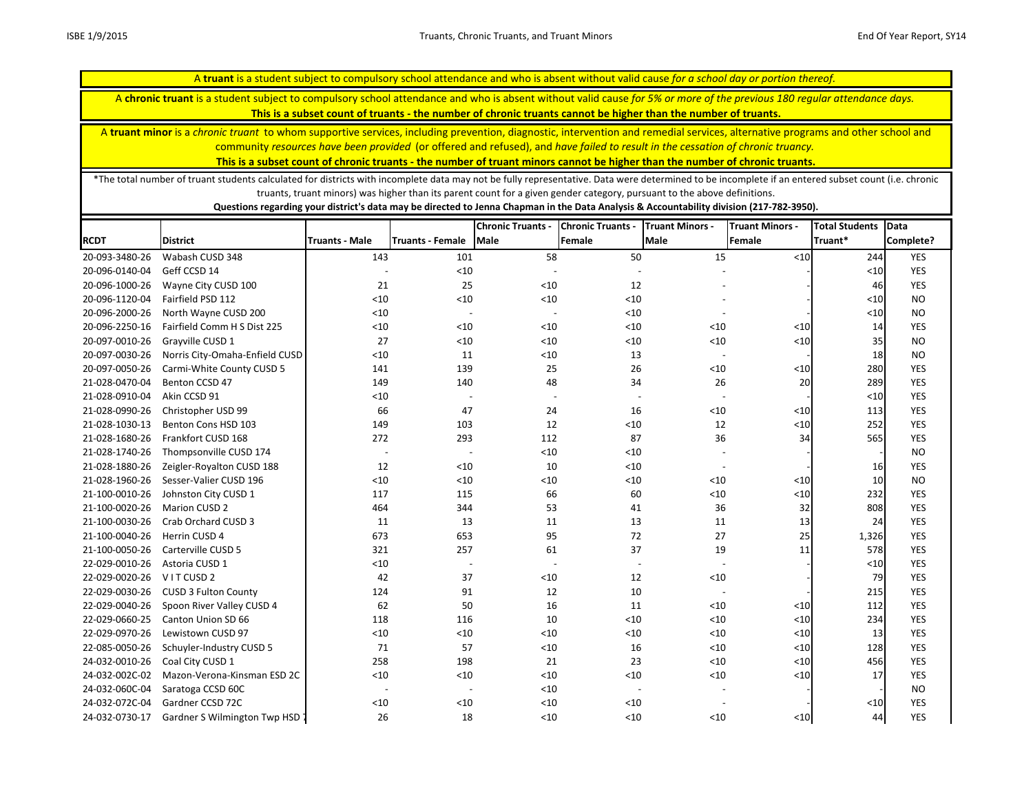A **chronic truant** is a student subject to compulsory school attendance and who is absent without valid cause *for 5% or more of the previous 180 regular attendance days.* 

**This is a subset count of truants - the number of chronic truants cannot be higher than the number of truants.**

A **truant minor** is a *chronic truant* to whom supportive services, including prevention, diagnostic, intervention and remedial services, alternative programs and other school and community *resources have been provided* (or offered and refused), and *have failed to result in the cessation of chronic truancy.* 

**This is a subset count of chronic truants - the number of truant minors cannot be higher than the number of chronic truants.**

\*The total number of truant students calculated for districts with incomplete data may not be fully representative. Data were determined to be incomplete if an entered subset count (i.e. chronic truants, truant minors) was higher than its parent count for a given gender category, pursuant to the above definitions.

|                |                                       |                          |                          | <b>Chronic Truants -</b> | <b>Chronic Truants -</b> | <b>Truant Minors -</b>   | <b>Truant Minors -</b> | <b>Total Students</b> | Data       |
|----------------|---------------------------------------|--------------------------|--------------------------|--------------------------|--------------------------|--------------------------|------------------------|-----------------------|------------|
| <b>RCDT</b>    | <b>District</b>                       | <b>Truants - Male</b>    | <b>Truants - Female</b>  | <b>Male</b>              | Female                   | <b>Male</b>              | Female                 | Truant*               | Complete?  |
| 20-093-3480-26 | Wabash CUSD 348                       | 143                      | 101                      | 58                       | 50                       | 15                       | < 10                   | 244                   | <b>YES</b> |
| 20-096-0140-04 | Geff CCSD 14                          |                          | < 10                     |                          |                          |                          |                        | $<$ 10                | <b>YES</b> |
| 20-096-1000-26 | Wayne City CUSD 100                   | 21                       | 25                       | < 10                     | 12                       |                          |                        | 46                    | <b>YES</b> |
| 20-096-1120-04 | Fairfield PSD 112                     | < 10                     | < 10                     | $<10$                    | $<10$                    |                          |                        | $<$ 10                | <b>NO</b>  |
| 20-096-2000-26 | North Wayne CUSD 200                  | $<10$                    | $\overline{\phantom{a}}$ |                          | $<10$                    |                          |                        | $<$ 10                | <b>NO</b>  |
| 20-096-2250-16 | Fairfield Comm H S Dist 225           | $<10$                    | < 10                     | $<10$                    | < 10                     | < 10                     | $<10$                  | 14                    | <b>YES</b> |
| 20-097-0010-26 | Grayville CUSD 1                      | 27                       | < 10                     | $<10$                    | $<10$                    | < 10                     | $<$ 10                 | 35                    | <b>NO</b>  |
| 20-097-0030-26 | Norris City-Omaha-Enfield CUSD        | < 10                     | 11                       | $<10$                    | 13                       | $\overline{\phantom{a}}$ |                        | 18                    | <b>NO</b>  |
| 20-097-0050-26 | Carmi-White County CUSD 5             | 141                      | 139                      | 25                       | 26                       | < 10                     | $<10$                  | 280                   | YES        |
| 21-028-0470-04 | Benton CCSD 47                        | 149                      | 140                      | 48                       | 34                       | 26                       | 20                     | 289                   | <b>YES</b> |
| 21-028-0910-04 | Akin CCSD 91                          | $<10$                    |                          | $\overline{\phantom{0}}$ |                          |                          |                        | $<10$                 | <b>YES</b> |
| 21-028-0990-26 | Christopher USD 99                    | 66                       | 47                       | 24                       | 16                       | < 10                     | $<10$                  | 113                   | <b>YES</b> |
| 21-028-1030-13 | Benton Cons HSD 103                   | 149                      | 103                      | 12                       | $<10$                    | 12                       | $<10$                  | 252                   | <b>YES</b> |
| 21-028-1680-26 | Frankfort CUSD 168                    | 272                      | 293                      | 112                      | 87                       | 36                       | 34                     | 565                   | <b>YES</b> |
| 21-028-1740-26 | Thompsonville CUSD 174                | $\overline{\phantom{a}}$ | $\overline{\phantom{a}}$ | $<10$                    | $<10$                    |                          |                        |                       | <b>NO</b>  |
| 21-028-1880-26 | Zeigler-Royalton CUSD 188             | 12                       | < 10                     | 10                       | $<10$                    |                          |                        | 16                    | <b>YES</b> |
| 21-028-1960-26 | Sesser-Valier CUSD 196                | < 10                     | < 10                     | < 10                     | < 10                     | < 10                     | $<\!\!10$              | 10                    | <b>NO</b>  |
| 21-100-0010-26 | Johnston City CUSD 1                  | 117                      | 115                      | 66                       | 60                       | $<10$                    | $<\!\!10$              | 232                   | <b>YES</b> |
| 21-100-0020-26 | Marion CUSD 2                         | 464                      | 344                      | 53                       | 41                       | 36                       | 32                     | 808                   | <b>YES</b> |
| 21-100-0030-26 | Crab Orchard CUSD 3                   | 11                       | 13                       | 11                       | 13                       | 11                       | 13                     | 24                    | <b>YES</b> |
| 21-100-0040-26 | Herrin CUSD 4                         | 673                      | 653                      | 95                       | 72                       | 27                       | 25                     | 1,326                 | <b>YES</b> |
| 21-100-0050-26 | Carterville CUSD 5                    | 321                      | 257                      | 61                       | 37                       | 19                       | 11                     | 578                   | <b>YES</b> |
| 22-029-0010-26 | Astoria CUSD 1                        | $<10$                    | $\overline{\phantom{a}}$ | $\overline{\phantom{a}}$ | $\overline{\phantom{a}}$ |                          |                        | $<$ 10                | <b>YES</b> |
| 22-029-0020-26 | VITCUSD <sub>2</sub>                  | 42                       | 37                       | $<10$                    | 12                       | < 10                     |                        | 79                    | YES        |
| 22-029-0030-26 | <b>CUSD 3 Fulton County</b>           | 124                      | 91                       | 12                       | 10                       |                          |                        | 215                   | <b>YES</b> |
| 22-029-0040-26 | Spoon River Valley CUSD 4             | 62                       | 50                       | 16                       | 11                       | < 10                     | $<10$                  | 112                   | <b>YES</b> |
| 22-029-0660-25 | Canton Union SD 66                    | 118                      | 116                      | 10                       | < 10                     | < 10                     | $<\!\!10$              | 234                   | YES        |
| 22-029-0970-26 | Lewistown CUSD 97                     | < 10                     | < 10                     | $<10$                    | $<10$                    | < 10                     | $<10$                  | 13                    | <b>YES</b> |
| 22-085-0050-26 | Schuyler-Industry CUSD 5              | 71                       | 57                       | $<10$                    | 16                       | < 10                     | $<10$                  | 128                   | <b>YES</b> |
| 24-032-0010-26 | Coal City CUSD 1                      | 258                      | 198                      | 21                       | 23                       | < 10                     | $<\!\!10$              | 456                   | YES        |
| 24-032-002C-02 | Mazon-Verona-Kinsman ESD 2C           | < 10                     | < 10                     | < 10                     | < 10                     | < 10                     | $<10$                  | 17                    | <b>YES</b> |
| 24-032-060C-04 | Saratoga CCSD 60C                     | $\overline{\phantom{a}}$ | $\overline{\phantom{a}}$ | < 10                     |                          |                          |                        |                       | <b>NO</b>  |
| 24-032-072C-04 | Gardner CCSD 72C                      | < 10                     | < 10                     | < 10                     | < 10                     |                          |                        | $<$ 10                | <b>YES</b> |
| 24-032-0730-17 | <b>Gardner S Wilmington Twp HSD 7</b> | 26                       | 18                       | $<10$                    | < 10                     | < 10                     | $<$ 10                 | 44                    | <b>YES</b> |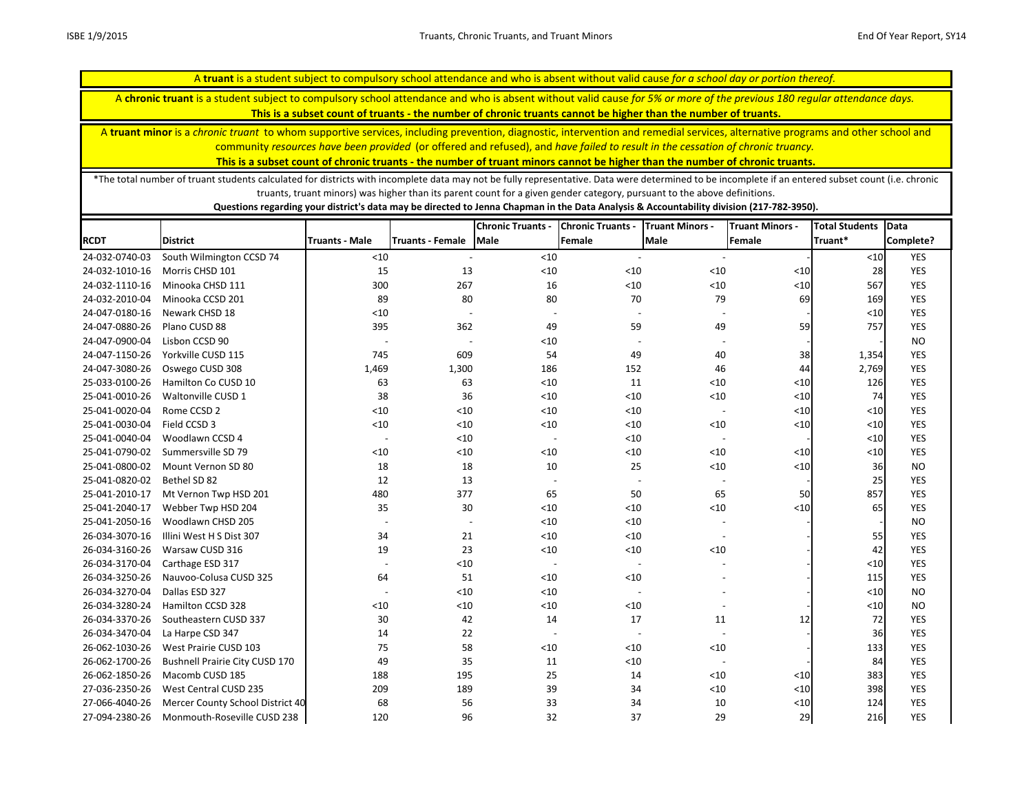A **chronic truant** is a student subject to compulsory school attendance and who is absent without valid cause *for 5% or more of the previous 180 regular attendance days.* 

**This is a subset count of truants - the number of chronic truants cannot be higher than the number of truants.**

A **truant minor** is a *chronic truant* to whom supportive services, including prevention, diagnostic, intervention and remedial services, alternative programs and other school and community *resources have been provided* (or offered and refused), and *have failed to result in the cessation of chronic truancy.* 

**This is a subset count of chronic truants - the number of truant minors cannot be higher than the number of chronic truants.**

\*The total number of truant students calculated for districts with incomplete data may not be fully representative. Data were determined to be incomplete if an entered subset count (i.e. chronic truants, truant minors) was higher than its parent count for a given gender category, pursuant to the above definitions.

|                |                                       |                          |                          | <b>Chronic Truants -</b> | <b>Chronic Truants -</b> | <b>Truant Minors -</b>   | <b>Truant Minors -</b> | <b>Total Students</b> | Data       |
|----------------|---------------------------------------|--------------------------|--------------------------|--------------------------|--------------------------|--------------------------|------------------------|-----------------------|------------|
| <b>RCDT</b>    | <b>District</b>                       | Truants - Male           | <b>Truants - Female</b>  | Male                     | Female                   | <b>Male</b>              | Female                 | Truant*               | Complete?  |
| 24-032-0740-03 | South Wilmington CCSD 74              | $<10$                    |                          | $<10$                    |                          |                          |                        | $<10$                 | YES        |
| 24-032-1010-16 | Morris CHSD 101                       | 15                       | 13                       | $<10$                    | < 10                     | < 10                     | < 10                   | 28                    | <b>YES</b> |
| 24-032-1110-16 | Minooka CHSD 111                      | 300                      | 267                      | 16                       | $<10$                    | < 10                     | < 10                   | 567                   | YES        |
| 24-032-2010-04 | Minooka CCSD 201                      | 89                       | 80                       | 80                       | 70                       | 79                       | 69                     | 169                   | YES        |
| 24-047-0180-16 | Newark CHSD 18                        | < 10                     | $\overline{\phantom{a}}$ |                          |                          |                          |                        | $<10$                 | YES        |
| 24-047-0880-26 | Plano CUSD 88                         | 395                      | 362                      | 49                       | 59                       | 49                       | 59                     | 757                   | <b>YES</b> |
| 24-047-0900-04 | Lisbon CCSD 90                        | $\overline{a}$           | $\overline{a}$           | $<10$                    |                          |                          |                        |                       | <b>NO</b>  |
| 24-047-1150-26 | Yorkville CUSD 115                    | 745                      | 609                      | 54                       | 49                       | 40                       | 38                     | 1,354                 | <b>YES</b> |
| 24-047-3080-26 | Oswego CUSD 308                       | 1,469                    | 1,300                    | 186                      | 152                      | 46                       | 44                     | 2,769                 | YES        |
| 25-033-0100-26 | Hamilton Co CUSD 10                   | 63                       | 63                       | $<10$                    | 11                       | < 10                     | $<10$                  | 126                   | YES        |
| 25-041-0010-26 | Waltonville CUSD 1                    | 38                       | 36                       | < 10                     | $<10$                    | < 10                     | < 10                   | 74                    | <b>YES</b> |
| 25-041-0020-04 | Rome CCSD 2                           | $<10$                    | $<10$                    | $<10$                    | $<10$                    | $\overline{\phantom{a}}$ | < 10                   | $<\!\!10$             | YES        |
| 25-041-0030-04 | Field CCSD 3                          | $<10$                    | < 10                     | $<10$                    | $<10$                    | < 10                     | < 10                   | $<10$                 | <b>YES</b> |
| 25-041-0040-04 | Woodlawn CCSD 4                       | $\overline{\phantom{a}}$ | < 10                     |                          | $<10$                    | $\sim$                   |                        | $<10$                 | <b>YES</b> |
| 25-041-0790-02 | Summersville SD 79                    | < 10                     | $<10$                    | $<10$                    | $<10$                    | < 10                     | $<$ 10                 | $<10$                 | YES        |
| 25-041-0800-02 | Mount Vernon SD 80                    | 18                       | 18                       | 10                       | 25                       | < 10                     | < 10                   | 36                    | <b>NO</b>  |
| 25-041-0820-02 | Bethel SD 82                          | 12                       | 13                       |                          |                          |                          |                        | 25                    | YES        |
| 25-041-2010-17 | Mt Vernon Twp HSD 201                 | 480                      | 377                      | 65                       | 50                       | 65                       | 50                     | 857                   | YES        |
| 25-041-2040-17 | Webber Twp HSD 204                    | 35                       | 30                       | $<10$                    | $<10$                    | < 10                     | $\leq 10$              | 65                    | YES        |
| 25-041-2050-16 | Woodlawn CHSD 205                     |                          | $\overline{\phantom{a}}$ | < 10                     | $<10$                    |                          |                        |                       | <b>NO</b>  |
| 26-034-3070-16 | Illini West H S Dist 307              | 34                       | 21                       | $<10$                    | $<10$                    |                          |                        | 55                    | YES        |
| 26-034-3160-26 | Warsaw CUSD 316                       | 19                       | 23                       | $<10$                    | $<10$                    | < 10                     |                        | 42                    | <b>YES</b> |
| 26-034-3170-04 | Carthage ESD 317                      | $\overline{\phantom{a}}$ | $<10$                    |                          | $\overline{\phantom{a}}$ |                          |                        | $<10$                 | YES        |
| 26-034-3250-26 | Nauvoo-Colusa CUSD 325                | 64                       | 51                       | $<10$                    | $<10$                    |                          |                        | 115                   | YES        |
| 26-034-3270-04 | Dallas ESD 327                        |                          | < 10                     | < 10                     |                          |                          |                        | < 10                  | <b>NO</b>  |
| 26-034-3280-24 | Hamilton CCSD 328                     | $<10$                    | $<10$                    | $<10$                    | $<10$                    |                          |                        | $<10$                 | <b>NO</b>  |
| 26-034-3370-26 | Southeastern CUSD 337                 | 30                       | 42                       | 14                       | 17                       | 11                       | 12                     | 72                    | <b>YES</b> |
| 26-034-3470-04 | La Harpe CSD 347                      | 14                       | 22                       |                          |                          |                          |                        | 36                    | YES        |
| 26-062-1030-26 | West Prairie CUSD 103                 | 75                       | 58                       | $<10$                    | $<10$                    | $<10$                    |                        | 133                   | <b>YES</b> |
| 26-062-1700-26 | <b>Bushnell Prairie City CUSD 170</b> | 49                       | 35                       | 11                       | $<10$                    | $\overline{\phantom{a}}$ |                        | 84                    | <b>YES</b> |
| 26-062-1850-26 | Macomb CUSD 185                       | 188                      | 195                      | 25                       | 14                       | < 10                     | $<10$                  | 383                   | <b>YES</b> |
| 27-036-2350-26 | West Central CUSD 235                 | 209                      | 189                      | 39                       | 34                       | $<10$                    | $<10$                  | 398                   | YES        |
| 27-066-4040-26 | Mercer County School District 40      | 68                       | 56                       | 33                       | 34                       | 10                       | < 10                   | 124                   | <b>YES</b> |
| 27-094-2380-26 | Monmouth-Roseville CUSD 238           | 120                      | 96                       | 32                       | 37                       | 29                       | 29                     | 216                   | <b>YES</b> |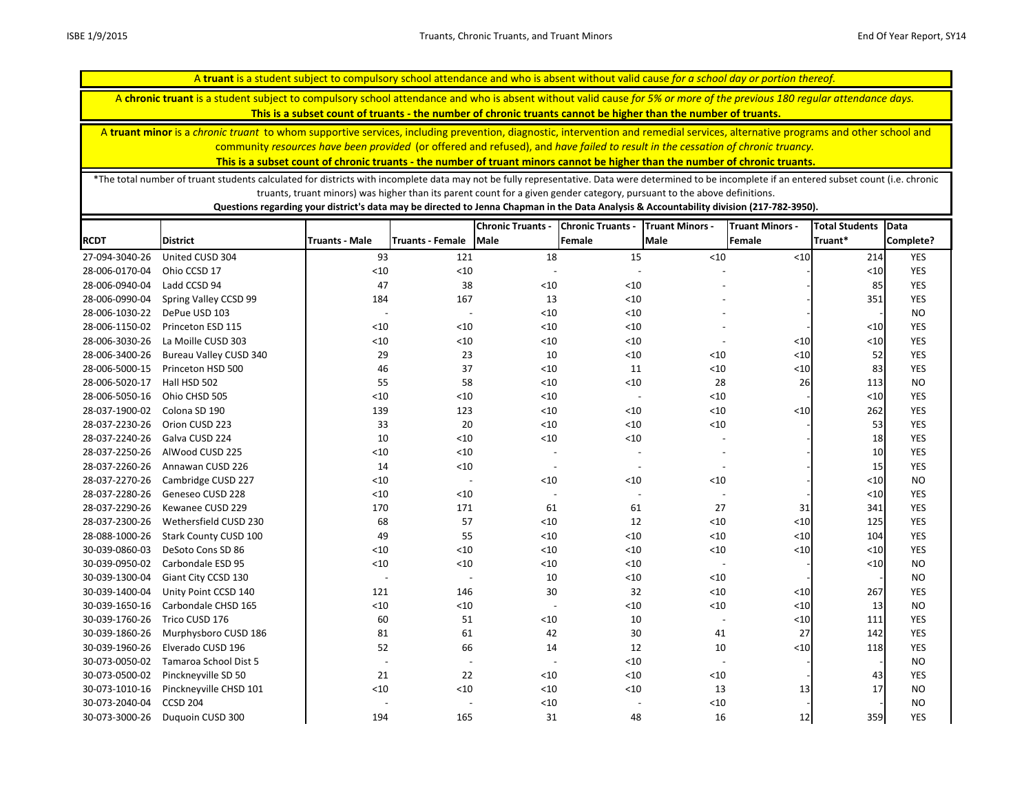A **chronic truant** is a student subject to compulsory school attendance and who is absent without valid cause *for 5% or more of the previous 180 regular attendance days.* 

**This is a subset count of truants - the number of chronic truants cannot be higher than the number of truants.**

A **truant minor** is a *chronic truant* to whom supportive services, including prevention, diagnostic, intervention and remedial services, alternative programs and other school and community *resources have been provided* (or offered and refused), and *have failed to result in the cessation of chronic truancy.* 

**This is a subset count of chronic truants - the number of truant minors cannot be higher than the number of chronic truants.**

\*The total number of truant students calculated for districts with incomplete data may not be fully representative. Data were determined to be incomplete if an entered subset count (i.e. chronic truants, truant minors) was higher than its parent count for a given gender category, pursuant to the above definitions.

|                |                               |                          |                          | <b>Chronic Truants -</b> | <b>Chronic Truants -</b> | <b>Truant Minors -</b>   | <b>Truant Minors -</b> | <b>Total Students</b> | Data       |
|----------------|-------------------------------|--------------------------|--------------------------|--------------------------|--------------------------|--------------------------|------------------------|-----------------------|------------|
| <b>RCDT</b>    | <b>District</b>               | <b>Truants - Male</b>    | <b>Truants - Female</b>  | <b>Male</b>              | Female                   | <b>Male</b>              | Female                 | Truant*               | Complete?  |
| 27-094-3040-26 | United CUSD 304               | 93                       | 121                      | 18                       | 15                       | $<10$                    | < 10                   | 214                   | YES        |
| 28-006-0170-04 | Ohio CCSD 17                  | <10                      | < 10                     |                          |                          |                          |                        | < 10                  | <b>YES</b> |
| 28-006-0940-04 | Ladd CCSD 94                  | 47                       | 38                       | $<10$                    | < 10                     |                          |                        | 85                    | <b>YES</b> |
| 28-006-0990-04 | Spring Valley CCSD 99         | 184                      | 167                      | 13                       | < 10                     |                          |                        | 351                   | <b>YES</b> |
| 28-006-1030-22 | DePue USD 103                 | $\overline{\phantom{a}}$ | $\overline{\phantom{a}}$ | $<10$                    | < 10                     |                          |                        |                       | <b>NO</b>  |
| 28-006-1150-02 | Princeton ESD 115             | < 10                     | < 10                     | $<10$                    | < 10                     |                          |                        | $<10$                 | <b>YES</b> |
| 28-006-3030-26 | La Moille CUSD 303            | $<10$                    | $<10$                    | $<10$                    | < 10                     | $\overline{\phantom{a}}$ | < 10                   | $<10$                 | <b>YES</b> |
| 28-006-3400-26 | <b>Bureau Valley CUSD 340</b> | 29                       | 23                       | 10                       | $<10$                    | $<10$                    | $<10$                  | 52                    | <b>YES</b> |
| 28-006-5000-15 | Princeton HSD 500             | 46                       | 37                       | $<10$                    | 11                       | $<10$                    | $<10$                  | 83                    | <b>YES</b> |
| 28-006-5020-17 | Hall HSD 502                  | 55                       | 58                       | < 10                     | < 10                     | 28                       | 26                     | 113                   | <b>NO</b>  |
| 28-006-5050-16 | Ohio CHSD 505                 | $<10$                    | < 10                     | $<10$                    | $\overline{\phantom{a}}$ | < 10                     |                        | < 10                  | <b>YES</b> |
| 28-037-1900-02 | Colona SD 190                 | 139                      | 123                      | $<10$                    | < 10                     | < 10                     | < 10                   | 262                   | <b>YES</b> |
| 28-037-2230-26 | Orion CUSD 223                | 33                       | 20                       | $<10$                    | < 10                     | $<10$                    |                        | 53                    | <b>YES</b> |
| 28-037-2240-26 | Galva CUSD 224                | 10                       | < 10                     | $<10$                    | < 10                     |                          |                        | 18                    | <b>YES</b> |
| 28-037-2250-26 | AlWood CUSD 225               | $<10$                    | < 10                     |                          |                          |                          |                        | 10                    | <b>YES</b> |
| 28-037-2260-26 | Annawan CUSD 226              | 14                       | < 10                     |                          | $\overline{\phantom{a}}$ | $\overline{\phantom{a}}$ |                        | 15                    | <b>YES</b> |
| 28-037-2270-26 | Cambridge CUSD 227            | < 10                     | $\overline{a}$           | < 10                     | < 10                     | < 10                     |                        | < 10                  | <b>NO</b>  |
| 28-037-2280-26 | Geneseo CUSD 228              | $<10$                    | < 10                     |                          | $\overline{\phantom{a}}$ |                          |                        | < 10                  | <b>YES</b> |
| 28-037-2290-26 | Kewanee CUSD 229              | 170                      | 171                      | 61                       | 61                       | 27                       | 31                     | 341                   | <b>YES</b> |
| 28-037-2300-26 | Wethersfield CUSD 230         | 68                       | 57                       | $<10$                    | 12                       | $<10$                    | $<10$                  | 125                   | <b>YES</b> |
| 28-088-1000-26 | <b>Stark County CUSD 100</b>  | 49                       | 55                       | < 10                     | < 10                     | < 10                     | $<10$                  | 104                   | <b>YES</b> |
| 30-039-0860-03 | DeSoto Cons SD 86             | $<10$                    | $<10$                    | $<10$                    | < 10                     | $<10$                    | < 10                   | $<10$                 | YES        |
| 30-039-0950-02 | Carbondale ESD 95             | < 10                     | $<10$                    | $<10$                    | < 10                     |                          |                        | $<10$                 | <b>NO</b>  |
| 30-039-1300-04 | Giant City CCSD 130           | $\overline{\phantom{a}}$ | $\overline{a}$           | 10                       | $<10$                    | < 10                     |                        |                       | <b>NO</b>  |
| 30-039-1400-04 | Unity Point CCSD 140          | 121                      | 146                      | 30                       | 32                       | < 10                     | $<10$                  | 267                   | <b>YES</b> |
| 30-039-1650-16 | Carbondale CHSD 165           | < 10                     | $<10$                    |                          | < 10                     | < 10                     | < 10                   | 13                    | <b>NO</b>  |
| 30-039-1760-26 | Trico CUSD 176                | 60                       | 51                       | $<10$                    | 10                       | $\sim$                   | < 10                   | 111                   | <b>YES</b> |
| 30-039-1860-26 | Murphysboro CUSD 186          | 81                       | 61                       | 42                       | 30                       | 41                       | 27                     | 142                   | <b>YES</b> |
| 30-039-1960-26 | Elverado CUSD 196             | 52                       | 66                       | 14                       | 12                       | 10                       | < 10                   | 118                   | <b>YES</b> |
| 30-073-0050-02 | Tamaroa School Dist 5         | $\overline{\phantom{0}}$ | $\overline{\phantom{a}}$ |                          | < 10                     | $\overline{\phantom{a}}$ |                        |                       | <b>NO</b>  |
| 30-073-0500-02 | Pinckneyville SD 50           | 21                       | 22                       | $<10$                    | $<10$                    | < 10                     |                        | 43                    | <b>YES</b> |
| 30-073-1010-16 | Pinckneyville CHSD 101        | < 10                     | < 10                     | < 10                     | $<10$                    | 13                       | 13                     | 17                    | <b>NO</b>  |
| 30-073-2040-04 | <b>CCSD 204</b>               |                          |                          | $<10$                    |                          | < 10                     |                        |                       | <b>NO</b>  |
| 30-073-3000-26 | Duquoin CUSD 300              | 194                      | 165                      | 31                       | 48                       | 16                       | 12                     | 359                   | <b>YES</b> |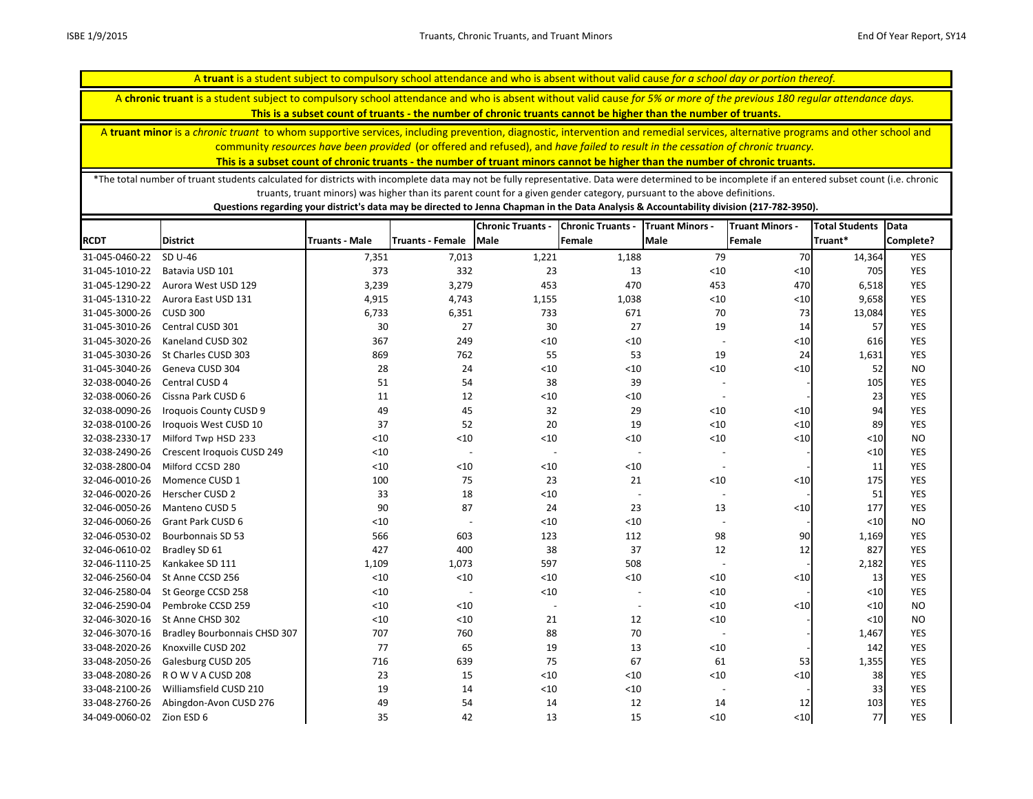A **chronic truant** is a student subject to compulsory school attendance and who is absent without valid cause *for 5% or more of the previous 180 regular attendance days.* 

**This is a subset count of truants - the number of chronic truants cannot be higher than the number of truants.**

A **truant minor** is a *chronic truant* to whom supportive services, including prevention, diagnostic, intervention and remedial services, alternative programs and other school and community *resources have been provided* (or offered and refused), and *have failed to result in the cessation of chronic truancy.* 

**This is a subset count of chronic truants - the number of truant minors cannot be higher than the number of chronic truants.**

\*The total number of truant students calculated for districts with incomplete data may not be fully representative. Data were determined to be incomplete if an entered subset count (i.e. chronic truants, truant minors) was higher than its parent count for a given gender category, pursuant to the above definitions.

|                           |                                     |                       |                          | <b>Chronic Truants -</b> | <b>Chronic Truants -</b> | <b>Truant Minors -</b>   | <b>Truant Minors -</b> | <b>Total Students</b> | Data       |
|---------------------------|-------------------------------------|-----------------------|--------------------------|--------------------------|--------------------------|--------------------------|------------------------|-----------------------|------------|
| <b>RCDT</b>               | <b>District</b>                     | <b>Truants - Male</b> | <b>Truants - Female</b>  | Male                     | Female                   | <b>Male</b>              | <b>Female</b>          | Truant*               | Complete?  |
| 31-045-0460-22            | SD U-46                             | 7,351                 | 7,013                    | 1,221                    | 1,188                    | 79                       | 70                     | 14,364                | YES        |
| 31-045-1010-22            | Batavia USD 101                     | 373                   | 332                      | 23                       | 13                       | < 10                     | $<$ 10                 | 705                   | <b>YES</b> |
| 31-045-1290-22            | Aurora West USD 129                 | 3,239                 | 3,279                    | 453                      | 470                      | 453                      | 470                    | 6,518                 | <b>YES</b> |
| 31-045-1310-22            | Aurora East USD 131                 | 4,915                 | 4,743                    | 1,155                    | 1,038                    | $<10$                    | $\langle 10 $          | 9,658                 | <b>YES</b> |
| 31-045-3000-26            | <b>CUSD 300</b>                     | 6,733                 | 6,351                    | 733                      | 671                      | 70                       | 73                     | 13,084                | <b>YES</b> |
| 31-045-3010-26            | Central CUSD 301                    | 30                    | 27                       | 30                       | 27                       | 19                       | 14                     | 57                    | <b>YES</b> |
| 31-045-3020-26            | Kaneland CUSD 302                   | 367                   | 249                      | $<10$                    | $<10$                    | $\sim$                   | $\leq$ 10              | 616                   | YES        |
| 31-045-3030-26            | St Charles CUSD 303                 | 869                   | 762                      | 55                       | 53                       | 19                       | 24                     | 1,631                 | <b>YES</b> |
| 31-045-3040-26            | Geneva CUSD 304                     | 28                    | 24                       | $<\!\!10$                | $<10$                    | $<10$                    | $\leq$ 10              | 52                    | <b>NO</b>  |
| 32-038-0040-26            | Central CUSD 4                      | 51                    | 54                       | 38                       | 39                       | $\overline{\phantom{a}}$ |                        | 105                   | <b>YES</b> |
| 32-038-0060-26            | Cissna Park CUSD 6                  | 11                    | 12                       | $<\!\!10$                | < 10                     | $\overline{\phantom{a}}$ |                        | 23                    | <b>YES</b> |
| 32-038-0090-26            | <b>Iroquois County CUSD 9</b>       | 49                    | 45                       | 32                       | 29                       | $<10$                    | $<$ 10                 | 94                    | YES        |
| 32-038-0100-26            | Iroquois West CUSD 10               | 37                    | 52                       | 20                       | 19                       | $<10$                    | $\leq 10$              | 89                    | <b>YES</b> |
| 32-038-2330-17            | Milford Twp HSD 233                 | < 10                  | < 10                     | $<10$                    | < 10                     | $<10$                    | $<$ 10                 | <10                   | <b>NO</b>  |
| 32-038-2490-26            | Crescent Iroquois CUSD 249          | $<10$                 | $\overline{\phantom{a}}$ |                          | $\overline{\phantom{a}}$ | $\overline{\phantom{a}}$ |                        | $<10$                 | <b>YES</b> |
| 32-038-2800-04            | Milford CCSD 280                    | < 10                  | < 10                     | $<10$                    | < 10                     | $\overline{\phantom{a}}$ |                        | 11                    | <b>YES</b> |
| 32-046-0010-26            | Momence CUSD 1                      | 100                   | 75                       | 23                       | 21                       | $<10$                    | $<$ 10                 | 175                   | <b>YES</b> |
| 32-046-0020-26            | Herscher CUSD 2                     | 33                    | 18                       | $<10$                    |                          | $\blacksquare$           |                        | 51                    | <b>YES</b> |
| 32-046-0050-26            | Manteno CUSD 5                      | 90                    | 87                       | 24                       | 23                       | 13                       | $\leq 10$              | 177                   | <b>YES</b> |
| 32-046-0060-26            | <b>Grant Park CUSD 6</b>            | < 10                  | $\overline{\phantom{a}}$ | $<10$                    | < 10                     | $\blacksquare$           |                        | < 10                  | <b>NO</b>  |
| 32-046-0530-02            | <b>Bourbonnais SD 53</b>            | 566                   | 603                      | 123                      | 112                      | 98                       | 90                     | 1,169                 | <b>YES</b> |
| 32-046-0610-02            | Bradley SD 61                       | 427                   | 400                      | 38                       | 37                       | 12                       | 12                     | 827                   | YES        |
| 32-046-1110-25            | Kankakee SD 111                     | 1,109                 | 1,073                    | 597                      | 508                      | $\overline{a}$           |                        | 2,182                 | <b>YES</b> |
| 32-046-2560-04            | St Anne CCSD 256                    | < 10                  | $<10$                    | < 10                     | < 10                     | $<10$                    | $<$ 10                 | 13                    | <b>YES</b> |
| 32-046-2580-04            | St George CCSD 258                  | $<10$                 | $\overline{a}$           | $<10$                    |                          | $<10$                    |                        | < 10                  | YES        |
| 32-046-2590-04            | Pembroke CCSD 259                   | $<10$                 | < 10                     |                          |                          | $<10$                    | $<$ 10                 | < 10                  | <b>NO</b>  |
| 32-046-3020-16            | St Anne CHSD 302                    | $<10$                 | < 10                     | 21                       | 12                       | < 10                     |                        | < 10                  | <b>NO</b>  |
| 32-046-3070-16            | <b>Bradley Bourbonnais CHSD 307</b> | 707                   | 760                      | 88                       | 70                       | $\overline{\phantom{a}}$ |                        | 1,467                 | <b>YES</b> |
| 33-048-2020-26            | Knoxville CUSD 202                  | 77                    | 65                       | 19                       | 13                       | $<10$                    |                        | 142                   | <b>YES</b> |
| 33-048-2050-26            | Galesburg CUSD 205                  | 716                   | 639                      | 75                       | 67                       | 61                       | 53                     | 1,355                 | <b>YES</b> |
| 33-048-2080-26            | ROW VACUSD 208                      | 23                    | 15                       | $<10$                    | < 10                     | < 10                     | $<$ 10                 | 38                    | YES        |
| 33-048-2100-26            | Williamsfield CUSD 210              | 19                    | 14                       | $<10$                    | < 10                     | $\overline{\phantom{a}}$ |                        | 33                    | YES        |
| 33-048-2760-26            | Abingdon-Avon CUSD 276              | 49                    | 54                       | 14                       | 12                       | 14                       | 12                     | 103                   | <b>YES</b> |
| 34-049-0060-02 Zion ESD 6 |                                     | 35                    | 42                       | 13                       | 15                       | < 10                     | $10$                   | 77                    | <b>YES</b> |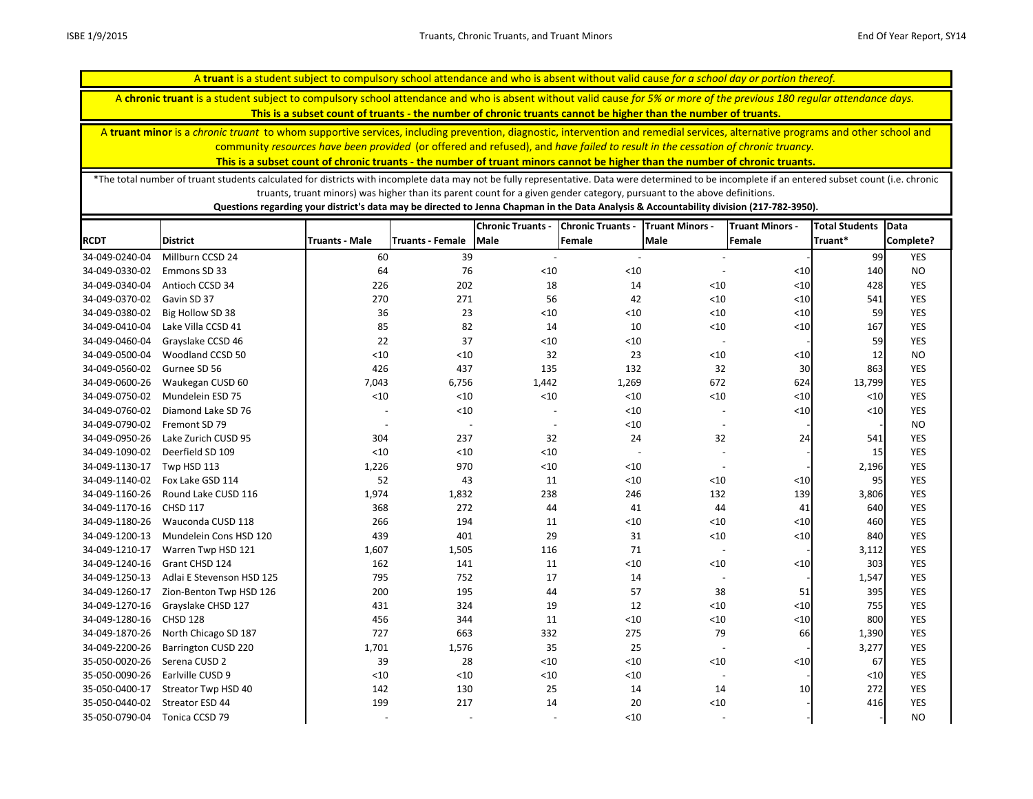A **chronic truant** is a student subject to compulsory school attendance and who is absent without valid cause *for 5% or more of the previous 180 regular attendance days.* 

**This is a subset count of truants - the number of chronic truants cannot be higher than the number of truants.**

A **truant minor** is a *chronic truant* to whom supportive services, including prevention, diagnostic, intervention and remedial services, alternative programs and other school and community *resources have been provided* (or offered and refused), and *have failed to result in the cessation of chronic truancy.* 

**This is a subset count of chronic truants - the number of truant minors cannot be higher than the number of chronic truants.**

\*The total number of truant students calculated for districts with incomplete data may not be fully representative. Data were determined to be incomplete if an entered subset count (i.e. chronic truants, truant minors) was higher than its parent count for a given gender category, pursuant to the above definitions.

|                |                            |                |                          | <b>Chronic Truants -</b> | <b>Chronic Truants -</b> | <b>Truant Minors -</b>   | <b>Truant Minors -</b> | <b>Total Students</b> | <b>Data</b> |
|----------------|----------------------------|----------------|--------------------------|--------------------------|--------------------------|--------------------------|------------------------|-----------------------|-------------|
| <b>RCDT</b>    | <b>District</b>            | Truants - Male | <b>Truants - Female</b>  | <b>Male</b>              | Female                   | <b>Male</b>              | Female                 | Truant*               | Complete?   |
| 34-049-0240-04 | Millburn CCSD 24           | 60             | 39                       | $\overline{\phantom{a}}$ | $\overline{\phantom{a}}$ |                          |                        | 99                    | <b>YES</b>  |
| 34-049-0330-02 | Emmons SD 33               | 64             | 76                       | $<10$                    | $<10$                    |                          | < 10                   | 140                   | <b>NO</b>   |
| 34-049-0340-04 | Antioch CCSD 34            | 226            | 202                      | 18                       | 14                       | $<$ 10                   | $<10$                  | 428                   | <b>YES</b>  |
| 34-049-0370-02 | Gavin SD 37                | 270            | 271                      | 56                       | 42                       | < 10                     | < 10                   | 541                   | <b>YES</b>  |
| 34-049-0380-02 | Big Hollow SD 38           | 36             | 23                       | < 10                     | $<10$                    | < 10                     | $<10$                  | 59                    | <b>YES</b>  |
| 34-049-0410-04 | Lake Villa CCSD 41         | 85             | 82                       | 14                       | 10                       | < 10                     | < 10                   | 167                   | <b>YES</b>  |
| 34-049-0460-04 | Grayslake CCSD 46          | 22             | 37                       | $<10$                    | $<10$                    |                          |                        | 59                    | <b>YES</b>  |
| 34-049-0500-04 | Woodland CCSD 50           | $<10$          | < 10                     | 32                       | 23                       | $<$ 10                   | < 10                   | 12                    | <b>NO</b>   |
| 34-049-0560-02 | Gurnee SD 56               | 426            | 437                      | 135                      | 132                      | 32                       | 30                     | 863                   | <b>YES</b>  |
| 34-049-0600-26 | Waukegan CUSD 60           | 7,043          | 6,756                    | 1,442                    | 1,269                    | 672                      | 624                    | 13,799                | <b>YES</b>  |
| 34-049-0750-02 | Mundelein ESD 75           | < 10           | < 10                     | $<10$                    | $<10$                    | $<10$                    | < 10                   | $<$ 10                | <b>YES</b>  |
| 34-049-0760-02 | Diamond Lake SD 76         |                | $<$ 10                   |                          | < 10                     |                          | $\leq 10$              | $<10$                 | <b>YES</b>  |
| 34-049-0790-02 | Fremont SD 79              |                | $\overline{\phantom{a}}$ | $\overline{\phantom{a}}$ | $<10$                    |                          |                        |                       | <b>NO</b>   |
| 34-049-0950-26 | Lake Zurich CUSD 95        | 304            | 237                      | 32                       | 24                       | 32                       | 24                     | 541                   | <b>YES</b>  |
| 34-049-1090-02 | Deerfield SD 109           | < 10           | $<$ 10                   | < 10                     |                          |                          |                        | 15                    | <b>YES</b>  |
| 34-049-1130-17 | Twp HSD 113                | 1,226          | 970                      | < 10                     | < 10                     | $\overline{\phantom{a}}$ |                        | 2,196                 | <b>YES</b>  |
| 34-049-1140-02 | Fox Lake GSD 114           | 52             | 43                       | 11                       | < 10                     | $<$ 10                   | < 10                   | 95                    | <b>YES</b>  |
| 34-049-1160-26 | Round Lake CUSD 116        | 1,974          | 1,832                    | 238                      | 246                      | 132                      | 139                    | 3,806                 | <b>YES</b>  |
| 34-049-1170-16 | <b>CHSD 117</b>            | 368            | 272                      | 44                       | 41                       | 44                       | 41                     | 640                   | <b>YES</b>  |
| 34-049-1180-26 | Wauconda CUSD 118          | 266            | 194                      | 11                       | $<10$                    | < 10                     | < 10                   | 460                   | <b>YES</b>  |
| 34-049-1200-13 | Mundelein Cons HSD 120     | 439            | 401                      | 29                       | 31                       | < 10                     | $<10$                  | 840                   | <b>YES</b>  |
| 34-049-1210-17 | Warren Twp HSD 121         | 1,607          | 1,505                    | 116                      | 71                       |                          |                        | 3,112                 | <b>YES</b>  |
| 34-049-1240-16 | Grant CHSD 124             | 162            | 141                      | 11                       | $<10$                    | $<10$                    | < 10                   | 303                   | <b>YES</b>  |
| 34-049-1250-13 | Adlai E Stevenson HSD 125  | 795            | 752                      | 17                       | 14                       | $\overline{\phantom{a}}$ |                        | 1,547                 | <b>YES</b>  |
| 34-049-1260-17 | Zion-Benton Twp HSD 126    | 200            | 195                      | 44                       | 57                       | 38                       | 51                     | 395                   | <b>YES</b>  |
| 34-049-1270-16 | Grayslake CHSD 127         | 431            | 324                      | 19                       | 12                       | < 10                     | < 10                   | 755                   | <b>YES</b>  |
| 34-049-1280-16 | <b>CHSD 128</b>            | 456            | 344                      | 11                       | $<10$                    | $<10$                    | $<10$                  | 800                   | YES         |
| 34-049-1870-26 | North Chicago SD 187       | 727            | 663                      | 332                      | 275                      | 79                       | 66                     | 1,390                 | <b>YES</b>  |
| 34-049-2200-26 | <b>Barrington CUSD 220</b> | 1,701          | 1,576                    | 35                       | 25                       |                          |                        | 3,277                 | <b>YES</b>  |
| 35-050-0020-26 | Serena CUSD 2              | 39             | 28                       | < 10                     | $<10$                    | $<$ 10                   | < 10                   | 67                    | <b>YES</b>  |
| 35-050-0090-26 | Earlville CUSD 9           | $<10$          | < 10                     | $<10$                    | $<10$                    |                          |                        | $<10$                 | <b>YES</b>  |
| 35-050-0400-17 | Streator Twp HSD 40        | 142            | 130                      | 25                       | 14                       | 14                       | 10                     | 272                   | YES         |
| 35-050-0440-02 | Streator ESD 44            | 199            | 217                      | 14                       | 20                       | $<10$                    |                        | 416                   | <b>YES</b>  |
| 35-050-0790-04 | Tonica CCSD 79             |                |                          |                          | $<10$                    |                          |                        |                       | <b>NO</b>   |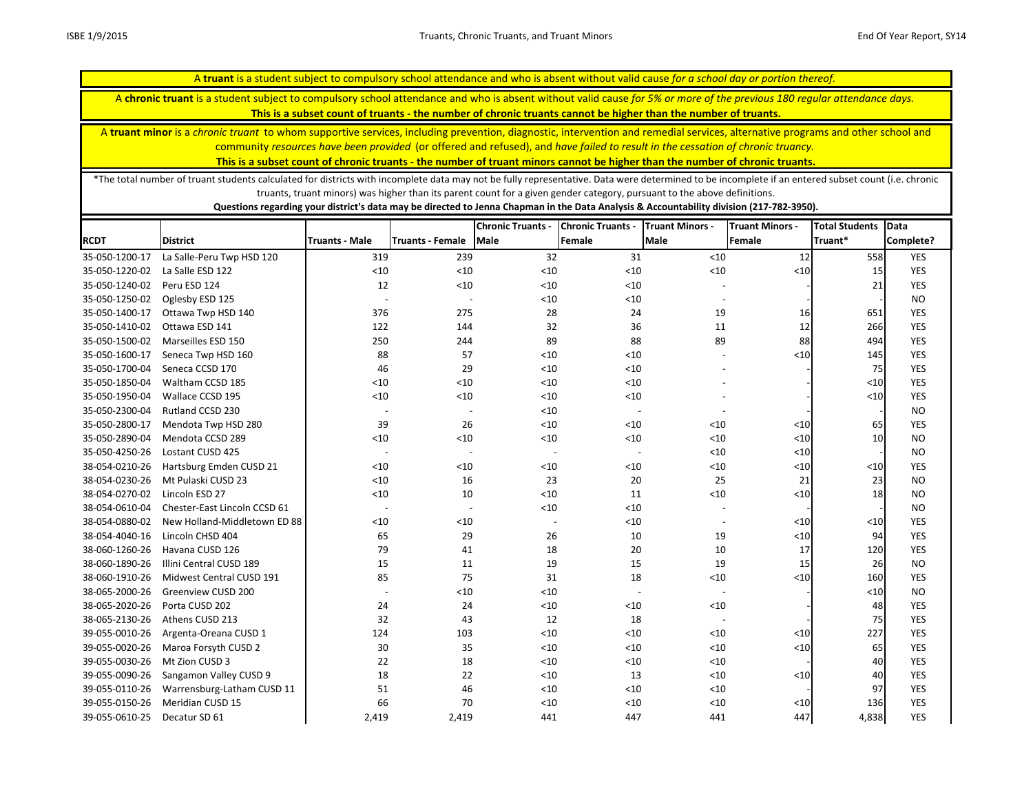A **chronic truant** is a student subject to compulsory school attendance and who is absent without valid cause *for 5% or more of the previous 180 regular attendance days.* 

**This is a subset count of truants - the number of chronic truants cannot be higher than the number of truants.**

A **truant minor** is a *chronic truant* to whom supportive services, including prevention, diagnostic, intervention and remedial services, alternative programs and other school and community *resources have been provided* (or offered and refused), and *have failed to result in the cessation of chronic truancy.* 

**This is a subset count of chronic truants - the number of truant minors cannot be higher than the number of chronic truants.**

\*The total number of truant students calculated for districts with incomplete data may not be fully representative. Data were determined to be incomplete if an entered subset count (i.e. chronic truants, truant minors) was higher than its parent count for a given gender category, pursuant to the above definitions.

|                |                              |                          |                         | <b>Chronic Truants -</b> | <b>Chronic Truants -</b> | <b>Truant Minors -</b>   | <b>Truant Minors -</b> | <b>Total Students</b> | Data       |
|----------------|------------------------------|--------------------------|-------------------------|--------------------------|--------------------------|--------------------------|------------------------|-----------------------|------------|
| <b>RCDT</b>    | <b>District</b>              | <b>Truants - Male</b>    | <b>Truants - Female</b> | <b>Male</b>              | <b>Female</b>            | Male                     | Female                 | Truant*               | Complete?  |
| 35-050-1200-17 | La Salle-Peru Twp HSD 120    | 319                      | 239                     | 32                       | 31                       | $<10$                    | 12                     | 558                   | <b>YES</b> |
| 35-050-1220-02 | La Salle ESD 122             | < 10                     | < 10                    | $<10$                    | $<10$                    | < 10                     | $<$ 10                 | 15                    | <b>YES</b> |
| 35-050-1240-02 | Peru ESD 124                 | 12                       | < 10                    | $<10$                    | $<10$                    |                          |                        | 21                    | <b>YES</b> |
| 35-050-1250-02 | Oglesby ESD 125              | $\overline{\phantom{a}}$ |                         | $<10$                    | $<10$                    | $\overline{\phantom{a}}$ |                        |                       | <b>NO</b>  |
| 35-050-1400-17 | Ottawa Twp HSD 140           | 376                      | 275                     | 28                       | 24                       | 19                       | 16                     | 651                   | <b>YES</b> |
| 35-050-1410-02 | Ottawa ESD 141               | 122                      | 144                     | 32                       | 36                       | 11                       | 12                     | 266                   | <b>YES</b> |
| 35-050-1500-02 | Marseilles ESD 150           | 250                      | 244                     | 89                       | 88                       | 89                       | 88                     | 494                   | <b>YES</b> |
| 35-050-1600-17 | Seneca Twp HSD 160           | 88                       | 57                      | $<10$                    | < 10                     |                          | $10$                   | 145                   | <b>YES</b> |
| 35-050-1700-04 | Seneca CCSD 170              | 46                       | 29                      | $<10$                    | < 10                     |                          |                        | 75                    | <b>YES</b> |
| 35-050-1850-04 | Waltham CCSD 185             | $<10$                    | < 10                    | $<10$                    | < 10                     |                          |                        | < 10                  | <b>YES</b> |
| 35-050-1950-04 | Wallace CCSD 195             | $<10$                    | < 10                    | $<10$                    | < 10                     |                          |                        | < 10                  | <b>YES</b> |
| 35-050-2300-04 | Rutland CCSD 230             | $\overline{\phantom{a}}$ |                         | $<10$                    |                          |                          |                        |                       | <b>NO</b>  |
| 35-050-2800-17 | Mendota Twp HSD 280          | 39                       | 26                      | $<10$                    | < 10                     | < 10                     | $<$ 10                 | 65                    | <b>YES</b> |
| 35-050-2890-04 | Mendota CCSD 289             | $<10$                    | $<10$                   | $<10$                    | < 10                     | $<10$                    | $<$ 10                 | 10                    | <b>NO</b>  |
| 35-050-4250-26 | Lostant CUSD 425             | $\overline{\phantom{a}}$ | $\overline{a}$          | $\overline{\phantom{a}}$ |                          | $<10$                    | $<$ 10                 |                       | <b>NO</b>  |
| 38-054-0210-26 | Hartsburg Emden CUSD 21      | < 10                     | < 10                    | $<10$                    | $<10$                    | < 10                     | $<$ 10                 | < 10                  | <b>YES</b> |
| 38-054-0230-26 | Mt Pulaski CUSD 23           | < 10                     | 16                      | 23                       | 20                       | 25                       | 21                     | 23                    | <b>NO</b>  |
| 38-054-0270-02 | Lincoln ESD 27               | $<10$                    | 10                      | $<10$                    | 11                       | < 10                     | $<10$                  | 18                    | <b>NO</b>  |
| 38-054-0610-04 | Chester-East Lincoln CCSD 61 | $\overline{\phantom{a}}$ |                         | $<10$                    | < 10                     |                          |                        |                       | <b>NO</b>  |
| 38-054-0880-02 | New Holland-Middletown ED 88 | < 10                     | < 10                    |                          | $<10$                    | $\overline{\phantom{a}}$ | $<$ 10                 | < 10                  | <b>YES</b> |
| 38-054-4040-16 | Lincoln CHSD 404             | 65                       | 29                      | 26                       | 10                       | 19                       | $<$ 10                 | 94                    | <b>YES</b> |
| 38-060-1260-26 | Havana CUSD 126              | 79                       | 41                      | 18                       | 20                       | 10                       | 17                     | 120                   | <b>YES</b> |
| 38-060-1890-26 | Illini Central CUSD 189      | 15                       | 11                      | 19                       | 15                       | 19                       | 15                     | 26                    | <b>NO</b>  |
| 38-060-1910-26 | Midwest Central CUSD 191     | 85                       | 75                      | 31                       | 18                       | $<10$                    | $\langle 10 $          | 160                   | <b>YES</b> |
| 38-065-2000-26 | <b>Greenview CUSD 200</b>    | $\overline{\phantom{a}}$ | < 10                    | $<10$                    |                          |                          |                        | $<10$                 | <b>NO</b>  |
| 38-065-2020-26 | Porta CUSD 202               | 24                       | 24                      | $<10$                    | $<10$                    | < 10                     |                        | 48                    | <b>YES</b> |
| 38-065-2130-26 | Athens CUSD 213              | 32                       | 43                      | 12                       | 18                       |                          |                        | 75                    | <b>YES</b> |
| 39-055-0010-26 | Argenta-Oreana CUSD 1        | 124                      | 103                     | $<10$                    | < 10                     | $<10$                    | $<$ 10                 | 227                   | YES        |
| 39-055-0020-26 | Maroa Forsyth CUSD 2         | 30                       | 35                      | $<10$                    | < 10                     | $<10$                    | $<$ 10                 | 65                    | <b>YES</b> |
| 39-055-0030-26 | Mt Zion CUSD 3               | 22                       | 18                      | $<10$                    | $<10$                    | $<10$                    |                        | 40                    | <b>YES</b> |
| 39-055-0090-26 | Sangamon Valley CUSD 9       | 18                       | 22                      | $<10$                    | 13                       | $<10$                    | $<10$                  | 40                    | <b>YES</b> |
| 39-055-0110-26 | Warrensburg-Latham CUSD 11   | 51                       | 46                      | $<10$                    | < 10                     | < 10                     |                        | 97                    | <b>YES</b> |
| 39-055-0150-26 | Meridian CUSD 15             | 66                       | 70                      | < 10                     | < 10                     | < 10                     | $<10$                  | 136                   | <b>YES</b> |
| 39-055-0610-25 | Decatur SD 61                | 2,419                    | 2,419                   | 441                      | 447                      | 441                      | 447                    | 4,838                 | <b>YES</b> |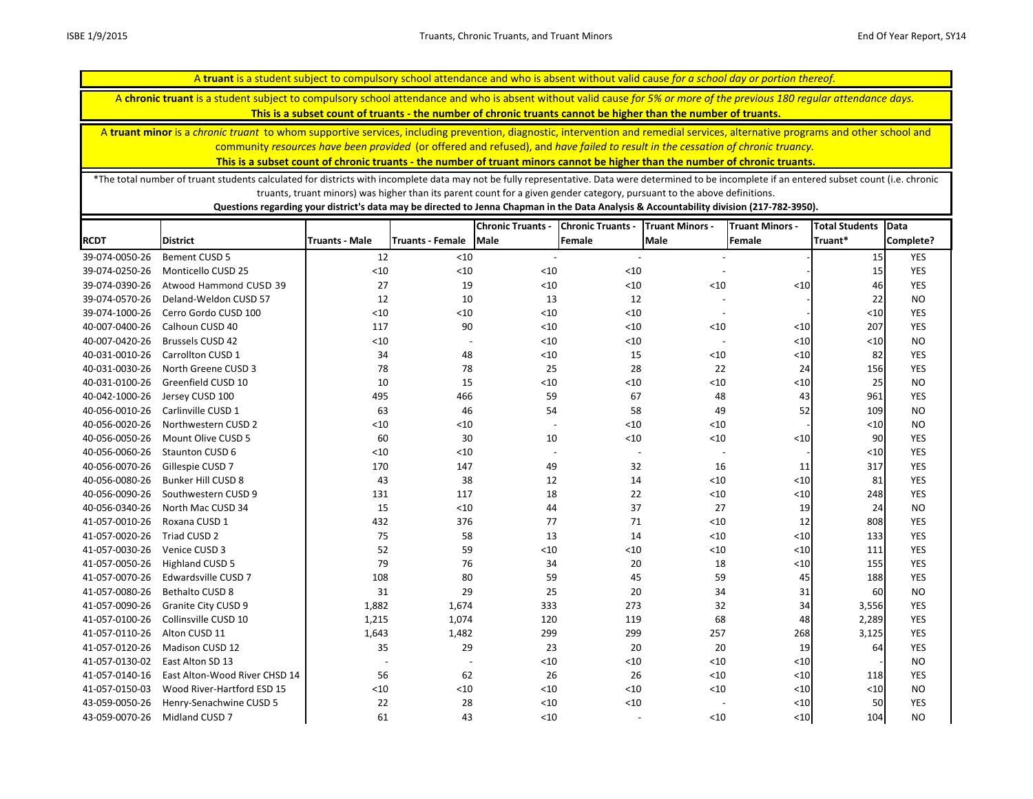A **chronic truant** is a student subject to compulsory school attendance and who is absent without valid cause *for 5% or more of the previous 180 regular attendance days.* 

**This is a subset count of truants - the number of chronic truants cannot be higher than the number of truants.**

A **truant minor** is a *chronic truant* to whom supportive services, including prevention, diagnostic, intervention and remedial services, alternative programs and other school and community *resources have been provided* (or offered and refused), and *have failed to result in the cessation of chronic truancy.* 

**This is a subset count of chronic truants - the number of truant minors cannot be higher than the number of chronic truants.**

\*The total number of truant students calculated for districts with incomplete data may not be fully representative. Data were determined to be incomplete if an entered subset count (i.e. chronic truants, truant minors) was higher than its parent count for a given gender category, pursuant to the above definitions.

|                |                               |                       |                          | <b>Chronic Truants -</b> | <b>Chronic Truants -</b> | <b>Truant Minors -</b>   | <b>Truant Minors -</b> | <b>Total Students</b> | Data       |
|----------------|-------------------------------|-----------------------|--------------------------|--------------------------|--------------------------|--------------------------|------------------------|-----------------------|------------|
| <b>RCDT</b>    | <b>District</b>               | <b>Truants - Male</b> | <b>Truants - Female</b>  | Male                     | Female                   | <b>Male</b>              | Female                 | Truant*               | Complete?  |
| 39-074-0050-26 | <b>Bement CUSD 5</b>          | 12                    | < 10                     |                          |                          |                          |                        | 15                    | <b>YES</b> |
| 39-074-0250-26 | Monticello CUSD 25            | $<10$                 | $<10$                    | $<10$                    | $<10$                    |                          |                        | 15                    | <b>YES</b> |
| 39-074-0390-26 | Atwood Hammond CUSD 39        | 27                    | 19                       | < 10                     | $<10$                    | < 10                     | $<10$                  | 46                    | <b>YES</b> |
| 39-074-0570-26 | Deland-Weldon CUSD 57         | 12                    | 10                       | 13                       | 12                       |                          |                        | 22                    | <b>NO</b>  |
| 39-074-1000-26 | Cerro Gordo CUSD 100          | $<10$                 | < 10                     | < 10                     | $<10$                    | $\overline{\phantom{a}}$ |                        | $<10$                 | <b>YES</b> |
| 40-007-0400-26 | Calhoun CUSD 40               | 117                   | 90                       | $<10$                    | $<10$                    | $<10$                    | $<$ 10                 | 207                   | <b>YES</b> |
| 40-007-0420-26 | <b>Brussels CUSD 42</b>       | $<10$                 | $\overline{\phantom{a}}$ | < 10                     | $<10$                    | $\overline{\phantom{a}}$ | $\leq 10$              | $<10$                 | <b>NO</b>  |
| 40-031-0010-26 | Carrollton CUSD 1             | 34                    | 48                       | $<\!\!10$                | 15                       | $<10$                    | $\leq 10$              | 82                    | <b>YES</b> |
| 40-031-0030-26 | North Greene CUSD 3           | 78                    | 78                       | 25                       | 28                       | 22                       | 24                     | 156                   | YES        |
| 40-031-0100-26 | Greenfield CUSD 10            | 10                    | 15                       | $<\!\!10$                | ${<}10$                  | $<10$                    | $<10$                  | 25                    | <b>NO</b>  |
| 40-042-1000-26 | Jersey CUSD 100               | 495                   | 466                      | 59                       | 67                       | 48                       | 43                     | 961                   | <b>YES</b> |
| 40-056-0010-26 | Carlinville CUSD 1            | 63                    | 46                       | 54                       | 58                       | 49                       | 52                     | 109                   | <b>NO</b>  |
| 40-056-0020-26 | Northwestern CUSD 2           | $<10$                 | < 10                     | $\overline{\phantom{a}}$ | $<10$                    | < 10                     |                        | $<10$                 | <b>NO</b>  |
| 40-056-0050-26 | Mount Olive CUSD 5            | 60                    | 30                       | 10                       | $<10$                    | $<10$                    | $<10$                  | 90                    | YES        |
| 40-056-0060-26 | Staunton CUSD 6               | $<10$                 | < 10                     | $\overline{\phantom{a}}$ | $\overline{\phantom{a}}$ | $\overline{\phantom{a}}$ |                        | < 10                  | <b>YES</b> |
| 40-056-0070-26 | Gillespie CUSD 7              | 170                   | 147                      | 49                       | 32                       | 16                       | 11                     | 317                   | <b>YES</b> |
| 40-056-0080-26 | <b>Bunker Hill CUSD 8</b>     | 43                    | 38                       | 12                       | 14                       | < 10                     | $<10$                  | 81                    | YES        |
| 40-056-0090-26 | Southwestern CUSD 9           | 131                   | 117                      | 18                       | 22                       | $<10$                    | $<10$                  | 248                   | YES        |
| 40-056-0340-26 | North Mac CUSD 34             | 15                    | < 10                     | 44                       | 37                       | 27                       | 19                     | 24                    | <b>NO</b>  |
| 41-057-0010-26 | Roxana CUSD 1                 | 432                   | 376                      | 77                       | 71                       | < 10                     | 12                     | 808                   | YES        |
| 41-057-0020-26 | Triad CUSD 2                  | 75                    | 58                       | 13                       | 14                       | < 10                     | $\leq 10$              | 133                   | <b>YES</b> |
| 41-057-0030-26 | Venice CUSD 3                 | 52                    | 59                       | $<10$                    | $<10$                    | $<10$                    | $\leq 10$              | 111                   | YES        |
| 41-057-0050-26 | Highland CUSD 5               | 79                    | 76                       | 34                       | 20                       | 18                       | $\leq 10$              | 155                   | YES        |
| 41-057-0070-26 | Edwardsville CUSD 7           | 108                   | 80                       | 59                       | 45                       | 59                       | 45                     | 188                   | YES        |
| 41-057-0080-26 | Bethalto CUSD 8               | 31                    | 29                       | 25                       | 20                       | 34                       | 31                     | 60                    | <b>NO</b>  |
| 41-057-0090-26 | Granite City CUSD 9           | 1,882                 | 1,674                    | 333                      | 273                      | 32                       | 34                     | 3,556                 | YES        |
| 41-057-0100-26 | Collinsville CUSD 10          | 1,215                 | 1,074                    | 120                      | 119                      | 68                       | 48                     | 2,289                 | <b>YES</b> |
| 41-057-0110-26 | Alton CUSD 11                 | 1,643                 | 1,482                    | 299                      | 299                      | 257                      | 268                    | 3,125                 | YES        |
| 41-057-0120-26 | Madison CUSD 12               | 35                    | 29                       | 23                       | 20                       | 20                       | 19                     | 64                    | <b>YES</b> |
| 41-057-0130-02 | East Alton SD 13              |                       | $\overline{\phantom{a}}$ | $<10$                    | $<10$                    | < 10                     | $<10$                  |                       | <b>NO</b>  |
| 41-057-0140-16 | East Alton-Wood River CHSD 14 | 56                    | 62                       | 26                       | 26                       | < 10                     | < 10                   | 118                   | <b>YES</b> |
| 41-057-0150-03 | Wood River-Hartford ESD 15    | $<10$                 | $<10$                    | $<10$                    | $<10$                    | $<10$                    | $<10$                  | $<10$                 | <b>NO</b>  |
| 43-059-0050-26 | Henry-Senachwine CUSD 5       | 22                    | 28                       | < 10                     | $<10$                    |                          | < 10                   | 50                    | <b>YES</b> |
| 43-059-0070-26 | Midland CUSD 7                | 61                    | 43                       | $<10$                    |                          | < 10                     | < 10                   | 104                   | <b>NO</b>  |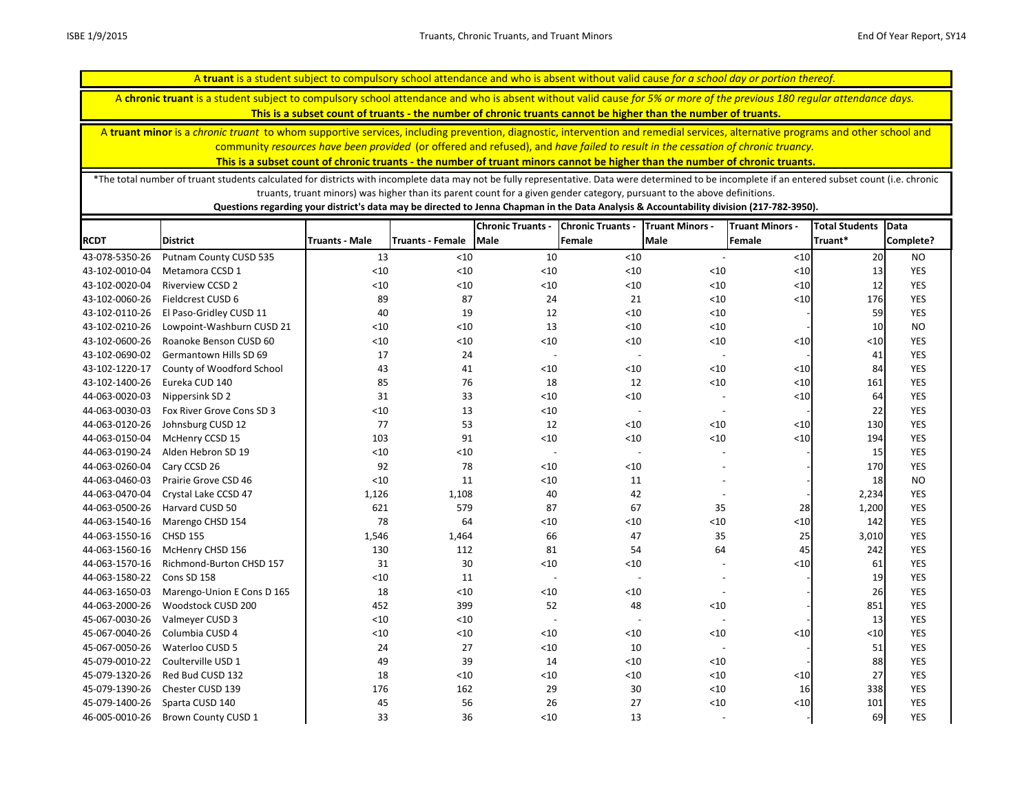A **chronic truant** is a student subject to compulsory school attendance and who is absent without valid cause *for 5% or more of the previous 180 regular attendance days.* 

**This is a subset count of truants - the number of chronic truants cannot be higher than the number of truants.**

A **truant minor** is a *chronic truant* to whom supportive services, including prevention, diagnostic, intervention and remedial services, alternative programs and other school and community *resources have been provided* (or offered and refused), and *have failed to result in the cessation of chronic truancy.* 

**This is a subset count of chronic truants - the number of truant minors cannot be higher than the number of chronic truants.**

\*The total number of truant students calculated for districts with incomplete data may not be fully representative. Data were determined to be incomplete if an entered subset count (i.e. chronic truants, truant minors) was higher than its parent count for a given gender category, pursuant to the above definitions.

|                |                            |                       |                         | <b>Chronic Truants -</b> | <b>Chronic Truants -</b> | <b>Truant Minors -</b>   | <b>Truant Minors -</b> | <b>Total Students</b> | Data       |
|----------------|----------------------------|-----------------------|-------------------------|--------------------------|--------------------------|--------------------------|------------------------|-----------------------|------------|
| <b>RCDT</b>    | <b>District</b>            | <b>Truants - Male</b> | <b>Truants - Female</b> | <b>Male</b>              | Female                   | <b>Male</b>              | Female                 | Truant*               | Complete?  |
| 43-078-5350-26 | Putnam County CUSD 535     | 13                    | < 10                    | 10                       | $<10$                    |                          | $<10$                  | 20                    | <b>NO</b>  |
| 43-102-0010-04 | Metamora CCSD 1            | < 10                  | < 10                    | < 10                     | $<10$                    | < 10                     | < 10                   | 13                    | <b>YES</b> |
| 43-102-0020-04 | <b>Riverview CCSD 2</b>    | < 10                  | < 10                    | < 10                     | $<10$                    | < 10                     | < 10                   | 12                    | <b>YES</b> |
| 43-102-0060-26 | Fieldcrest CUSD 6          | 89                    | 87                      | 24                       | 21                       | $<10$                    | $<10$                  | 176                   | <b>YES</b> |
| 43-102-0110-26 | El Paso-Gridley CUSD 11    | 40                    | 19                      | 12                       | $<10$                    | < 10                     |                        | 59                    | <b>YES</b> |
| 43-102-0210-26 | Lowpoint-Washburn CUSD 21  | < 10                  | < 10                    | 13                       | < 10                     | < 10                     |                        | 10                    | <b>NO</b>  |
| 43-102-0600-26 | Roanoke Benson CUSD 60     | <10                   | < 10                    | $<10$                    | $<10$                    | $<10$                    | < 10                   | $<$ 10                | YES        |
| 43-102-0690-02 | Germantown Hills SD 69     | 17                    | 24                      | $\overline{\phantom{a}}$ |                          | $\overline{\phantom{a}}$ |                        | 41                    | <b>YES</b> |
| 43-102-1220-17 | County of Woodford School  | 43                    | 41                      | < 10                     | $<10$                    | $<10$                    | $<10$                  | 84                    | <b>YES</b> |
| 43-102-1400-26 | Eureka CUD 140             | 85                    | 76                      | 18                       | 12                       | < 10                     | $<10$                  | 161                   | YES        |
| 44-063-0020-03 | Nippersink SD 2            | 31                    | 33                      | $<10$                    | $<10$                    |                          | $<10$                  | 64                    | YES        |
| 44-063-0030-03 | Fox River Grove Cons SD 3  | < 10                  | 13                      | < 10                     |                          |                          |                        | 22                    | <b>YES</b> |
| 44-063-0120-26 | Johnsburg CUSD 12          | 77                    | 53                      | 12                       | $<10$                    | < 10                     | < 10                   | 130                   | <b>YES</b> |
| 44-063-0150-04 | McHenry CCSD 15            | 103                   | 91                      | $<10$                    | $<10$                    | < 10                     | < 10                   | 194                   | YES        |
| 44-063-0190-24 | Alden Hebron SD 19         | < 10                  | < 10                    | $\overline{a}$           | $\overline{\phantom{a}}$ |                          |                        | 15                    | <b>YES</b> |
| 44-063-0260-04 | Cary CCSD 26               | 92                    | 78                      | < 10                     | $<10$                    |                          |                        | 170                   | <b>YES</b> |
| 44-063-0460-03 | Prairie Grove CSD 46       | < 10                  | 11                      | $<10$                    | 11                       |                          |                        | 18                    | <b>NO</b>  |
| 44-063-0470-04 | Crystal Lake CCSD 47       | 1,126                 | 1,108                   | 40                       | 42                       |                          |                        | 2,234                 | YES        |
| 44-063-0500-26 | Harvard CUSD 50            | 621                   | 579                     | 87                       | 67                       | 35                       | 28                     | 1,200                 | <b>YES</b> |
| 44-063-1540-16 | Marengo CHSD 154           | 78                    | 64                      | < 10                     | $<10$                    | $<10$                    | $\leq 10$              | 142                   | <b>YES</b> |
| 44-063-1550-16 | <b>CHSD 155</b>            | 1,546                 | 1,464                   | 66                       | 47                       | 35                       | 25                     | 3,010                 | YES        |
| 44-063-1560-16 | McHenry CHSD 156           | 130                   | 112                     | 81                       | 54                       | 64                       | 45                     | 242                   | YES        |
| 44-063-1570-16 | Richmond-Burton CHSD 157   | 31                    | 30                      | < 10                     | $<10$                    |                          | $10$                   | 61                    | <b>YES</b> |
| 44-063-1580-22 | Cons SD 158                | < 10                  | 11                      |                          |                          |                          |                        | 19                    | YES        |
| 44-063-1650-03 | Marengo-Union E Cons D 165 | 18                    | < 10                    | $<10$                    | $<10$                    |                          |                        | 26                    | <b>YES</b> |
| 44-063-2000-26 | Woodstock CUSD 200         | 452                   | 399                     | 52                       | 48                       | < 10                     |                        | 851                   | YES        |
| 45-067-0030-26 | Valmeyer CUSD 3            | < 10                  | < 10                    |                          |                          |                          |                        | 13                    | YES        |
| 45-067-0040-26 | Columbia CUSD 4            | < 10                  | < 10                    | $<10$                    | $<10$                    | $<10$                    | < 10                   | $<10$                 | <b>YES</b> |
| 45-067-0050-26 | Waterloo CUSD 5            | 24                    | 27                      | $<10$                    | 10                       |                          |                        | 51                    | <b>YES</b> |
| 45-079-0010-22 | Coulterville USD 1         | 49                    | 39                      | 14                       | $<10$                    | < 10                     |                        | 88                    | YES        |
| 45-079-1320-26 | Red Bud CUSD 132           | 18                    | < 10                    | < 10                     | $<10$                    | < 10                     | $<10$                  | 27                    | <b>YES</b> |
| 45-079-1390-26 | Chester CUSD 139           | 176                   | 162                     | 29                       | 30                       | < 10                     | 16                     | 338                   | <b>YES</b> |
| 45-079-1400-26 | Sparta CUSD 140            | 45                    | 56                      | 26                       | 27                       | $<10$                    | $<10$                  | 101                   | YES        |
| 46-005-0010-26 | Brown County CUSD 1        | 33                    | 36                      | < 10                     | 13                       |                          |                        | 69                    | <b>YES</b> |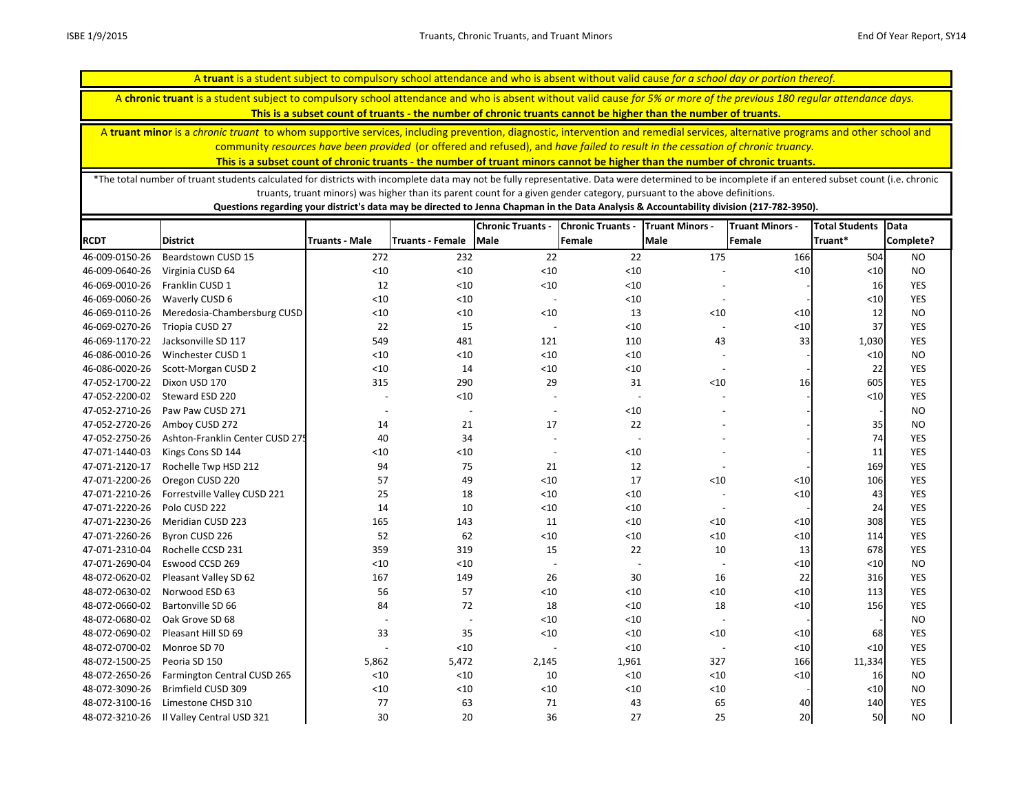A **chronic truant** is a student subject to compulsory school attendance and who is absent without valid cause *for 5% or more of the previous 180 regular attendance days.* 

**This is a subset count of truants - the number of chronic truants cannot be higher than the number of truants.**

A **truant minor** is a *chronic truant* to whom supportive services, including prevention, diagnostic, intervention and remedial services, alternative programs and other school and community *resources have been provided* (or offered and refused), and *have failed to result in the cessation of chronic truancy.* 

**This is a subset count of chronic truants - the number of truant minors cannot be higher than the number of chronic truants.**

\*The total number of truant students calculated for districts with incomplete data may not be fully representative. Data were determined to be incomplete if an entered subset count (i.e. chronic truants, truant minors) was higher than its parent count for a given gender category, pursuant to the above definitions.

|                |                                 |                          |                         | <b>Chronic Truants -</b> | <b>Chronic Truants -</b> | <b>Truant Minors -</b>   | <b>Truant Minors -</b> | <b>Total Students</b> | Data       |
|----------------|---------------------------------|--------------------------|-------------------------|--------------------------|--------------------------|--------------------------|------------------------|-----------------------|------------|
| <b>RCDT</b>    | <b>District</b>                 | <b>Truants - Male</b>    | <b>Truants - Female</b> | Male                     | Female                   | <b>Male</b>              | Female                 | Truant*               | Complete?  |
| 46-009-0150-26 | Beardstown CUSD 15              | 272                      | 232                     | 22                       | 22                       | 175                      | 166                    | 504                   | <b>NO</b>  |
| 46-009-0640-26 | Virginia CUSD 64                | < 10                     | < 10                    | $<10$                    | $<10$                    |                          | $10$                   | < 10                  | <b>NO</b>  |
| 46-069-0010-26 | Franklin CUSD 1                 | 12                       | < 10                    | $<10$                    | $<10$                    |                          |                        | 16                    | <b>YES</b> |
| 46-069-0060-26 | Waverly CUSD 6                  | < 10                     | < 10                    |                          | < 10                     | $\overline{\phantom{a}}$ |                        | < 10                  | <b>YES</b> |
| 46-069-0110-26 | Meredosia-Chambersburg CUSD     | < 10                     | < 10                    | < 10                     | 13                       | < 10                     | $<$ 10                 | 12                    | <b>NO</b>  |
| 46-069-0270-26 | Triopia CUSD 27                 | 22                       | 15                      |                          | < 10                     | $\overline{a}$           | $<$ 10                 | 37                    | <b>YES</b> |
| 46-069-1170-22 | Jacksonville SD 117             | 549                      | 481                     | 121                      | 110                      | 43                       | 33                     | 1,030                 | <b>YES</b> |
| 46-086-0010-26 | Winchester CUSD 1               | $<10$                    | < 10                    | $<10$                    | < 10                     | $\blacksquare$           |                        | < 10                  | <b>NO</b>  |
| 46-086-0020-26 | Scott-Morgan CUSD 2             | < 10                     | 14                      | $<10$                    | < 10                     | $\overline{\phantom{a}}$ |                        | 22                    | <b>YES</b> |
| 47-052-1700-22 | Dixon USD 170                   | 315                      | 290                     | 29                       | 31                       | $<10$                    | 16                     | 605                   | <b>YES</b> |
| 47-052-2200-02 | Steward ESD 220                 |                          | < 10                    |                          |                          |                          |                        | < 10                  | <b>YES</b> |
| 47-052-2710-26 | Paw Paw CUSD 271                | $\overline{\phantom{a}}$ |                         |                          | $<10$                    |                          |                        |                       | <b>NO</b>  |
| 47-052-2720-26 | Amboy CUSD 272                  | 14                       | 21                      | 17                       | 22                       |                          |                        | 35                    | <b>NO</b>  |
| 47-052-2750-26 | Ashton-Franklin Center CUSD 275 | 40                       | 34                      |                          |                          |                          |                        | 74                    | <b>YES</b> |
| 47-071-1440-03 | Kings Cons SD 144               | < 10                     | < 10                    |                          | < 10                     |                          |                        | 11                    | <b>YES</b> |
| 47-071-2120-17 | Rochelle Twp HSD 212            | 94                       | 75                      | 21                       | 12                       | $\overline{\phantom{a}}$ |                        | 169                   | <b>YES</b> |
| 47-071-2200-26 | Oregon CUSD 220                 | 57                       | 49                      | $<10$                    | 17                       | < 10                     | $<$ 10                 | 106                   | <b>YES</b> |
| 47-071-2210-26 | Forrestville Valley CUSD 221    | 25                       | 18                      | $<10$                    | $<10$                    |                          | $10$                   | 43                    | <b>YES</b> |
| 47-071-2220-26 | Polo CUSD 222                   | 14                       | 10                      | $<10$                    | $<10$                    | $\overline{a}$           |                        | 24                    | <b>YES</b> |
| 47-071-2230-26 | Meridian CUSD 223               | 165                      | 143                     | 11                       | < 10                     | $<10$                    | $<$ 10                 | 308                   | <b>YES</b> |
| 47-071-2260-26 | Byron CUSD 226                  | 52                       | 62                      | $<10$                    | < 10                     | $<10$                    | $<$ 10                 | 114                   | <b>YES</b> |
| 47-071-2310-04 | Rochelle CCSD 231               | 359                      | 319                     | 15                       | 22                       | 10                       | 13                     | 678                   | <b>YES</b> |
| 47-071-2690-04 | Eswood CCSD 269                 | $<10$                    | $<10$                   |                          |                          |                          | $10$                   | < 10                  | <b>NO</b>  |
| 48-072-0620-02 | Pleasant Valley SD 62           | 167                      | 149                     | 26                       | 30                       | 16                       | 22                     | 316                   | <b>YES</b> |
| 48-072-0630-02 | Norwood ESD 63                  | 56                       | 57                      | $<10$                    | < 10                     | $<10$                    | $<$ 10                 | 113                   | <b>YES</b> |
| 48-072-0660-02 | Bartonville SD 66               | 84                       | 72                      | 18                       | < 10                     | 18                       | $<$ 10                 | 156                   | <b>YES</b> |
| 48-072-0680-02 | Oak Grove SD 68                 | $\overline{\phantom{a}}$ |                         | $<10$                    | $<10$                    |                          |                        |                       | <b>NO</b>  |
| 48-072-0690-02 | Pleasant Hill SD 69             | 33                       | 35                      | $<10$                    | < 10                     | $<10$                    | $<$ 10                 | 68                    | YES        |
| 48-072-0700-02 | Monroe SD 70                    |                          | < 10                    |                          | < 10                     |                          | $<$ 10                 | < 10                  | <b>YES</b> |
| 48-072-1500-25 | Peoria SD 150                   | 5,862                    | 5,472                   | 2,145                    | 1,961                    | 327                      | 166                    | 11,334                | <b>YES</b> |
| 48-072-2650-26 | Farmington Central CUSD 265     | < 10                     | < 10                    | 10                       | < 10                     | $<10$                    | $<$ 10                 | 16                    | <b>NO</b>  |
| 48-072-3090-26 | Brimfield CUSD 309              | < 10                     | < 10                    | $<10$                    | $<10$                    | $<10$                    |                        | < 10                  | <b>NO</b>  |
| 48-072-3100-16 | Limestone CHSD 310              | 77                       | 63                      | 71                       | 43                       | 65                       | 40                     | 140                   | <b>YES</b> |
| 48-072-3210-26 | Il Valley Central USD 321       | 30                       | 20                      | 36                       | 27                       | 25                       | 20                     | 50                    | <b>NO</b>  |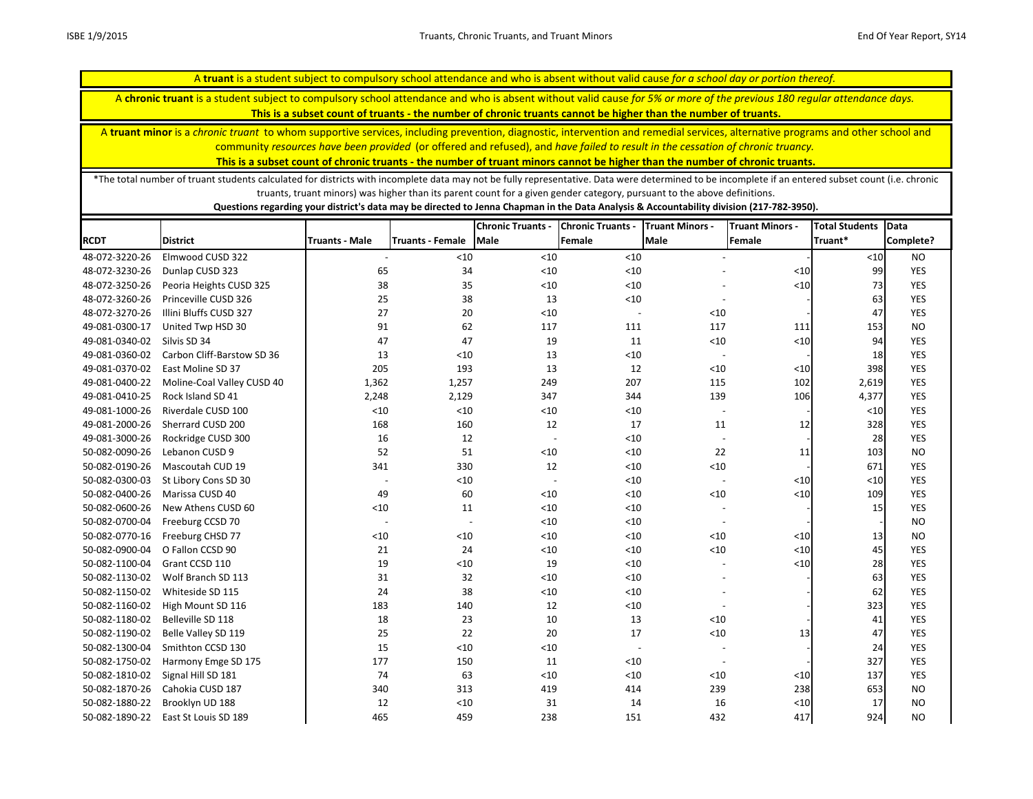A **chronic truant** is a student subject to compulsory school attendance and who is absent without valid cause *for 5% or more of the previous 180 regular attendance days.* 

**This is a subset count of truants - the number of chronic truants cannot be higher than the number of truants.**

A **truant minor** is a *chronic truant* to whom supportive services, including prevention, diagnostic, intervention and remedial services, alternative programs and other school and community *resources have been provided* (or offered and refused), and *have failed to result in the cessation of chronic truancy.* 

**This is a subset count of chronic truants - the number of truant minors cannot be higher than the number of chronic truants.**

\*The total number of truant students calculated for districts with incomplete data may not be fully representative. Data were determined to be incomplete if an entered subset count (i.e. chronic truants, truant minors) was higher than its parent count for a given gender category, pursuant to the above definitions.

|                |                            |                          |                  | <b>Chronic Truants -</b> | <b>Chronic Truants -</b> | <b>Truant Minors -</b>   | <b>Truant Minors -</b> | <b>Total Students</b> | <b>Data</b> |
|----------------|----------------------------|--------------------------|------------------|--------------------------|--------------------------|--------------------------|------------------------|-----------------------|-------------|
| <b>RCDT</b>    | <b>District</b>            | <b>Truants - Male</b>    | Truants - Female | Male                     | Female                   | <b>Male</b>              | Female                 | Truant*               | Complete?   |
| 48-072-3220-26 | Elmwood CUSD 322           |                          | < 10             | < 10                     | $<10$                    |                          |                        | $<10$                 | <b>NO</b>   |
| 48-072-3230-26 | Dunlap CUSD 323            | 65                       | 34               | $<10$                    | < 10                     |                          | < 10                   | 99                    | <b>YES</b>  |
| 48-072-3250-26 | Peoria Heights CUSD 325    | 38                       | 35               | < 10                     | $<10$                    |                          | $<10$                  | 73                    | <b>YES</b>  |
| 48-072-3260-26 | Princeville CUSD 326       | 25                       | 38               | 13                       | $<10$                    |                          |                        | 63                    | <b>YES</b>  |
| 48-072-3270-26 | Illini Bluffs CUSD 327     | 27                       | 20               | $<10$                    | $\sim$                   | $<10$                    |                        | 47                    | <b>YES</b>  |
| 49-081-0300-17 | United Twp HSD 30          | 91                       | 62               | 117                      | 111                      | 117                      | 111                    | 153                   | <b>NO</b>   |
| 49-081-0340-02 | Silvis SD 34               | 47                       | 47               | 19                       | 11                       | $<10$                    | $<10$                  | 94                    | <b>YES</b>  |
| 49-081-0360-02 | Carbon Cliff-Barstow SD 36 | 13                       | < 10             | 13                       | $<10$                    | $\overline{\phantom{a}}$ |                        | 18                    | <b>YES</b>  |
| 49-081-0370-02 | East Moline SD 37          | 205                      | 193              | 13                       | 12                       | $<10$                    | < 10                   | 398                   | <b>YES</b>  |
| 49-081-0400-22 | Moline-Coal Valley CUSD 40 | 1,362                    | 1,257            | 249                      | 207                      | 115                      | 102                    | 2,619                 | <b>YES</b>  |
| 49-081-0410-25 | Rock Island SD 41          | 2,248                    | 2,129            | 347                      | 344                      | 139                      | 106                    | 4,377                 | <b>YES</b>  |
| 49-081-1000-26 | Riverdale CUSD 100         | < 10                     | < 10             | $<10$                    | < 10                     | $\sim$                   |                        | < 10                  | YES         |
| 49-081-2000-26 | Sherrard CUSD 200          | 168                      | 160              | 12                       | 17                       | 11                       | 12                     | 328                   | <b>YES</b>  |
| 49-081-3000-26 | Rockridge CUSD 300         | 16                       | 12               | $\overline{\phantom{a}}$ | < 10                     | $\overline{a}$           |                        | 28                    | <b>YES</b>  |
| 50-082-0090-26 | Lebanon CUSD 9             | 52                       | 51               | $<10$                    | $<10$                    | 22                       | 11                     | 103                   | <b>NO</b>   |
| 50-082-0190-26 | Mascoutah CUD 19           | 341                      | 330              | 12                       | < 10                     | $<10$                    |                        | 671                   | <b>YES</b>  |
| 50-082-0300-03 | St Libory Cons SD 30       | $\overline{\phantom{a}}$ | $<10$            | $\overline{a}$           | < 10                     | $\overline{\phantom{a}}$ | $<10$                  | $<10$                 | <b>YES</b>  |
| 50-082-0400-26 | Marissa CUSD 40            | 49                       | 60               | < 10                     | < 10                     | $<10$                    | $<10$                  | 109                   | <b>YES</b>  |
| 50-082-0600-26 | New Athens CUSD 60         | $<10$                    | 11               | $<10$                    | < 10                     |                          |                        | 15                    | YES         |
| 50-082-0700-04 | Freeburg CCSD 70           | $\overline{\phantom{a}}$ | $\overline{a}$   | $<10$                    | $<10$                    | $\sim$                   |                        |                       | <b>NO</b>   |
| 50-082-0770-16 | Freeburg CHSD 77           | $<10$                    | < 10             | $<10$                    | $<10$                    | $<10$                    | < 10                   | 13                    | <b>NO</b>   |
| 50-082-0900-04 | O Fallon CCSD 90           | 21                       | 24               | $<10$                    | $<10$                    | $<10$                    | $<10$                  | 45                    | <b>YES</b>  |
| 50-082-1100-04 | Grant CCSD 110             | 19                       | < 10             | 19                       | < 10                     |                          | $<10$                  | 28                    | <b>YES</b>  |
| 50-082-1130-02 | Wolf Branch SD 113         | 31                       | 32               | $<10$                    | < 10                     |                          |                        | 63                    | <b>YES</b>  |
| 50-082-1150-02 | Whiteside SD 115           | 24                       | 38               | < 10                     | < 10                     |                          |                        | 62                    | <b>YES</b>  |
| 50-082-1160-02 | High Mount SD 116          | 183                      | 140              | 12                       | $<10$                    |                          |                        | 323                   | <b>YES</b>  |
| 50-082-1180-02 | Belleville SD 118          | 18                       | 23               | 10                       | 13                       | < 10                     |                        | 41                    | <b>YES</b>  |
| 50-082-1190-02 | Belle Valley SD 119        | 25                       | 22               | 20                       | 17                       | $<10$                    | 13                     | 47                    | <b>YES</b>  |
| 50-082-1300-04 | Smithton CCSD 130          | 15                       | < 10             | < 10                     | $\overline{\phantom{a}}$ |                          |                        | 24                    | <b>YES</b>  |
| 50-082-1750-02 | Harmony Emge SD 175        | 177                      | 150              | 11                       | < 10                     | $\overline{\phantom{a}}$ |                        | 327                   | <b>YES</b>  |
| 50-082-1810-02 | Signal Hill SD 181         | 74                       | 63               | < 10                     | < 10                     | < 10                     | < 10                   | 137                   | <b>YES</b>  |
| 50-082-1870-26 | Cahokia CUSD 187           | 340                      | 313              | 419                      | 414                      | 239                      | 238                    | 653                   | <b>NO</b>   |
| 50-082-1880-22 | Brooklyn UD 188            | 12                       | < 10             | 31                       | 14                       | 16                       | < 10                   | 17                    | <b>NO</b>   |
| 50-082-1890-22 | East St Louis SD 189       | 465                      | 459              | 238                      | 151                      | 432                      | 417                    | 924                   | <b>NO</b>   |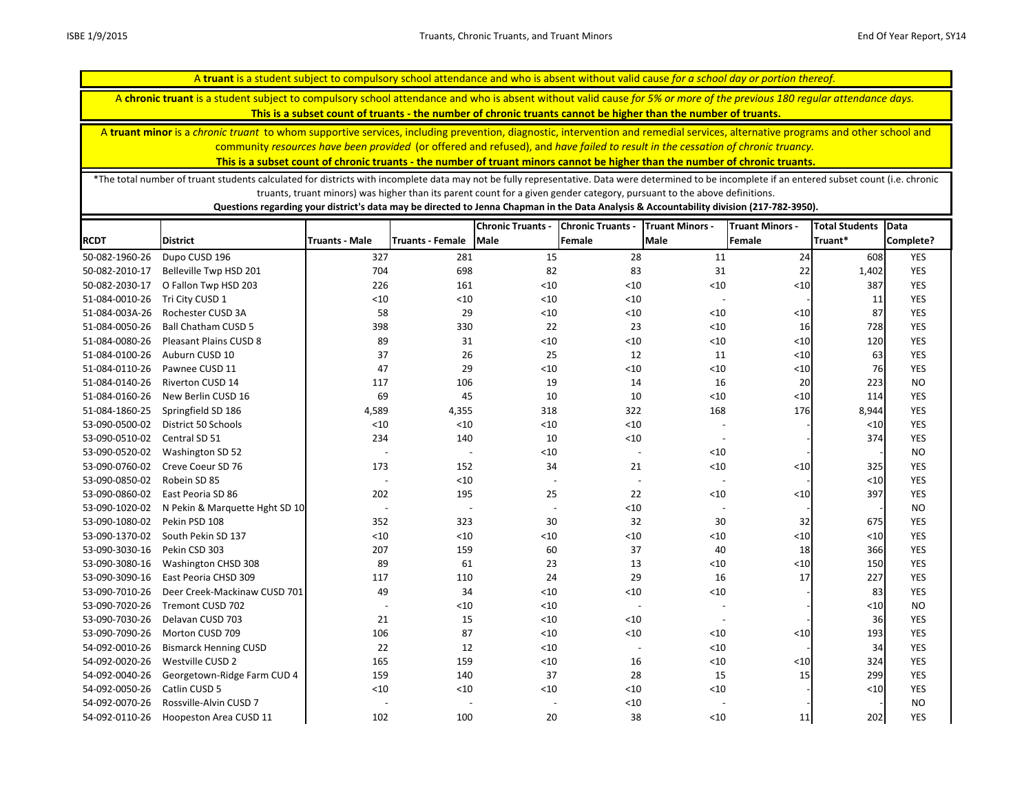A **chronic truant** is a student subject to compulsory school attendance and who is absent without valid cause *for 5% or more of the previous 180 regular attendance days.* 

**This is a subset count of truants - the number of chronic truants cannot be higher than the number of truants.**

A **truant minor** is a *chronic truant* to whom supportive services, including prevention, diagnostic, intervention and remedial services, alternative programs and other school and community *resources have been provided* (or offered and refused), and *have failed to result in the cessation of chronic truancy.* 

**This is a subset count of chronic truants - the number of truant minors cannot be higher than the number of chronic truants.**

\*The total number of truant students calculated for districts with incomplete data may not be fully representative. Data were determined to be incomplete if an entered subset count (i.e. chronic truants, truant minors) was higher than its parent count for a given gender category, pursuant to the above definitions.

|                |                                 |                          |                          | <b>Chronic Truants -</b> | <b>Chronic Truants -</b> | <b>Truant Minors -</b>   | <b>Truant Minors -</b> | <b>Total Students</b> | Data       |
|----------------|---------------------------------|--------------------------|--------------------------|--------------------------|--------------------------|--------------------------|------------------------|-----------------------|------------|
| <b>RCDT</b>    | <b>District</b>                 | <b>Truants - Male</b>    | Truants - Female         | <b>Male</b>              | Female                   | <b>Male</b>              | Female                 | Truant*               | Complete?  |
| 50-082-1960-26 | Dupo CUSD 196                   | 327                      | 281                      | 15                       | 28                       | 11                       | 24                     | 608                   | <b>YES</b> |
| 50-082-2010-17 | Belleville Twp HSD 201          | 704                      | 698                      | 82                       | 83                       | 31                       | 22                     | 1,402                 | <b>YES</b> |
| 50-082-2030-17 | O Fallon Twp HSD 203            | 226                      | 161                      | < 10                     | < 10                     | < 10                     | $<10$                  | 387                   | <b>YES</b> |
| 51-084-0010-26 | Tri City CUSD 1                 | < 10                     | < 10                     | $<10$                    | $<10$                    |                          |                        | 11                    | <b>YES</b> |
| 51-084-003A-26 | Rochester CUSD 3A               | 58                       | 29                       | $<10$                    | $<10$                    | < 10                     | $<10$                  | 87                    | <b>YES</b> |
| 51-084-0050-26 | <b>Ball Chatham CUSD 5</b>      | 398                      | 330                      | 22                       | 23                       | < 10                     | 16                     | 728                   | YES        |
| 51-084-0080-26 | Pleasant Plains CUSD 8          | 89                       | 31                       | < 10                     | $<10$                    | $<10$                    | $<10$                  | 120                   | <b>YES</b> |
| 51-084-0100-26 | Auburn CUSD 10                  | 37                       | 26                       | 25                       | 12                       | 11                       | $<10$                  | 63                    | YES        |
| 51-084-0110-26 | Pawnee CUSD 11                  | 47                       | 29                       | < 10                     | $<10$                    | $<10$                    | $<10$                  | 76                    | YES        |
| 51-084-0140-26 | Riverton CUSD 14                | 117                      | 106                      | 19                       | 14                       | 16                       | 20                     | 223                   | <b>NO</b>  |
| 51-084-0160-26 | New Berlin CUSD 16              | 69                       | 45                       | 10                       | 10                       | < 10                     | $<10$                  | 114                   | YES        |
| 51-084-1860-25 | Springfield SD 186              | 4,589                    | 4,355                    | 318                      | 322                      | 168                      | 176                    | 8,944                 | YES        |
| 53-090-0500-02 | District 50 Schools             | $<10$                    | < 10                     | $<10$                    | $<10$                    |                          |                        | $<10$                 | YES        |
| 53-090-0510-02 | Central SD 51                   | 234                      | 140                      | 10                       | < 10                     | $\overline{\phantom{a}}$ |                        | 374                   | <b>YES</b> |
| 53-090-0520-02 | Washington SD 52                | $\overline{\phantom{a}}$ | $\overline{\phantom{a}}$ | < 10                     | $\overline{\phantom{a}}$ | $<10$                    |                        |                       | <b>NO</b>  |
| 53-090-0760-02 | Creve Coeur SD 76               | 173                      | 152                      | 34                       | 21                       | < 10                     | $<10$                  | 325                   | <b>YES</b> |
| 53-090-0850-02 | Robein SD 85                    |                          | < 10                     | $\overline{\phantom{a}}$ |                          |                          |                        | $<$ 10                | YES        |
| 53-090-0860-02 | East Peoria SD 86               | 202                      | 195                      | 25                       | 22                       | $<10$                    | < 10                   | 397                   | <b>YES</b> |
| 53-090-1020-02 | N Pekin & Marquette Hght SD 10. | $\overline{\phantom{a}}$ | $\overline{\phantom{a}}$ | $\overline{\phantom{a}}$ | $<10$                    |                          |                        |                       | <b>NO</b>  |
| 53-090-1080-02 | Pekin PSD 108                   | 352                      | 323                      | 30                       | 32                       | 30                       | 32                     | 675                   | <b>YES</b> |
| 53-090-1370-02 | South Pekin SD 137              | < 10                     | < 10                     | $<10$                    | $<10$                    | < 10                     | $<$ 10                 | $<$ 10                | YES        |
| 53-090-3030-16 | Pekin CSD 303                   | 207                      | 159                      | 60                       | 37                       | 40                       | 18                     | 366                   | YES        |
| 53-090-3080-16 | Washington CHSD 308             | 89                       | 61                       | 23                       | 13                       | < 10                     | $<10$                  | 150                   | YES        |
| 53-090-3090-16 | East Peoria CHSD 309            | 117                      | 110                      | 24                       | 29                       | 16                       | 17                     | 227                   | YES        |
| 53-090-7010-26 | Deer Creek-Mackinaw CUSD 701    | 49                       | 34                       | < 10                     | < 10                     | < 10                     |                        | 83                    | YES        |
| 53-090-7020-26 | Tremont CUSD 702                |                          | < 10                     | < 10                     |                          |                          |                        | $<$ 10                | <b>NO</b>  |
| 53-090-7030-26 | Delavan CUSD 703                | 21                       | 15                       | $<10$                    | < 10                     |                          |                        | 36                    | <b>YES</b> |
| 53-090-7090-26 | Morton CUSD 709                 | 106                      | 87                       | $<10$                    | < 10                     | < 10                     | $<10$                  | 193                   | YES        |
| 54-092-0010-26 | <b>Bismarck Henning CUSD</b>    | 22                       | 12                       | $<10$                    |                          | < 10                     |                        | 34                    | <b>YES</b> |
| 54-092-0020-26 | Westville CUSD 2                | 165                      | 159                      | $<10$                    | 16                       | < 10                     | $<10$                  | 324                   | <b>YES</b> |
| 54-092-0040-26 | Georgetown-Ridge Farm CUD 4     | 159                      | 140                      | 37                       | 28                       | 15                       | 15                     | 299                   | <b>YES</b> |
| 54-092-0050-26 | Catlin CUSD 5                   | < 10                     | < 10                     | < 10                     | $<10$                    | < 10                     |                        | $<$ 10                | <b>YES</b> |
| 54-092-0070-26 | Rossville-Alvin CUSD 7          |                          |                          |                          | $<10$                    |                          |                        |                       | <b>NO</b>  |
| 54-092-0110-26 | Hoopeston Area CUSD 11          | 102                      | 100                      | 20                       | 38                       | < 10                     | 11                     | 202                   | <b>YES</b> |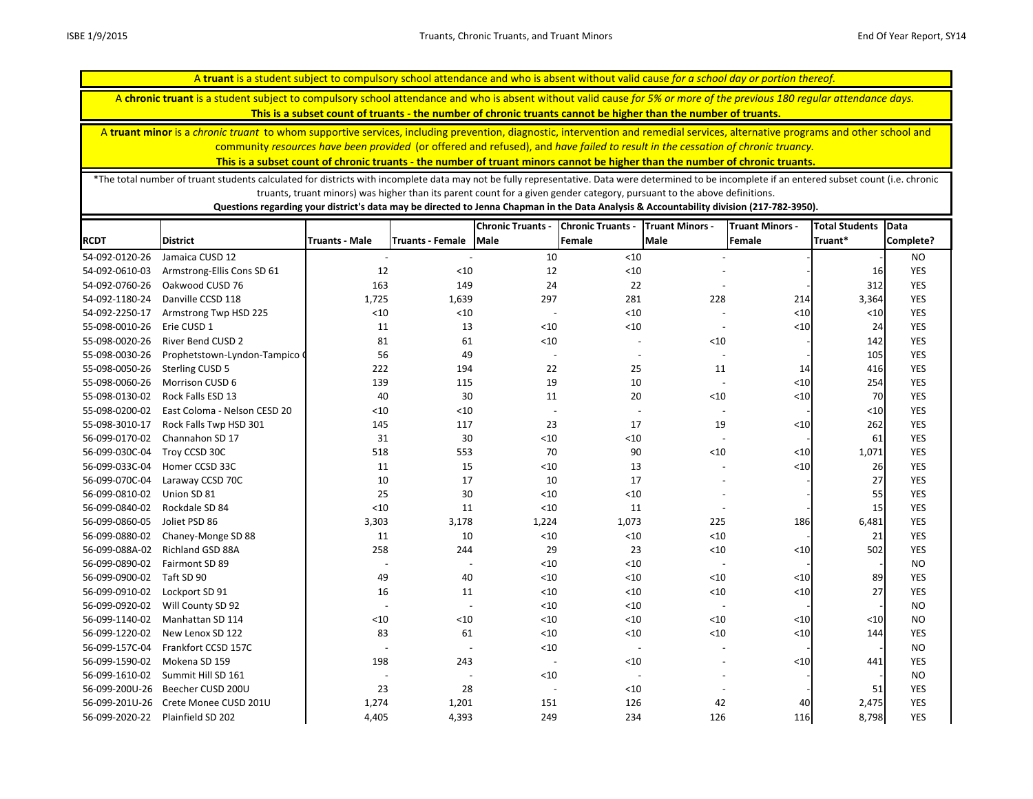A **chronic truant** is a student subject to compulsory school attendance and who is absent without valid cause *for 5% or more of the previous 180 regular attendance days.* 

**This is a subset count of truants - the number of chronic truants cannot be higher than the number of truants.**

A **truant minor** is a *chronic truant* to whom supportive services, including prevention, diagnostic, intervention and remedial services, alternative programs and other school and community *resources have been provided* (or offered and refused), and *have failed to result in the cessation of chronic truancy.* 

**This is a subset count of chronic truants - the number of truant minors cannot be higher than the number of chronic truants.**

\*The total number of truant students calculated for districts with incomplete data may not be fully representative. Data were determined to be incomplete if an entered subset count (i.e. chronic truants, truant minors) was higher than its parent count for a given gender category, pursuant to the above definitions.

|                |                              |                          |                          | <b>Chronic Truants -</b> | <b>Chronic Truants -</b> | <b>Truant Minors -</b>   | <b>Truant Minors -</b> | <b>Total Students</b> | <b>Data</b> |
|----------------|------------------------------|--------------------------|--------------------------|--------------------------|--------------------------|--------------------------|------------------------|-----------------------|-------------|
| <b>RCDT</b>    | <b>District</b>              | <b>Truants - Male</b>    | Truants - Female         | Male                     | Female                   | <b>Male</b>              | Female                 | Truant*               | Complete?   |
| 54-092-0120-26 | Jamaica CUSD 12              | $\overline{\phantom{a}}$ |                          | 10                       | $<10$                    |                          |                        |                       | <b>NO</b>   |
| 54-092-0610-03 | Armstrong-Ellis Cons SD 61   | 12                       | < 10                     | 12                       | $<10$                    |                          |                        | 16                    | <b>YES</b>  |
| 54-092-0760-26 | Oakwood CUSD 76              | 163                      | 149                      | 24                       | 22                       |                          |                        | 312                   | <b>YES</b>  |
| 54-092-1180-24 | Danville CCSD 118            | 1,725                    | 1,639                    | 297                      | 281                      | 228                      | 214                    | 3,364                 | <b>YES</b>  |
| 54-092-2250-17 | Armstrong Twp HSD 225        | < 10                     | $<10$                    |                          | $<10$                    |                          | $<10$                  | $<10$                 | <b>YES</b>  |
| 55-098-0010-26 | Erie CUSD 1                  | 11                       | 13                       | < 10                     | $<10$                    | $\overline{\phantom{a}}$ | $<\!\!10$              | 24                    | <b>YES</b>  |
| 55-098-0020-26 | <b>River Bend CUSD 2</b>     | 81                       | 61                       | $<10$                    |                          | < 10                     |                        | 142                   | <b>YES</b>  |
| 55-098-0030-26 | Prophetstown-Lyndon-Tampico  | 56                       | 49                       | $\overline{a}$           |                          |                          |                        | 105                   | <b>YES</b>  |
| 55-098-0050-26 | <b>Sterling CUSD 5</b>       | 222                      | 194                      | 22                       | 25                       | 11                       | 14                     | 416                   | <b>YES</b>  |
| 55-098-0060-26 | Morrison CUSD 6              | 139                      | 115                      | 19                       | 10                       |                          | $<10$                  | 254                   | <b>YES</b>  |
| 55-098-0130-02 | Rock Falls ESD 13            | 40                       | 30                       | 11                       | 20                       | $<10$                    | $<10$                  | 70                    | <b>YES</b>  |
| 55-098-0200-02 | East Coloma - Nelson CESD 20 | < 10                     | < 10                     | $\overline{\phantom{a}}$ |                          |                          |                        | $<10$                 | <b>YES</b>  |
| 55-098-3010-17 | Rock Falls Twp HSD 301       | 145                      | 117                      | 23                       | 17                       | 19                       | < 10                   | 262                   | <b>YES</b>  |
| 56-099-0170-02 | Channahon SD 17              | 31                       | 30                       | $<10$                    | $<10$                    | $\blacksquare$           |                        | 61                    | <b>YES</b>  |
| 56-099-030C-04 | Troy CCSD 30C                | 518                      | 553                      | 70                       | 90                       | $<10$                    | $<10$                  | 1,071                 | <b>YES</b>  |
| 56-099-033C-04 | Homer CCSD 33C               | 11                       | 15                       | $<10$                    | 13                       |                          | $<10$                  | 26                    | <b>YES</b>  |
| 56-099-070C-04 | Laraway CCSD 70C             | 10                       | 17                       | 10                       | 17                       |                          |                        | 27                    | <b>YES</b>  |
| 56-099-0810-02 | Union SD 81                  | 25                       | 30                       | < 10                     | $<10$                    |                          |                        | 55                    | <b>YES</b>  |
| 56-099-0840-02 | Rockdale SD 84               | < 10                     | 11                       | < 10                     | 11                       |                          |                        | 15                    | <b>YES</b>  |
| 56-099-0860-05 | Joliet PSD 86                | 3,303                    | 3,178                    | 1,224                    | 1,073                    | 225                      | 186                    | 6,481                 | <b>YES</b>  |
| 56-099-0880-02 | Chaney-Monge SD 88           | 11                       | 10                       | $<10$                    | $<10$                    | < 10                     |                        | 21                    | <b>YES</b>  |
| 56-099-088A-02 | Richland GSD 88A             | 258                      | 244                      | 29                       | 23                       | $<10$                    | < 10                   | 502                   | <b>YES</b>  |
| 56-099-0890-02 | Fairmont SD 89               |                          |                          | $<10$                    | $<10$                    |                          |                        |                       | <b>NO</b>   |
| 56-099-0900-02 | Taft SD 90                   | 49                       | 40                       | $<10$                    | $<10$                    | < 10                     | $<10$                  | 89                    | <b>YES</b>  |
| 56-099-0910-02 | Lockport SD 91               | 16                       | 11                       | < 10                     | $<10$                    | < 10                     | $<10$                  | 27                    | <b>YES</b>  |
| 56-099-0920-02 | Will County SD 92            |                          |                          | < 10                     | $<10$                    |                          |                        |                       | <b>NO</b>   |
| 56-099-1140-02 | Manhattan SD 114             | < 10                     | < 10                     | $<10$                    | $<10$                    | < 10                     | < 10                   | $<10$                 | <b>NO</b>   |
| 56-099-1220-02 | New Lenox SD 122             | 83                       | 61                       | < 10                     | $<10$                    | < 10                     | $<10$                  | 144                   | <b>YES</b>  |
| 56-099-157C-04 | Frankfort CCSD 157C          |                          | $\overline{\phantom{a}}$ | < 10                     | $\overline{\phantom{a}}$ |                          |                        |                       | <b>NO</b>   |
| 56-099-1590-02 | Mokena SD 159                | 198                      | 243                      |                          | $<10$                    |                          | < 10                   | 441                   | <b>YES</b>  |
| 56-099-1610-02 | Summit Hill SD 161           |                          | $\overline{\phantom{a}}$ | $<10$                    | $\overline{\phantom{a}}$ |                          |                        |                       | <b>NO</b>   |
| 56-099-200U-26 | Beecher CUSD 200U            | 23                       | 28                       |                          | $<10$                    |                          |                        | 51                    | <b>YES</b>  |
| 56-099-201U-26 | Crete Monee CUSD 201U        | 1,274                    | 1,201                    | 151                      | 126                      | 42                       | 40                     | 2,475                 | <b>YES</b>  |
| 56-099-2020-22 | Plainfield SD 202            | 4,405                    | 4,393                    | 249                      | 234                      | 126                      | 116                    | 8,798                 | <b>YES</b>  |